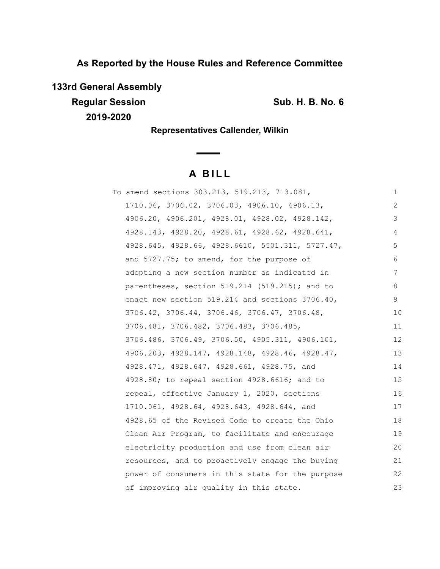**As Reported by the House Rules and Reference Committee**

**133rd General Assembly**

**Regular Session Sub. H. B. No. 6 Sub. H. B. No. 6** 

**2019-2020**

**Representatives Callender, Wilkin**

# **A B I L L**

| To amend sections 303.213, 519.213, 713.081,     | 1  |
|--------------------------------------------------|----|
| 1710.06, 3706.02, 3706.03, 4906.10, 4906.13,     | 2  |
| 4906.20, 4906.201, 4928.01, 4928.02, 4928.142,   | 3  |
| 4928.143, 4928.20, 4928.61, 4928.62, 4928.641,   | 4  |
| 4928.645, 4928.66, 4928.6610, 5501.311, 5727.47, | 5  |
| and 5727.75; to amend, for the purpose of        | 6  |
| adopting a new section number as indicated in    | 7  |
| parentheses, section $519.214$ (519.215); and to | 8  |
| enact new section 519.214 and sections 3706.40,  | 9  |
| 3706.42, 3706.44, 3706.46, 3706.47, 3706.48,     | 10 |
| 3706.481, 3706.482, 3706.483, 3706.485,          | 11 |
| 3706.486, 3706.49, 3706.50, 4905.311, 4906.101,  | 12 |
| 4906.203, 4928.147, 4928.148, 4928.46, 4928.47,  | 13 |
| 4928.471, 4928.647, 4928.661, 4928.75, and       | 14 |
| 4928.80; to repeal section 4928.6616; and to     | 15 |
| repeal, effective January 1, 2020, sections      | 16 |
| 1710.061, 4928.64, 4928.643, 4928.644, and       | 17 |
| 4928.65 of the Revised Code to create the Ohio   | 18 |
| Clean Air Program, to facilitate and encourage   | 19 |
| electricity production and use from clean air    | 20 |
| resources, and to proactively engage the buying  | 21 |
| power of consumers in this state for the purpose | 22 |
| of improving air quality in this state.          | 23 |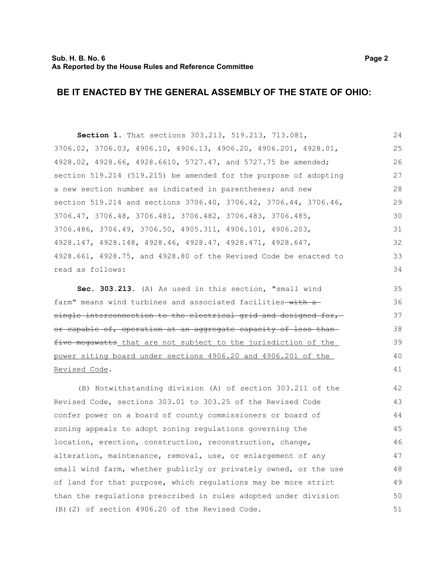**Section 1.** That sections 303.213, 519.213, 713.081, 3706.02, 3706.03, 4906.10, 4906.13, 4906.20, 4906.201, 4928.01, 4928.02, 4928.66, 4928.6610, 5727.47, and 5727.75 be amended; section 519.214 (519.215) be amended for the purpose of adopting a new section number as indicated in parentheses; and new section 519.214 and sections 3706.40, 3706.42, 3706.44, 3706.46, 3706.47, 3706.48, 3706.481, 3706.482, 3706.483, 3706.485, 3706.486, 3706.49, 3706.50, 4905.311, 4906.101, 4906.203, 4928.147, 4928.148, 4928.46, 4928.47, 4928.471, 4928.647, 4928.661, 4928.75, and 4928.80 of the Revised Code be enacted to read as follows: 24 25 26 27 28 29 30 31 32 33 34

**Sec. 303.213.** (A) As used in this section, "small wind farm" means wind turbines and associated facilities with a single interconnection to the electrical grid and designed for, or capable of, operation at an aggregate capacity of less than five megawatts that are not subject to the jurisdiction of the power siting board under sections 4906.20 and 4906.201 of the Revised Code.

(B) Notwithstanding division (A) of section 303.211 of the Revised Code, sections 303.01 to 303.25 of the Revised Code confer power on a board of county commissioners or board of zoning appeals to adopt zoning regulations governing the location, erection, construction, reconstruction, change, alteration, maintenance, removal, use, or enlargement of any small wind farm, whether publicly or privately owned, or the use of land for that purpose, which regulations may be more strict than the regulations prescribed in rules adopted under division (B)(2) of section 4906.20 of the Revised Code. 42 43 44 45 46 47 48 49 50 51

38 39

40 41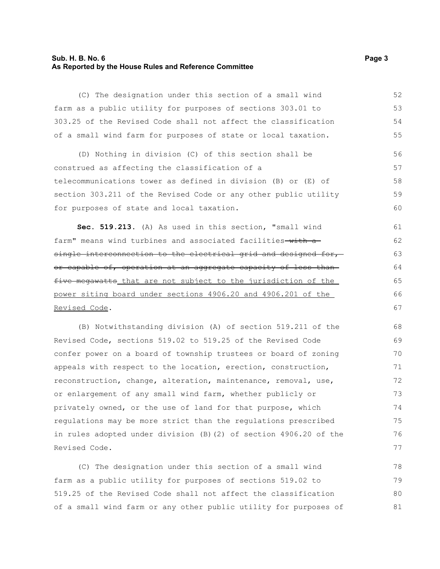# **Sub. H. B. No. 6 Page 3 As Reported by the House Rules and Reference Committee**

(C) The designation under this section of a small wind farm as a public utility for purposes of sections 303.01 to 303.25 of the Revised Code shall not affect the classification of a small wind farm for purposes of state or local taxation.

(D) Nothing in division (C) of this section shall be construed as affecting the classification of a telecommunications tower as defined in division (B) or (E) of section 303.211 of the Revised Code or any other public utility for purposes of state and local taxation. 56 57 58 59  $60$ 

**Sec. 519.213.** (A) As used in this section, "small wind farm" means wind turbines and associated facilities-with asingle interconnection to the electrical grid and designed for,or capable of, operation at an aggregate capacity of less than five megawatts that are not subject to the jurisdiction of the power siting board under sections 4906.20 and 4906.201 of the Revised Code.

(B) Notwithstanding division (A) of section 519.211 of the Revised Code, sections 519.02 to 519.25 of the Revised Code confer power on a board of township trustees or board of zoning appeals with respect to the location, erection, construction, reconstruction, change, alteration, maintenance, removal, use, or enlargement of any small wind farm, whether publicly or privately owned, or the use of land for that purpose, which regulations may be more strict than the regulations prescribed in rules adopted under division (B)(2) of section 4906.20 of the Revised Code.

(C) The designation under this section of a small wind farm as a public utility for purposes of sections 519.02 to 519.25 of the Revised Code shall not affect the classification of a small wind farm or any other public utility for purposes of 78 79 80 81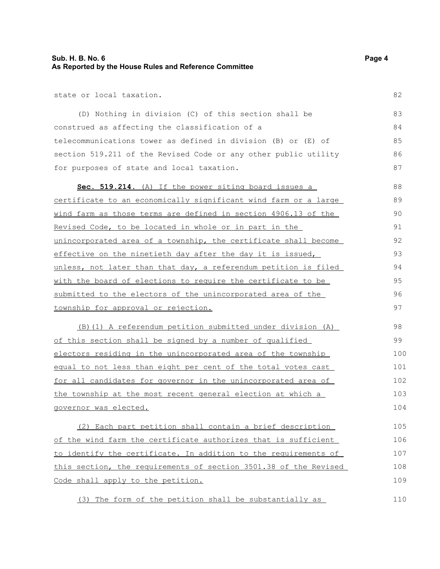state or local taxation.

(D) Nothing in division (C) of this section shall be construed as affecting the classification of a telecommunications tower as defined in division (B) or (E) of section 519.211 of the Revised Code or any other public utility for purposes of state and local taxation. 83 84 85 86 87

 **Sec. 519.214** . (A) If the power siting board issues a certificate to an economically significant wind farm or a large wind farm as those terms are defined in section 4906.13 of the Revised Code, to be located in whole or in part in the unincorporated area of a township, the certificate shall become effective on the ninetieth day after the day it is issued, unless, not later than that day, a referendum petition is filed with the board of elections to require the certificate to be submitted to the electors of the unincorporated area of the township for approval or rejection. 88 89 90 91 92 93 94 95 96 97

(B)(1) A referendum petition submitted under division (A) of this section shall be signed by a number of qualified electors residing in the unincorporated area of the township equal to not less than eight per cent of the total votes cast for all candidates for governor in the unincorporated area of the township at the most recent general election at which a governor was elected. 98 99 100 101 102 103 104

(2) Each part petition shall contain a brief description of the wind farm the certificate authorizes that is sufficient to identify the certificate. In addition to the requirements of this section, the requirements of section 3501.38 of the Revised Code shall apply to the petition. 105 106 107 108 109

(3) The form of the petition shall be substantially as

82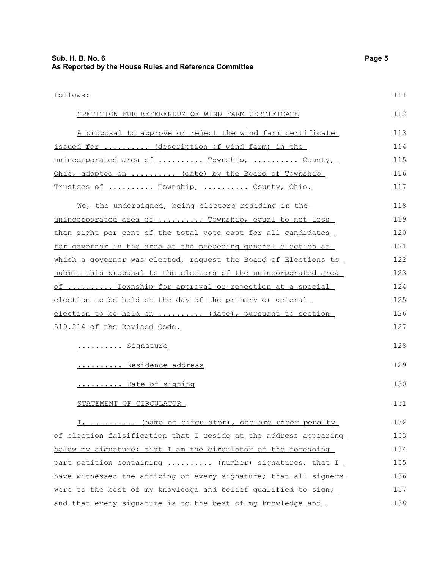follows: "PETITION FOR REFERENDUM OF WIND FARM CERTIFICATE A proposal to approve or reject the wind farm certificate issued for .......... (description of wind farm) in the unincorporated area of ......... Township, .......... County, Ohio, adopted on .......... (date) by the Board of Township Trustees of .......... Township, .......... County, Ohio. We, the undersigned, being electors residing in the unincorporated area of ......... Township, equal to not less than eight per cent of the total vote cast for all candidates for governor in the area at the preceding general election at which a governor was elected, request the Board of Elections to submit this proposal to the electors of the unincorporated area of .......... Township for approval or rejection at a special election to be held on the day of the primary or general election to be held on .......... (date), pursuant to section 519.214 of the Revised Code. ......... Signature .......... Residence address .......... Date of signing STATEMENT OF CIRCULATOR I, ......... (name of circulator), declare under penalty of election falsification that I reside at the address appearing below my signature; that I am the circulator of the foregoing part petition containing ......... (number) signatures; that I have witnessed the affixing of every signature; that all signers 111 112 113 114 115 116 117 118 119 120 121 122 123 124 125 126 127 128 129 130 131 132 133 134 135 136

were to the best of my knowledge and belief qualified to sign; and that every signature is to the best of my knowledge and 137 138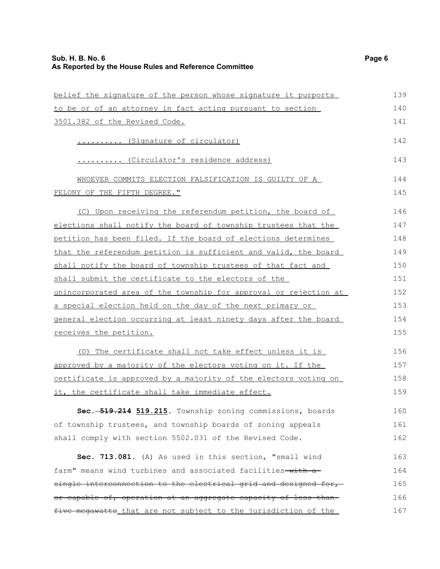| belief the signature of the person whose signature it purports   | 139 |
|------------------------------------------------------------------|-----|
| to be or of an attorney in fact acting pursuant to section       | 140 |
| 3501.382 of the Revised Code.                                    | 141 |
| (Signature of circulator)                                        | 142 |
| (Circulator's residence address)                                 | 143 |
| WHOEVER COMMITS ELECTION FALSIFICATION IS GUILTY OF A            | 144 |
| FELONY OF THE FIFTH DEGREE."                                     | 145 |
| (C) Upon receiving the referendum petition, the board of         | 146 |
| elections shall notify the board of township trustees that the   | 147 |
| petition has been filed. If the board of elections determines    | 148 |
| that the referendum petition is sufficient and valid, the board  | 149 |
| shall notify the board of township trustees of that fact and     | 150 |
| shall submit the certificate to the electors of the              | 151 |
| unincorporated area of the township for approval or rejection at | 152 |
| a special election held on the day of the next primary or        | 153 |
| general election occurring at least ninety days after the board  | 154 |
| receives the petition.                                           | 155 |
|                                                                  |     |

(D) The certificate shall not take effect unless it is approved by a majority of the electors voting on it. If the certificate is approved by a majority of the electors voting on it, the certificate shall take immediate effect. 156 157 158 159

**Sec. 519.214 519.215.** Township zoning commissions, boards of township trustees, and township boards of zoning appeals shall comply with section 5502.031 of the Revised Code. 160 161 162

**Sec. 713.081.** (A) As used in this section, "small wind farm" means wind turbines and associated facilities-with asingle interconnection to the electrical grid and designed for, or capable of, operation at an aggregate capacity of less than five megawatts that are not subject to the jurisdiction of the 163 164 165 166 167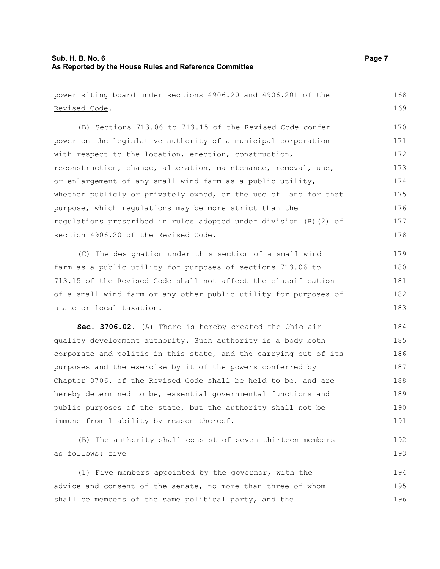Revised Code.

power siting board under sections 4906.20 and 4906.201 of the

(B) Sections 713.06 to 713.15 of the Revised Code confer power on the legislative authority of a municipal corporation with respect to the location, erection, construction, reconstruction, change, alteration, maintenance, removal, use, or enlargement of any small wind farm as a public utility, whether publicly or privately owned, or the use of land for that purpose, which regulations may be more strict than the regulations prescribed in rules adopted under division (B)(2) of section 4906.20 of the Revised Code. (C) The designation under this section of a small wind farm as a public utility for purposes of sections 713.06 to 713.15 of the Revised Code shall not affect the classification of a small wind farm or any other public utility for purposes of state or local taxation. **Sec. 3706.02.** (A) There is hereby created the Ohio air quality development authority. Such authority is a body both corporate and politic in this state, and the carrying out of its purposes and the exercise by it of the powers conferred by Chapter 3706. of the Revised Code shall be held to be, and are hereby determined to be, essential governmental functions and public purposes of the state, but the authority shall not be immune from liability by reason thereof. (B) The authority shall consist of seven thirteen members as follows: five 170 171 172 173 174 175 176 177 178 179 180 181 182 183 184 185 186 187 188 189 190 191 192 193

 (1) Five members appointed by the governor, with the advice and consent of the senate, no more than three of whom shall be members of the same political party<sub> $\tau$ </sub> and the 194 195 196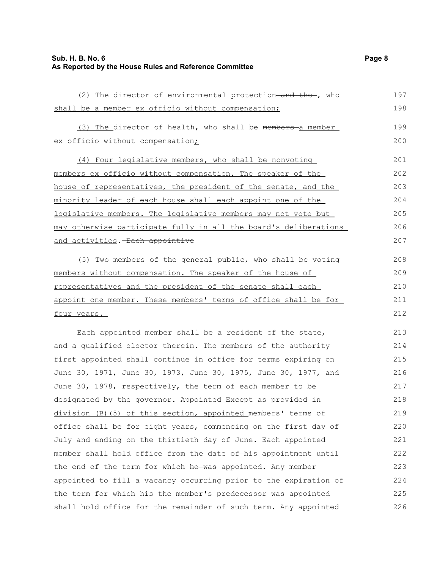# **Sub. H. B. No. 6 Page 8 As Reported by the House Rules and Reference Committee**

| (2) The director of environmental protection and the , who                  | 197 |
|-----------------------------------------------------------------------------|-----|
| shall be a member ex officio without compensation;                          | 198 |
| (3) The director of health, who shall be members-a member                   | 199 |
| ex officio without compensation;                                            | 200 |
|                                                                             |     |
| (4) Four legislative members, who shall be nonvoting                        | 201 |
| members ex officio without compensation. The speaker of the                 | 202 |
| house of representatives, the president of the senate, and the              | 203 |
| minority leader of each house shall each appoint one of the                 | 204 |
| legislative members. The legislative members may not vote but               | 205 |
| may otherwise participate fully in all the board's deliberations            | 206 |
| and activities. Each appointive                                             | 207 |
| (5) Two members of the general public, who shall be voting                  | 208 |
| members without compensation. The speaker of the house of                   | 209 |
| representatives and the president of the senate shall each                  | 210 |
| appoint one member. These members' terms of office shall be for             | 211 |
| <u>four years.</u>                                                          | 212 |
| Each appointed member shall be a resident of the state,                     | 213 |
| and a qualified elector therein. The members of the authority               | 214 |
| first appointed shall continue in office for terms expiring on              | 215 |
| June 30, 1971, June 30, 1973, June 30, 1975, June 30, 1977, and             | 216 |
| June 30, 1978, respectively, the term of each member to be                  | 217 |
| designated by the governor. Appointed-Except as provided in                 | 218 |
| division (B) (5) of this section, appointed members' terms of               | 219 |
| office shall be for eight years, commencing on the first day of             | 220 |
| July and ending on the thirtieth day of June. Each appointed                | 221 |
| member shall hold office from the date of <del>-his</del> appointment until | 222 |
| the end of the term for which he was appointed. Any member                  | 223 |
| appointed to fill a vacancy occurring prior to the expiration of            | 224 |
| the term for which-his the member's predecessor was appointed               | 225 |
| shall hold office for the remainder of such term. Any appointed             | 226 |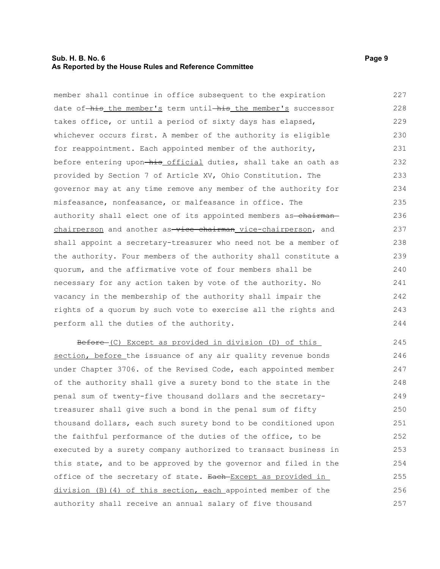# **Sub. H. B. No. 6 Page 9 As Reported by the House Rules and Reference Committee**

member shall continue in office subsequent to the expiration date of-his the member's term until-his the member's successor takes office, or until a period of sixty days has elapsed, whichever occurs first. A member of the authority is eligible for reappointment. Each appointed member of the authority, before entering upon-his official duties, shall take an oath as provided by Section 7 of Article XV, Ohio Constitution. The governor may at any time remove any member of the authority for misfeasance, nonfeasance, or malfeasance in office. The authority shall elect one of its appointed members as-chairmanchairperson and another as-vice-chairman vice-chairperson, and shall appoint a secretary-treasurer who need not be a member of the authority. Four members of the authority shall constitute a quorum, and the affirmative vote of four members shall be necessary for any action taken by vote of the authority. No vacancy in the membership of the authority shall impair the rights of a quorum by such vote to exercise all the rights and perform all the duties of the authority. 227 228 229 230 231 232 233 234 235 236 237 238 239 240 241 242 243 244

Before (C) Except as provided in division (D) of this section, before the issuance of any air quality revenue bonds under Chapter 3706. of the Revised Code, each appointed member of the authority shall give a surety bond to the state in the penal sum of twenty-five thousand dollars and the secretarytreasurer shall give such a bond in the penal sum of fifty thousand dollars, each such surety bond to be conditioned upon the faithful performance of the duties of the office, to be executed by a surety company authorized to transact business in this state, and to be approved by the governor and filed in the office of the secretary of state. Each Except as provided in division (B)(4) of this section, each appointed member of the authority shall receive an annual salary of five thousand 245 246 247 248 249 250 251 252 253 254 255 256 257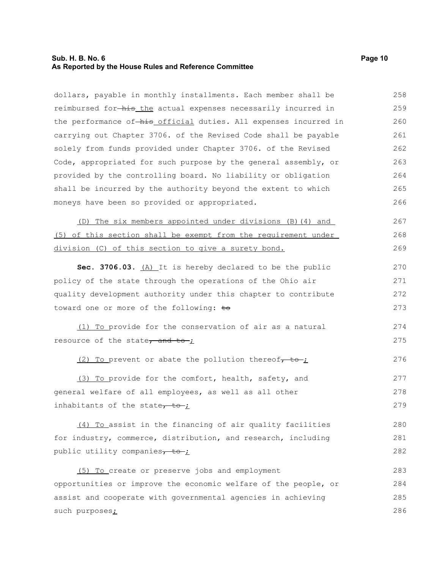# **Sub. H. B. No. 6 Page 10 As Reported by the House Rules and Reference Committee**

dollars, payable in monthly installments. Each member shall be reimbursed for-his the actual expenses necessarily incurred in the performance of-his official duties. All expenses incurred in carrying out Chapter 3706. of the Revised Code shall be payable solely from funds provided under Chapter 3706. of the Revised Code, appropriated for such purpose by the general assembly, or provided by the controlling board. No liability or obligation shall be incurred by the authority beyond the extent to which moneys have been so provided or appropriated. 258 259 260 261 262 263 264 265 266

(D) The six members appointed under divisions (B)(4) and (5) of this section shall be exempt from the requirement under division (C) of this section to give a surety bond. 267 268 269

**Sec. 3706.03.** (A) It is hereby declared to be the public policy of the state through the operations of the Ohio air quality development authority under this chapter to contribute toward one or more of the following: to 270 271 272 273

(1) To provide for the conservation of air as a natural resource of the state, and to- $\frac{1}{2}$ 274 275

(2) To prevent or abate the pollution thereof $\tau$  to  $\tau$ 276

(3) To provide for the comfort, health, safety, and general welfare of all employees, as well as all other inhabitants of the state $\frac{1}{\sqrt{1-\frac{1}{\sqrt{1-\frac{1}{\sqrt{1-\frac{1}{\sqrt{1-\frac{1}{\sqrt{1-\frac{1}{\sqrt{1-\frac{1}{\sqrt{1-\frac{1}{\sqrt{1-\frac{1}{\sqrt{1-\frac{1}{\sqrt{1-\frac{1}{\sqrt{1-\frac{1}{\sqrt{1-\frac{1}{\sqrt{1-\frac{1}{\sqrt{1-\frac{1}{\sqrt{1-\frac{1}{\sqrt{1-\frac{1}{\sqrt{1-\frac{1}{\sqrt{1-\frac{1}{\sqrt{1-\frac{1}{\sqrt{1-\frac{1}{\sqrt{1-\frac{1}{\sqrt$ 277 278 279

(4) To assist in the financing of air quality facilities for industry, commerce, distribution, and research, including public utility companies $\tau$  to ; 280 281 282

(5) To create or preserve jobs and employment opportunities or improve the economic welfare of the people, or assist and cooperate with governmental agencies in achieving such purposes; 283 284 285 286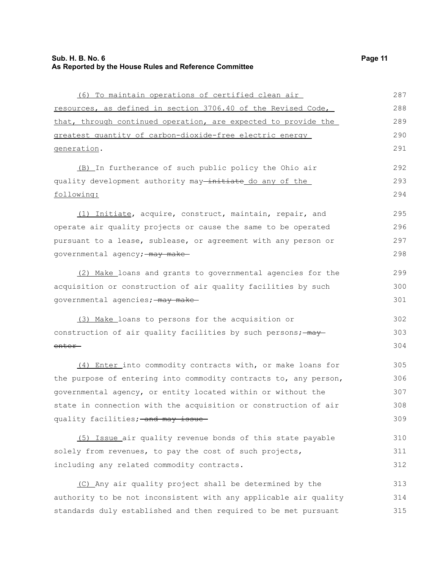(6) To maintain operations of certified clean air resources, as defined in section 3706.40 of the Revised Code, that, through continued operation, are expected to provide the greatest quantity of carbon-dioxide-free electric energy (B) In furtherance of such public policy the Ohio air quality development authority may-initiate do any of the

following:

generation.

(1) Initiate, acquire, construct, maintain, repair, and operate air quality projects or cause the same to be operated pursuant to a lease, sublease, or agreement with any person or governmental agency; may make 295 296 297 298

 (2) Make loans and grants to governmental agencies for the acquisition or construction of air quality facilities by such governmental agencies; - may make-

 (3) Make loans to persons for the acquisition or construction of air quality facilities by such persons;  $\frac{1}{2}$ enter 302 303 304

 (4) Enter into commodity contracts with, or make loans for the purpose of entering into commodity contracts to, any person, governmental agency, or entity located within or without the state in connection with the acquisition or construction of air quality facilities; and may issue 305 306 307 308 309

 (5) Issue air quality revenue bonds of this state payable solely from revenues, to pay the cost of such projects, including any related commodity contracts. 310 311 312

 (C) Any air quality project shall be determined by the authority to be not inconsistent with any applicable air quality standards duly established and then required to be met pursuant 313 314 315

292 293 294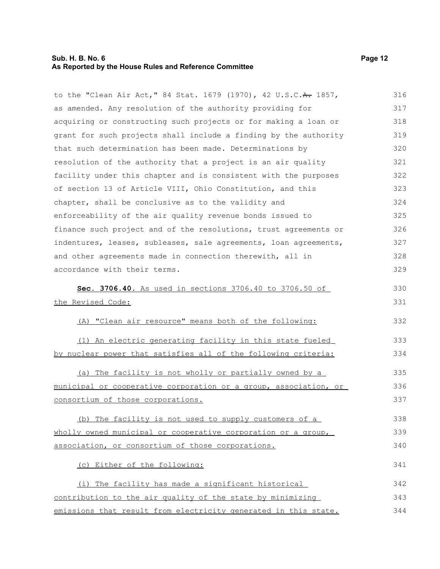# **Sub. H. B. No. 6 Page 12 As Reported by the House Rules and Reference Committee**

to the "Clean Air Act," 84 Stat. 1679 (1970), 42 U.S.C.A. 1857, as amended. Any resolution of the authority providing for acquiring or constructing such projects or for making a loan or grant for such projects shall include a finding by the authority that such determination has been made. Determinations by resolution of the authority that a project is an air quality facility under this chapter and is consistent with the purposes of section 13 of Article VIII, Ohio Constitution, and this chapter, shall be conclusive as to the validity and enforceability of the air quality revenue bonds issued to finance such project and of the resolutions, trust agreements or indentures, leases, subleases, sale agreements, loan agreements, and other agreements made in connection therewith, all in accordance with their terms. **Sec. 3706.40.** As used in sections 3706.40 to 3706.50 of the Revised Code: (A) "Clean air resource" means both of the following: (1) An electric generating facility in this state fueled by nuclear power that satisfies all of the following criteria: (a) The facility is not wholly or partially owned by a municipal or cooperative corporation or a group, association, or consortium of those corporations. (b) The facility is not used to supply customers of a wholly owned municipal or cooperative corporation or a group, association, or consortium of those corporations. (c) Either of the following: 316 317 318 319 320 321 322 323 324 325 326 327 328 329 330 331 332 333 334 335 336 337 338 339 340 341

 (i) The facility has made a significant historical contribution to the air quality of the state by minimizing emissions that result from electricity generated in this state. 342 343 344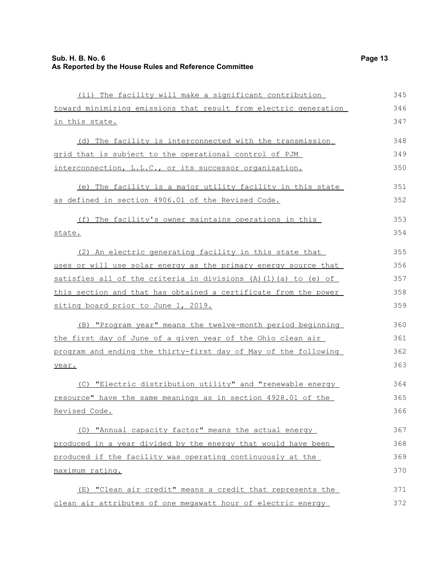| (ii) The facility will make a significant contribution                   | 345 |
|--------------------------------------------------------------------------|-----|
| toward minimizing emissions that result from electric generation         | 346 |
| in this state.                                                           | 347 |
| (d) The facility is interconnected with the transmission                 | 348 |
| grid that is subject to the operational control of PJM                   | 349 |
| interconnection, L.L.C., or its successor organization.                  | 350 |
| (e) The facility is a major utility facility in this state               | 351 |
| as defined in section 4906.01 of the Revised Code.                       | 352 |
| (f) The facility's owner maintains operations in this                    | 353 |
| state.                                                                   | 354 |
| (2) An electric generating facility in this state that                   | 355 |
| uses or will use solar energy as the primary energy source that          | 356 |
| satisfies all of the criteria in divisions $(A)$ $(1)$ $(a)$ to $(e)$ of | 357 |
| this section and that has obtained a certificate from the power          | 358 |
| siting board prior to June 1, 2019.                                      | 359 |
| (B) "Program year" means the twelve-month period beginning               | 360 |
| the first day of June of a given year of the Ohio clean air              | 361 |
| program and ending the thirty-first day of May of the following          | 362 |
| year.                                                                    | 363 |
| (C) "Electric distribution utility" and "renewable energy                | 364 |
| resource" have the same meanings as in section 4928.01 of the            | 365 |
| Revised Code.                                                            | 366 |
| (D) "Annual capacity factor" means the actual energy                     | 367 |
| produced in a year divided by the energy that would have been            | 368 |
| produced if the facility was operating continuously at the               | 369 |
| maximum rating.                                                          | 370 |
| (E) "Clean air credit" means a credit that represents the                | 371 |
| clean air attributes of one megawatt hour of electric energy             | 372 |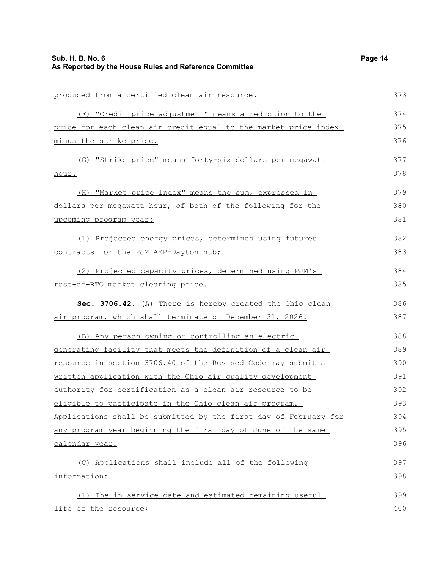| Sub. H. B. No. 6<br>As Reported by the House Rules and Reference Committee | Page 14 |
|----------------------------------------------------------------------------|---------|
| produced from a certified clean air resource.                              | 373     |
| (F) "Credit price adjustment" means a reduction to the                     | 374     |
| price for each clean air credit equal to the market price index            | 375     |
| minus the strike price.                                                    | 376     |
| (G) "Strike price" means forty-six dollars per meqawatt                    | 377     |
| <u>hour.</u>                                                               | 378     |
| (H) "Market price index" means the sum, expressed in                       | 379     |
| dollars per megawatt hour, of both of the following for the                | 380     |
| upcoming program year:                                                     | 381     |
| (1) Projected energy prices, determined using futures                      | 382     |
| contracts for the PJM AEP-Dayton hub;                                      | 383     |
| (2) Projected capacity prices, determined using PJM's                      | 384     |
| rest-of-RTO market clearing price.                                         | 385     |
| Sec. 3706.42. (A) There is hereby created the Ohio clean                   | 386     |
| air program, which shall terminate on December 31, 2026.                   | 387     |
| (B) Any person owning or controlling an electric                           | 388     |
| generating facility that meets the definition of a clean air               | 389     |
| resource in section 3706.40 of the Revised Code may submit a               | 390     |
| written application with the Ohio air quality development                  | 391     |
| authority for certification as a clean air resource to be                  | 392     |
| eligible to participate in the Ohio clean air program.                     | 393     |
| Applications shall be submitted by the first day of February for           | 394     |
| any program year beginning the first day of June of the same               | 395     |
| calendar year.                                                             | 396     |
| (C) Applications shall include all of the following                        | 397     |
| information:                                                               | 398     |
| (1) The in-service date and estimated remaining useful                     | 399     |
| life of the resource;                                                      | 400     |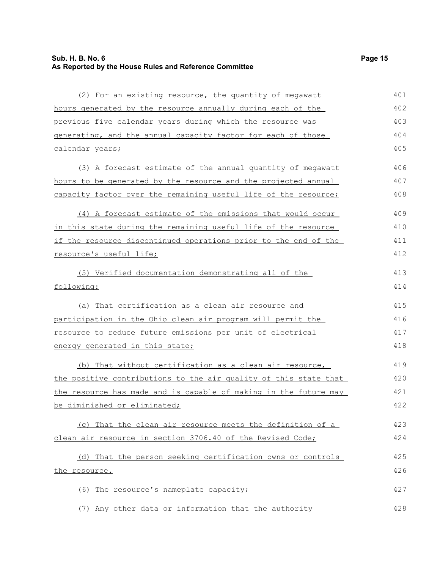| (2) For an existing resource, the quantity of megawatt                 | 401 |
|------------------------------------------------------------------------|-----|
| hours generated by the resource annually during each of the            | 402 |
| previous five calendar years during which the resource was             | 403 |
| <u>generating, and the annual capacity factor for each of those</u>    | 404 |
| <u>calendar years;</u>                                                 | 405 |
| (3) A forecast estimate of the annual quantity of megawatt             | 406 |
| hours to be generated by the resource and the projected annual         | 407 |
| <u>capacity factor over the remaining useful life of the resource;</u> | 408 |
| (4) A forecast estimate of the emissions that would occur              | 409 |
| in this state during the remaining useful life of the resource         | 410 |
| if the resource discontinued operations prior to the end of the        | 411 |
| resource's useful life;                                                | 412 |
| (5) Verified documentation demonstrating all of the                    | 413 |
| following:                                                             | 414 |
| (a) That certification as a clean air resource and                     | 415 |
| participation in the Ohio clean air program will permit the            | 416 |
| resource to reduce future emissions per unit of electrical             | 417 |
| <u>energy generated in this state;</u>                                 | 418 |
| (b) That without certification as a clean air resource,                | 419 |
| the positive contributions to the air quality of this state that       | 420 |
| the resource has made and is capable of making in the future may       | 421 |
| <u>be diminished or eliminated;</u>                                    | 422 |
| (c) That the clean air resource meets the definition of a              | 423 |
| clean air resource in section 3706.40 of the Revised Code;             | 424 |
| (d) That the person seeking certification owns or controls             | 425 |
| the resource.                                                          | 426 |
| (6) The resource's nameplate capacity;                                 | 427 |
| (7) Any other data or information that the authority                   | 428 |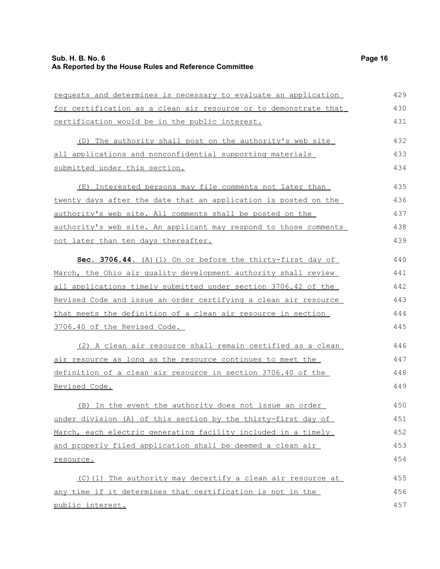requests and determines is necessary to evaluate an application for certification as a clean air resource or to demonstrate that certification would be in the public interest. (D) The authority shall post on the authority's web site all applications and nonconfidential supporting materials submitted under this section. (E) Interested persons may file comments not later than twenty days after the date that an application is posted on the authority's web site. All comments shall be posted on the authority's web site. An applicant may respond to those comments not later than ten days thereafter. **Sec. 3706.44.** (A)(1) On or before the thirty-first day of March, the Ohio air quality development authority shall review all applications timely submitted under section 3706.42 of the Revised Code and issue an order certifying a clean air resource that meets the definition of a clean air resource in section 3706.40 of the Revised Code. (2) A clean air resource shall remain certified as a clean air resource as long as the resource continues to meet the definition of a clean air resource in section 3706.40 of the Revised Code. 429 430 431 432 433 434 435 436 437 438 439 440 441 442 443 444 445 446 447 448 449

(B) In the event the authority does not issue an order under division (A) of this section by the thirty-first day of March, each electric generating facility included in a timely and properly filed application shall be deemed a clean air resource. 450 451 452 453 454

 (C)(1) The authority may decertify a clean air resource at any time if it determines that certification is not in the public interest. 455 456 457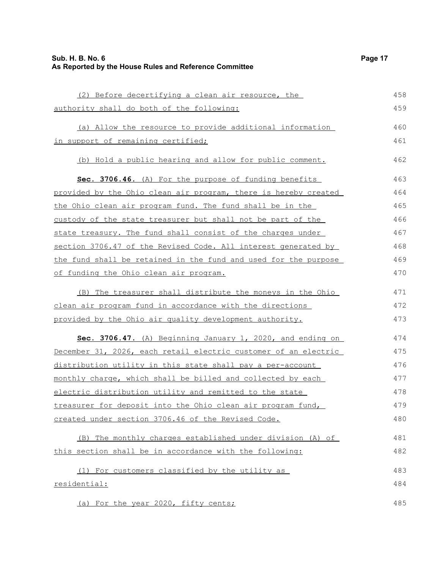| (2) Before decertifying a clean air resource, the               | 458 |
|-----------------------------------------------------------------|-----|
| authority shall do both of the following:                       | 459 |
| (a) Allow the resource to provide additional information        | 460 |
| in support of remaining certified;                              | 461 |
| (b) Hold a public hearing and allow for public comment.         | 462 |
| Sec. 3706.46. (A) For the purpose of funding benefits           | 463 |
| provided by the Ohio clean air program, there is hereby created | 464 |
| the Ohio clean air program fund. The fund shall be in the       | 465 |
| custody of the state treasurer but shall not be part of the     | 466 |
| state treasury. The fund shall consist of the charges under     | 467 |
| section 3706.47 of the Revised Code. All interest generated by  | 468 |
| the fund shall be retained in the fund and used for the purpose | 469 |
| of funding the Ohio clean air program.                          | 470 |
| (B) The treasurer shall distribute the moneys in the Ohio       | 471 |
| clean air program fund in accordance with the directions        | 472 |
| provided by the Ohio air quality development authority.         | 473 |
| Sec. 3706.47. (A) Beginning January 1, 2020, and ending on      | 474 |
| December 31, 2026, each retail electric customer of an electric | 475 |
| distribution utility in this state shall pay a per-account      | 476 |
| monthly charge, which shall be billed and collected by each     | 477 |
| electric distribution utility and remitted to the state         | 478 |
| treasurer for deposit into the Ohio clean air program fund,     | 479 |
| created under section 3706.46 of the Revised Code.              | 480 |
| (B) The monthly charges established under division (A) of       | 481 |
| this section shall be in accordance with the following:         | 482 |
| (1) For customers classified by the utility as                  | 483 |
| residential:                                                    | 484 |
| (a) For the year 2020, fifty cents;                             | 485 |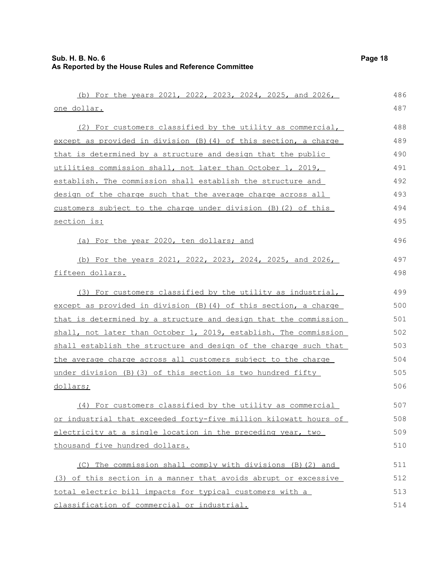| (b) For the years 2021, 2022, 2023, 2024, 2025, and 2026,        | 486 |
|------------------------------------------------------------------|-----|
| one dollar.                                                      | 487 |
| (2) For customers classified by the utility as commercial,       | 488 |
| except as provided in division (B) (4) of this section, a charge | 489 |
| that is determined by a structure and design that the public     | 490 |
| utilities commission shall, not later than October 1, 2019,      | 491 |
| establish. The commission shall establish the structure and      | 492 |
| design of the charge such that the average charge across all     | 493 |
| customers subject to the charge under division (B) (2) of this   | 494 |
| section is:                                                      | 495 |
| (a) For the year 2020, ten dollars; and                          | 496 |
| (b) For the years 2021, 2022, 2023, 2024, 2025, and 2026,        | 497 |
| fifteen dollars.                                                 | 498 |
| (3) For customers classified by the utility as industrial,       | 499 |
| except as provided in division (B) (4) of this section, a charge | 500 |
| that is determined by a structure and design that the commission | 501 |
| shall, not later than October 1, 2019, establish. The commission | 502 |
| shall establish the structure and design of the charge such that | 503 |
| the average charge across all customers subject to the charge    | 504 |
| under division $(B)$ (3) of this section is two hundred fifty    | 505 |
| dollars;                                                         | 506 |
| (4) For customers classified by the utility as commercial        | 507 |
| or industrial that exceeded forty-five million kilowatt hours of | 508 |
| electricity at a single location in the preceding year, two      | 509 |
| thousand five hundred dollars.                                   | 510 |
| (C) The commission shall comply with divisions (B) (2) and       | 511 |
| (3) of this section in a manner that avoids abrupt or excessive  | 512 |
| total electric bill impacts for typical customers with a         | 513 |
| classification of commercial or industrial.                      | 514 |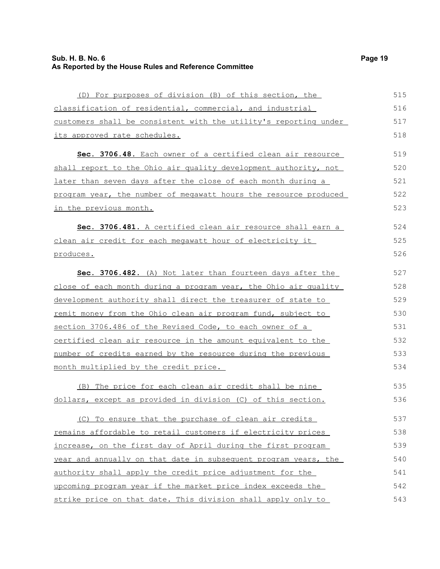| (D) For purposes of division (B) of this section, the            | 515 |
|------------------------------------------------------------------|-----|
| classification of residential, commercial, and industrial        | 516 |
| customers shall be consistent with the utility's reporting under | 517 |
| its approved rate schedules.                                     | 518 |
| Sec. 3706.48. Each owner of a certified clean air resource       | 519 |
| shall report to the Ohio air quality development authority, not  | 520 |
| later than seven days after the close of each month during a     | 521 |
| program year, the number of megawatt hours the resource produced | 522 |
| in the previous month.                                           | 523 |
| Sec. 3706.481. A certified clean air resource shall earn a       | 524 |
| clean air credit for each megawatt hour of electricity it        | 525 |
| produces.                                                        | 526 |
| Sec. 3706.482. (A) Not later than fourteen days after the        | 527 |
| close of each month during a program year, the Ohio air quality  | 528 |
| development authority shall direct the treasurer of state to     | 529 |
| remit money from the Ohio clean air program fund, subject to     | 530 |
| section 3706.486 of the Revised Code, to each owner of a         | 531 |
| certified clean air resource in the amount equivalent to the     | 532 |
| number of credits earned by the resource during the previous     | 533 |
| month multiplied by the credit price.                            | 534 |
| (B) The price for each clean air credit shall be nine            | 535 |
| dollars, except as provided in division (C) of this section.     | 536 |
| (C) To ensure that the purchase of clean air credits             | 537 |
| remains affordable to retail customers if electricity prices     | 538 |
| increase, on the first day of April during the first program     | 539 |
| year and annually on that date in subsequent program years, the  | 540 |
| authority shall apply the credit price adjustment for the        | 541 |
| upcoming program year if the market price index exceeds the      | 542 |
| strike price on that date. This division shall apply only to     | 543 |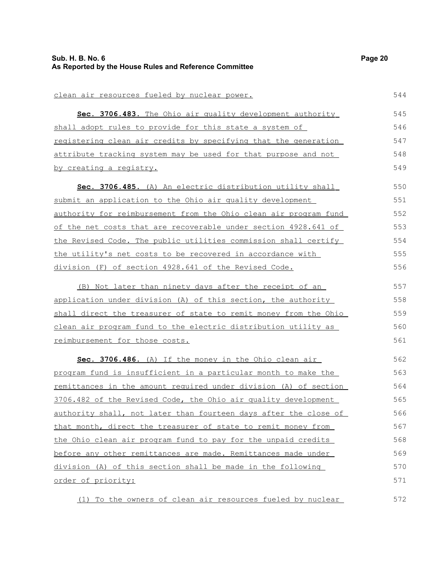| clean air resources fueled by nuclear power.                              | 544 |
|---------------------------------------------------------------------------|-----|
| Sec. 3706.483. The Ohio air quality development authority                 | 545 |
| shall adopt rules to provide for this state a system of                   | 546 |
| registering clean air credits by specifying that the generation           | 547 |
| <u>attribute tracking system may be used for that purpose and not</u>     | 548 |
| <u>by creating a registry.</u>                                            | 549 |
| Sec. 3706.485. (A) An electric distribution utility shall                 | 550 |
| submit an application to the Ohio air quality development                 | 551 |
| <u>authority for reimbursement from the Ohio clean air program fund </u>  | 552 |
| of the net costs that are recoverable under section 4928.641 of           | 553 |
| the Revised Code. The public utilities commission shall certify           | 554 |
| the utility's net costs to be recovered in accordance with                | 555 |
| division (F) of section 4928.641 of the Revised Code.                     | 556 |
| (B) Not later than ninety days after the receipt of an                    | 557 |
| application under division (A) of this section, the authority             | 558 |
| shall direct the treasurer of state to remit money from the Ohio          | 559 |
| <u>clean air program fund to the electric distribution utility as </u>    | 560 |
| <u>reimbursement for those costs.</u>                                     | 561 |
| Sec. 3706.486. (A) If the money in the Ohio clean air                     | 562 |
| program fund is insufficient in a particular month to make the            | 563 |
| <u>remittances in the amount required under division (A) of section (</u> | 564 |
| 3706.482 of the Revised Code, the Ohio air quality development            | 565 |
| authority shall, not later than fourteen days after the close of          | 566 |
| that month, direct the treasurer of state to remit money from             | 567 |
| the Ohio clean air program fund to pay for the unpaid credits             | 568 |
| before any other remittances are made. Remittances made under             | 569 |
| division (A) of this section shall be made in the following               | 570 |
| order of priority:                                                        | 571 |
| (1) To the owners of clean air resources fueled by nuclear                | 572 |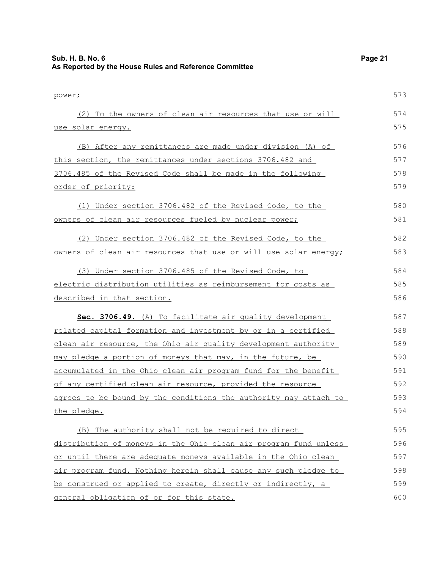| Sub. H. B. No. 6<br>As Reported by the House Rules and Reference Committee | Page 21 |
|----------------------------------------------------------------------------|---------|
| power;                                                                     | 573     |
| (2) To the owners of clean air resources that use or will                  | 574     |
| <u>use solar energy.</u>                                                   | 575     |
| (B) After any remittances are made under division (A) of                   | 576     |
| this section, the remittances under sections 3706.482 and                  | 577     |
| 3706.485 of the Revised Code shall be made in the following                | 578     |
| order of priority:                                                         | 579     |
| (1) Under section 3706.482 of the Revised Code, to the                     | 580     |
| <u>owners of clean air resources fueled by nuclear power;</u>              | 581     |
| (2) Under section 3706.482 of the Revised Code, to the                     | 582     |
| owners of clean air resources that use or will use solar energy;           | 583     |
| (3) Under section 3706.485 of the Revised Code, to                         | 584     |
| electric distribution utilities as reimbursement for costs as              | 585     |
| described in that section.                                                 | 586     |
| Sec. 3706.49. (A) To facilitate air quality development                    | 587     |
| related capital formation and investment by or in a certified              | 588     |
| clean air resource, the Ohio air quality development authority             | 589     |
| may pledge a portion of moneys that may, in the future, be                 | 590     |
| accumulated in the Ohio clean air program fund for the benefit             | 591     |
| of any certified clean air resource, provided the resource                 | 592     |
| agrees to be bound by the conditions the authority may attach to           | 593     |
| the pledge.                                                                | 594     |
| (B) The authority shall not be required to direct                          | 595     |
| distribution of moneys in the Ohio clean air program fund unless           | 596     |
| or until there are adequate moneys available in the Ohio clean             | 597     |
| air program fund. Nothing herein shall cause any such pledge to            | 598     |
| be construed or applied to create, directly or indirectly, a               | 599     |
| general obligation of or for this state.                                   | 600     |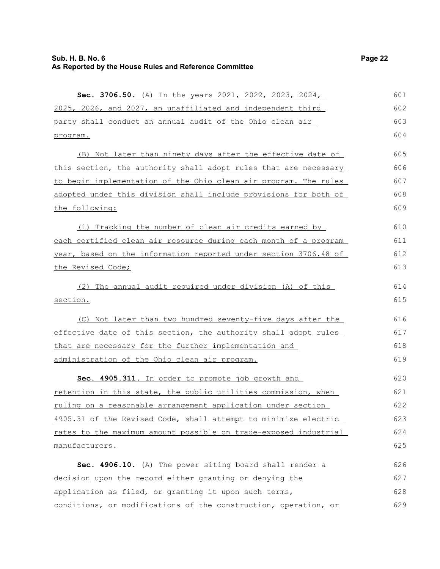program.

|  |  |  |  | <b>Sec. 3706.50.</b> (A) In the years 2021, 2022, 2023, 2024, |  |
|--|--|--|--|---------------------------------------------------------------|--|
|  |  |  |  | 2025, 2026, and 2027, an unaffiliated and independent third   |  |
|  |  |  |  | party shall conduct an annual audit of the Ohio clean air     |  |

601 602

(B) Not later than ninety days after the effective date of this section, the authority shall adopt rules that are necessary to begin implementation of the Ohio clean air program. The rules adopted under this division shall include provisions for both of the following: (1) Tracking the number of clean air credits earned by 605 606 607 608 609 610

each certified clean air resource during each month of a program year, based on the information reported under section 3706.48 of the Revised Code; 611 612 613

(2) The annual audit required under division (A) of this section. 614 615

(C) Not later than two hundred seventy-five days after the effective date of this section, the authority shall adopt rules that are necessary for the further implementation and administration of the Ohio clean air program.

 **Sec. 4905.311.** In order to promote job growth and retention in this state, the public utilities commission, when ruling on a reasonable arrangement application under section 4905.31 of the Revised Code, shall attempt to minimize electric rates to the maximum amount possible on trade-exposed industrial manufacturers. 620 621 622 623 624 625

**Sec. 4906.10.** (A) The power siting board shall render a decision upon the record either granting or denying the application as filed, or granting it upon such terms, conditions, or modifications of the construction, operation, or 626 627 628 629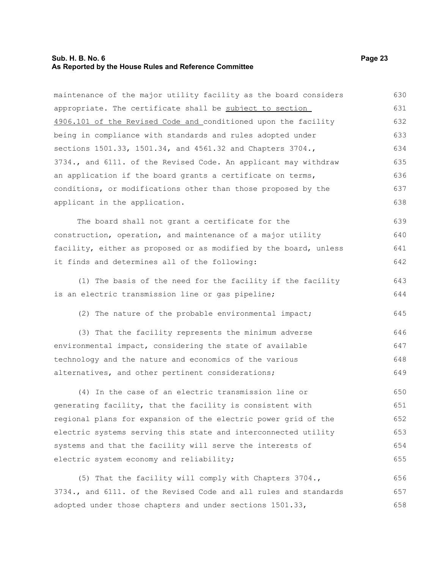# **Sub. H. B. No. 6 Page 23 As Reported by the House Rules and Reference Committee**

maintenance of the major utility facility as the board considers appropriate. The certificate shall be subject to section 4906.101 of the Revised Code and conditioned upon the facility being in compliance with standards and rules adopted under sections 1501.33, 1501.34, and 4561.32 and Chapters 3704., 3734., and 6111. of the Revised Code. An applicant may withdraw an application if the board grants a certificate on terms, conditions, or modifications other than those proposed by the applicant in the application. The board shall not grant a certificate for the construction, operation, and maintenance of a major utility facility, either as proposed or as modified by the board, unless it finds and determines all of the following: (1) The basis of the need for the facility if the facility is an electric transmission line or gas pipeline; (2) The nature of the probable environmental impact; (3) That the facility represents the minimum adverse environmental impact, considering the state of available technology and the nature and economics of the various alternatives, and other pertinent considerations; (4) In the case of an electric transmission line or generating facility, that the facility is consistent with regional plans for expansion of the electric power grid of the electric systems serving this state and interconnected utility systems and that the facility will serve the interests of electric system economy and reliability; (5) That the facility will comply with Chapters 3704., 3734., and 6111. of the Revised Code and all rules and standards adopted under those chapters and under sections 1501.33, 630 631 632 633 634 635 636 637 638 639 640 641 642 643 644 645 646 647 648 649 650 651 652 653 654 655 656 657 658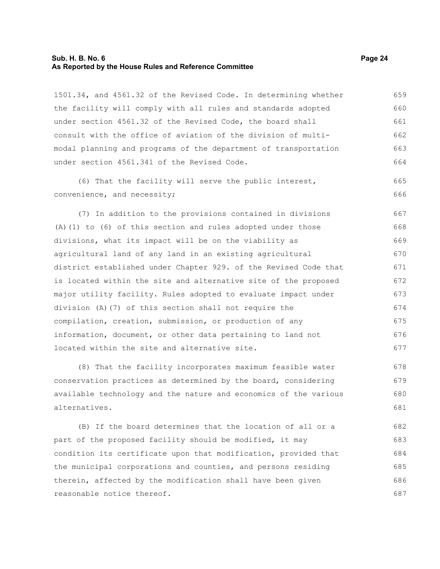# **Sub. H. B. No. 6 Page 24 As Reported by the House Rules and Reference Committee**

1501.34, and 4561.32 of the Revised Code. In determining whether the facility will comply with all rules and standards adopted under section 4561.32 of the Revised Code, the board shall consult with the office of aviation of the division of multimodal planning and programs of the department of transportation under section 4561.341 of the Revised Code. 659 660 661 662 663 664

(6) That the facility will serve the public interest, convenience, and necessity;

(7) In addition to the provisions contained in divisions (A)(1) to (6) of this section and rules adopted under those divisions, what its impact will be on the viability as agricultural land of any land in an existing agricultural district established under Chapter 929. of the Revised Code that is located within the site and alternative site of the proposed major utility facility. Rules adopted to evaluate impact under division (A)(7) of this section shall not require the compilation, creation, submission, or production of any information, document, or other data pertaining to land not located within the site and alternative site. 667 668 669 670 671 672 673 674 675 676 677

(8) That the facility incorporates maximum feasible water conservation practices as determined by the board, considering available technology and the nature and economics of the various alternatives. 678 679 680 681

(B) If the board determines that the location of all or a part of the proposed facility should be modified, it may condition its certificate upon that modification, provided that the municipal corporations and counties, and persons residing therein, affected by the modification shall have been given reasonable notice thereof. 682 683 684 685 686 687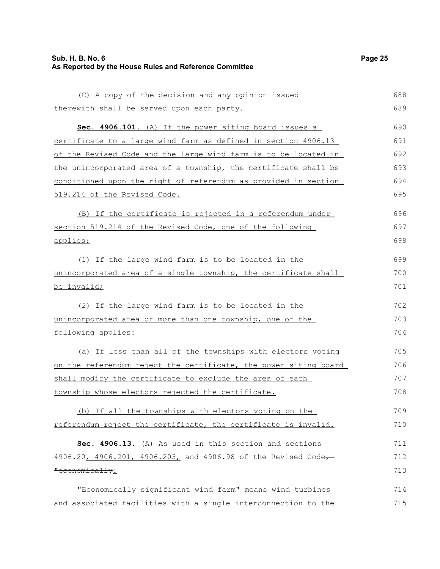# **Sub. H. B. No. 6 Page 25 As Reported by the House Rules and Reference Committee**

```
(C) A copy of the decision and any opinion issued
therewith shall be served upon each party. 
      Sec. 4906.101. (A) If the power siting board issues a
certificate to a large wind farm as defined in section 4906.13
of the Revised Code and the large wind farm is to be located in
the unincorporated area of a township, the certificate shall be
conditioned upon the right of referendum as provided in section
519.214 of the Revised Code.
     (B) If the certificate is rejected in a referendum under
section 519.214 of the Revised Code, one of the following
applies:
     (1) If the large wind farm is to be located in the
unincorporated area of a single township, the certificate shall
be invalid;
     (2) If the large wind farm is to be located in the
unincorporated area of more than one township, one of the
following applies:
     (a) If less than all of the townships with electors voting
on the referendum reject the certificate, the power siting board
shall modify the certificate to exclude the area of each
township whose electors rejected the certificate.
     (b) If all the townships with electors voting on the
                                                                           688
                                                                           689
                                                                           690
                                                                           691
                                                                           692
                                                                           693
                                                                           694
                                                                           695
                                                                           696
                                                                           697
                                                                           698
                                                                           699
                                                                           700
                                                                           701
                                                                           702
                                                                           703
                                                                           704
                                                                           705
                                                                           706
                                                                           707
                                                                           708
                                                                           709
```
referendum reject the certificate, the certificate is invalid. 710

**Sec. 4906.13.** (A) As used in this section and sections 4906.20, 4906.201, 4906.203, and 4906.98 of the Revised Code, "economically: 711 712 713

"Economically significant wind farm" means wind turbines and associated facilities with a single interconnection to the 714 715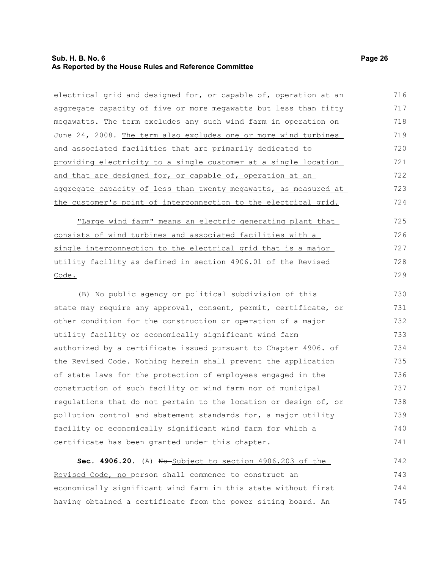# **Sub. H. B. No. 6 Page 26 As Reported by the House Rules and Reference Committee**

| electrical grid and designed for, or capable of, operation at an | 716 |
|------------------------------------------------------------------|-----|
| aggregate capacity of five or more megawatts but less than fifty | 717 |
| megawatts. The term excludes any such wind farm in operation on  | 718 |
| June 24, 2008. The term also excludes one or more wind turbines  | 719 |
| and associated facilities that are primarily dedicated to        | 720 |
| providing electricity to a single customer at a single location  | 721 |
| and that are designed for, or capable of, operation at an        | 722 |
| aggregate capacity of less than twenty megawatts, as measured at | 723 |
| the customer's point of interconnection to the electrical grid.  | 724 |
| "Large wind farm" means an electric generating plant that        | 725 |
| consists of wind turbines and associated facilities with a       | 726 |
| single interconnection to the electrical grid that is a major    | 727 |
| utility facility as defined in section 4906.01 of the Revised    | 728 |
| Code.                                                            | 729 |
| (B) No public agency or political subdivision of this            | 730 |
| state may require any approval, consent, permit, certificate, or | 731 |
| other condition for the construction or operation of a major     | 732 |
| utility facility or economically significant wind farm           | 733 |
| authorized by a certificate issued pursuant to Chapter 4906. of  | 734 |
| the Revised Code. Nothing herein shall prevent the application   | 735 |
| of state laws for the protection of employees engaged in the     | 736 |
| construction of such facility or wind farm nor of municipal      | 737 |
| regulations that do not pertain to the location or design of, or | 738 |
| pollution control and abatement standards for, a major utility   | 739 |
| facility or economically significant wind farm for which a       | 740 |
| certificate has been granted under this chapter.                 | 741 |
| Sec. 4906.20. (A) No Subject to section 4906.203 of the          | 742 |
| Revised Code, no person shall commence to construct an           | 743 |
| economically significant wind farm in this state without first   | 744 |

having obtained a certificate from the power siting board. An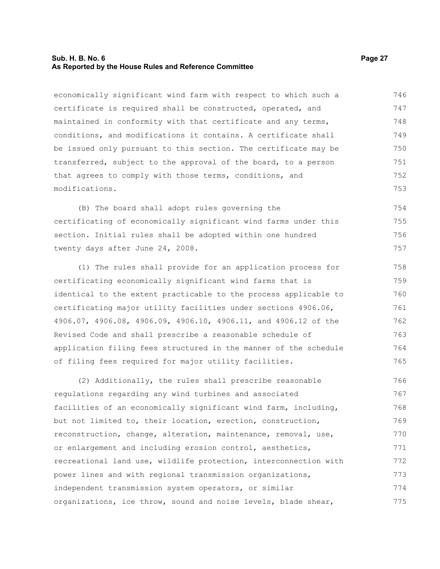# **Sub. H. B. No. 6 Page 27 As Reported by the House Rules and Reference Committee**

economically significant wind farm with respect to which such a certificate is required shall be constructed, operated, and maintained in conformity with that certificate and any terms, conditions, and modifications it contains. A certificate shall be issued only pursuant to this section. The certificate may be transferred, subject to the approval of the board, to a person that agrees to comply with those terms, conditions, and modifications. 746 747 748 749 750 751 752 753

(B) The board shall adopt rules governing the certificating of economically significant wind farms under this section. Initial rules shall be adopted within one hundred twenty days after June 24, 2008. 754 755 756 757

(1) The rules shall provide for an application process for certificating economically significant wind farms that is identical to the extent practicable to the process applicable to certificating major utility facilities under sections 4906.06, 4906.07, 4906.08, 4906.09, 4906.10, 4906.11, and 4906.12 of the Revised Code and shall prescribe a reasonable schedule of application filing fees structured in the manner of the schedule of filing fees required for major utility facilities.

(2) Additionally, the rules shall prescribe reasonable regulations regarding any wind turbines and associated facilities of an economically significant wind farm, including, but not limited to, their location, erection, construction, reconstruction, change, alteration, maintenance, removal, use, or enlargement and including erosion control, aesthetics, recreational land use, wildlife protection, interconnection with power lines and with regional transmission organizations, independent transmission system operators, or similar organizations, ice throw, sound and noise levels, blade shear, 766 767 768 769 770 771 772 773 774 775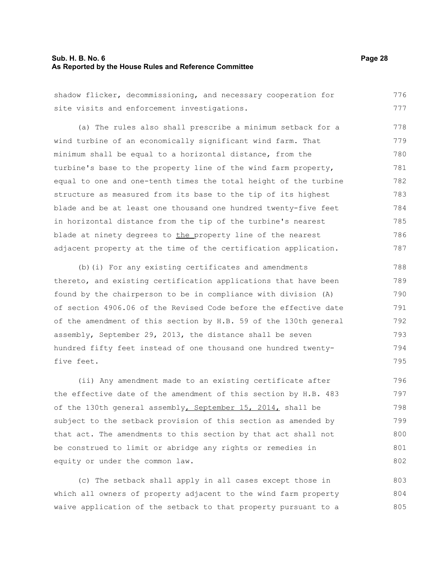# **Sub. H. B. No. 6 Page 28 As Reported by the House Rules and Reference Committee**

| shadow flicker, decommissioning, and necessary cooperation for   | 776 |
|------------------------------------------------------------------|-----|
| site visits and enforcement investigations.                      | 777 |
| (a) The rules also shall prescribe a minimum setback for a       | 778 |
| wind turbine of an economically significant wind farm. That      | 779 |
| minimum shall be equal to a horizontal distance, from the        | 780 |
| turbine's base to the property line of the wind farm property,   | 781 |
| equal to one and one-tenth times the total height of the turbine | 782 |
| structure as measured from its base to the tip of its highest    | 783 |
| blade and be at least one thousand one hundred twenty-five feet  | 784 |
| in horizontal distance from the tip of the turbine's nearest     | 785 |
| blade at ninety degrees to the property line of the nearest      | 786 |
| adjacent property at the time of the certification application.  | 787 |

(b)(i) For any existing certificates and amendments thereto, and existing certification applications that have been found by the chairperson to be in compliance with division (A) of section 4906.06 of the Revised Code before the effective date of the amendment of this section by H.B. 59 of the 130th general assembly, September 29, 2013, the distance shall be seven hundred fifty feet instead of one thousand one hundred twentyfive feet.

(ii) Any amendment made to an existing certificate after the effective date of the amendment of this section by H.B. 483 of the 130th general assembly, September 15, 2014, shall be subject to the setback provision of this section as amended by that act. The amendments to this section by that act shall not be construed to limit or abridge any rights or remedies in equity or under the common law. 796 797 798 799 800 801 802

(c) The setback shall apply in all cases except those in which all owners of property adjacent to the wind farm property waive application of the setback to that property pursuant to a 803 804 805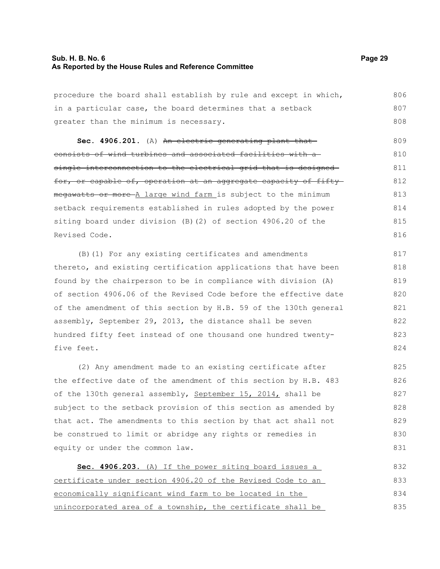# **Sub. H. B. No. 6 Page 29 As Reported by the House Rules and Reference Committee**

procedure the board shall establish by rule and except in which, in a particular case, the board determines that a setback greater than the minimum is necessary. 806 807 808

Sec. 4906.201. (A) An electric generating plant that consists of wind turbines and associated facilities with a single interconnection to the electrical grid that is designed for, or capable of, operation at an aggregate capacity of fiftymegawatts or more A large wind farm is subject to the minimum setback requirements established in rules adopted by the power siting board under division (B)(2) of section 4906.20 of the Revised Code. 809 810 811 812 813 814 815 816

(B)(1) For any existing certificates and amendments thereto, and existing certification applications that have been found by the chairperson to be in compliance with division (A) of section 4906.06 of the Revised Code before the effective date of the amendment of this section by H.B. 59 of the 130th general assembly, September 29, 2013, the distance shall be seven hundred fifty feet instead of one thousand one hundred twentyfive feet. 817 818 819 820 821 822 823 824

(2) Any amendment made to an existing certificate after the effective date of the amendment of this section by H.B. 483 of the 130th general assembly, September 15, 2014, shall be subject to the setback provision of this section as amended by that act. The amendments to this section by that act shall not be construed to limit or abridge any rights or remedies in equity or under the common law. 825 826 827 828 829 830 831

 **Sec. 4906.203.** (A) If the power siting board issues a certificate under section 4906.20 of the Revised Code to an economically significant wind farm to be located in the unincorporated area of a township, the certificate shall be 832 833 834 835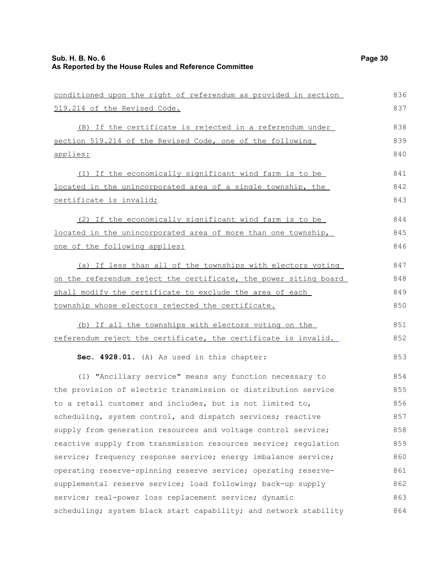| conditioned upon the right of referendum as provided in section  | 836 |
|------------------------------------------------------------------|-----|
| 519.214 of the Revised Code.                                     | 837 |
| (B) If the certificate is rejected in a referendum under         | 838 |
| section 519.214 of the Revised Code, one of the following        | 839 |
| applies:                                                         | 840 |
| (1) If the economically significant wind farm is to be           | 841 |
| located in the unincorporated area of a single township, the     | 842 |
| certificate is invalid;                                          | 843 |
| (2) If the economically significant wind farm is to be           | 844 |
| located in the unincorporated area of more than one township,    | 845 |
| one of the following applies:                                    | 846 |
| (a) If less than all of the townships with electors voting       | 847 |
| on the referendum reject the certificate, the power siting board | 848 |
| shall modify the certificate to exclude the area of each         | 849 |
| township whose electors rejected the certificate.                | 850 |
| (b) If all the townships with electors voting on the             | 851 |
| referendum reject the certificate, the certificate is invalid.   | 852 |
| Sec. 4928.01. (A) As used in this chapter:                       | 853 |
| (1) "Ancillary service" means any function necessary to          | 854 |
| the provision of electric transmission or distribution service   | 855 |
| to a retail customer and includes, but is not limited to,        | 856 |
| scheduling, system control, and dispatch services; reactive      | 857 |
| supply from generation resources and voltage control service;    | 858 |
| reactive supply from transmission resources service; regulation  | 859 |
| service; frequency response service; energy imbalance service;   | 860 |
| operating reserve-spinning reserve service; operating reserve-   | 861 |
| supplemental reserve service; load following; back-up supply     | 862 |
| service; real-power loss replacement service; dynamic            | 863 |
| scheduling; system black start capability; and network stability | 864 |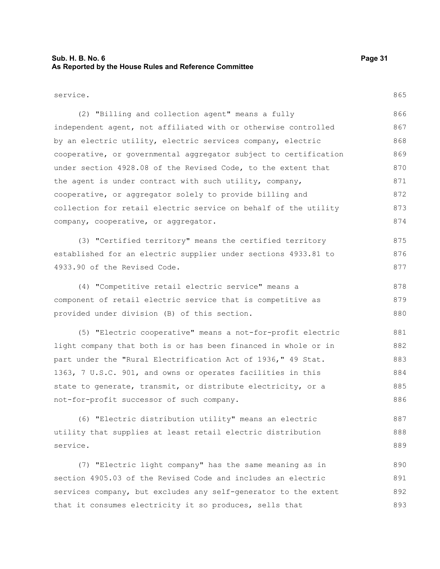# **Sub. H. B. No. 6 Page 31 As Reported by the House Rules and Reference Committee**

service.

875 876 877

(2) "Billing and collection agent" means a fully independent agent, not affiliated with or otherwise controlled by an electric utility, electric services company, electric cooperative, or governmental aggregator subject to certification under section 4928.08 of the Revised Code, to the extent that the agent is under contract with such utility, company, cooperative, or aggregator solely to provide billing and collection for retail electric service on behalf of the utility company, cooperative, or aggregator. 866 867 868 869 870 871 872 873 874

(3) "Certified territory" means the certified territory established for an electric supplier under sections 4933.81 to 4933.90 of the Revised Code.

(4) "Competitive retail electric service" means a component of retail electric service that is competitive as provided under division (B) of this section. 878 879 880

(5) "Electric cooperative" means a not-for-profit electric light company that both is or has been financed in whole or in part under the "Rural Electrification Act of 1936," 49 Stat. 1363, 7 U.S.C. 901, and owns or operates facilities in this state to generate, transmit, or distribute electricity, or a not-for-profit successor of such company. 881 882 883 884 885 886

(6) "Electric distribution utility" means an electric utility that supplies at least retail electric distribution service. 887 888 889

(7) "Electric light company" has the same meaning as in section 4905.03 of the Revised Code and includes an electric services company, but excludes any self-generator to the extent that it consumes electricity it so produces, sells that 890 891 892 893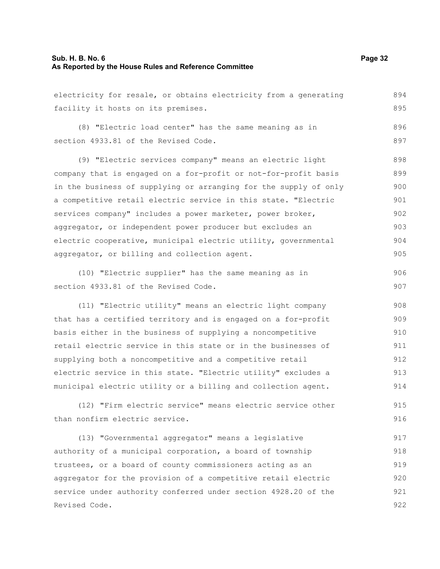# **Sub. H. B. No. 6 Page 32 As Reported by the House Rules and Reference Committee**

electricity for resale, or obtains electricity from a generating facility it hosts on its premises. (8) "Electric load center" has the same meaning as in section 4933.81 of the Revised Code. (9) "Electric services company" means an electric light company that is engaged on a for-profit or not-for-profit basis in the business of supplying or arranging for the supply of only a competitive retail electric service in this state. "Electric services company" includes a power marketer, power broker, aggregator, or independent power producer but excludes an electric cooperative, municipal electric utility, governmental aggregator, or billing and collection agent. 894 895 896 897 899 900 901 902 903 904 905

(10) "Electric supplier" has the same meaning as in section 4933.81 of the Revised Code. 906 907

(11) "Electric utility" means an electric light company that has a certified territory and is engaged on a for-profit basis either in the business of supplying a noncompetitive retail electric service in this state or in the businesses of supplying both a noncompetitive and a competitive retail electric service in this state. "Electric utility" excludes a municipal electric utility or a billing and collection agent. 908 909 910 911 912 913 914

(12) "Firm electric service" means electric service other than nonfirm electric service. 915 916

(13) "Governmental aggregator" means a legislative authority of a municipal corporation, a board of township trustees, or a board of county commissioners acting as an aggregator for the provision of a competitive retail electric service under authority conferred under section 4928.20 of the Revised Code. 917 918 919 920 921 922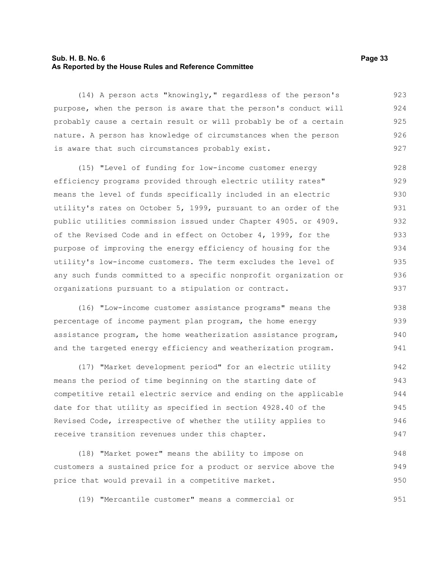# **Sub. H. B. No. 6 Page 33 As Reported by the House Rules and Reference Committee**

(14) A person acts "knowingly," regardless of the person's purpose, when the person is aware that the person's conduct will probably cause a certain result or will probably be of a certain nature. A person has knowledge of circumstances when the person is aware that such circumstances probably exist. 923 924 925 926 927

(15) "Level of funding for low-income customer energy efficiency programs provided through electric utility rates" means the level of funds specifically included in an electric utility's rates on October 5, 1999, pursuant to an order of the public utilities commission issued under Chapter 4905. or 4909. of the Revised Code and in effect on October 4, 1999, for the purpose of improving the energy efficiency of housing for the utility's low-income customers. The term excludes the level of any such funds committed to a specific nonprofit organization or organizations pursuant to a stipulation or contract. 928 929 930 931 932 933 934 935 936 937

(16) "Low-income customer assistance programs" means the percentage of income payment plan program, the home energy assistance program, the home weatherization assistance program, and the targeted energy efficiency and weatherization program. 938 939 940 941

(17) "Market development period" for an electric utility means the period of time beginning on the starting date of competitive retail electric service and ending on the applicable date for that utility as specified in section 4928.40 of the Revised Code, irrespective of whether the utility applies to receive transition revenues under this chapter. 942 943 944 945 946 947

(18) "Market power" means the ability to impose on customers a sustained price for a product or service above the price that would prevail in a competitive market. 948 949 950

(19) "Mercantile customer" means a commercial or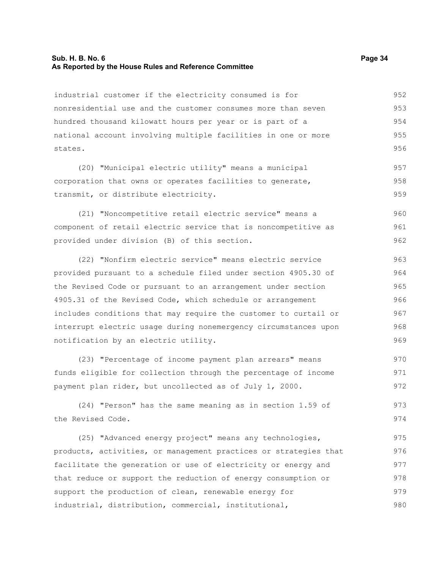# **Sub. H. B. No. 6 Page 34 As Reported by the House Rules and Reference Committee**

industrial customer if the electricity consumed is for nonresidential use and the customer consumes more than seven hundred thousand kilowatt hours per year or is part of a national account involving multiple facilities in one or more states. 952 953 954 955 956

(20) "Municipal electric utility" means a municipal corporation that owns or operates facilities to generate, transmit, or distribute electricity. 957 958 959

(21) "Noncompetitive retail electric service" means a component of retail electric service that is noncompetitive as provided under division (B) of this section. 960 961 962

(22) "Nonfirm electric service" means electric service provided pursuant to a schedule filed under section 4905.30 of the Revised Code or pursuant to an arrangement under section 4905.31 of the Revised Code, which schedule or arrangement includes conditions that may require the customer to curtail or interrupt electric usage during nonemergency circumstances upon notification by an electric utility. 963 964 965 966 967 968 969

(23) "Percentage of income payment plan arrears" means funds eligible for collection through the percentage of income payment plan rider, but uncollected as of July 1, 2000. 970 971 972

(24) "Person" has the same meaning as in section 1.59 of the Revised Code. 973 974

(25) "Advanced energy project" means any technologies, products, activities, or management practices or strategies that facilitate the generation or use of electricity or energy and that reduce or support the reduction of energy consumption or support the production of clean, renewable energy for industrial, distribution, commercial, institutional, 975 976 977 978 979 980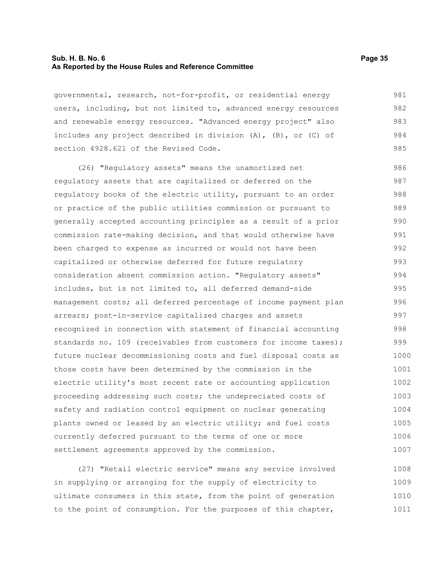# **Sub. H. B. No. 6 Page 35 As Reported by the House Rules and Reference Committee**

governmental, research, not-for-profit, or residential energy users, including, but not limited to, advanced energy resources and renewable energy resources. "Advanced energy project" also includes any project described in division (A), (B), or (C) of section 4928.621 of the Revised Code. 981 982 983 984 985

(26) "Regulatory assets" means the unamortized net regulatory assets that are capitalized or deferred on the regulatory books of the electric utility, pursuant to an order or practice of the public utilities commission or pursuant to generally accepted accounting principles as a result of a prior commission rate-making decision, and that would otherwise have been charged to expense as incurred or would not have been capitalized or otherwise deferred for future regulatory consideration absent commission action. "Regulatory assets" includes, but is not limited to, all deferred demand-side management costs; all deferred percentage of income payment plan arrears; post-in-service capitalized charges and assets recognized in connection with statement of financial accounting standards no. 109 (receivables from customers for income taxes); future nuclear decommissioning costs and fuel disposal costs as those costs have been determined by the commission in the electric utility's most recent rate or accounting application proceeding addressing such costs; the undepreciated costs of safety and radiation control equipment on nuclear generating plants owned or leased by an electric utility; and fuel costs currently deferred pursuant to the terms of one or more settlement agreements approved by the commission. 986 987 988 989 990 991 992 993 994 995 996 997 998 999 1000 1001 1002 1003 1004 1005 1006 1007

(27) "Retail electric service" means any service involved in supplying or arranging for the supply of electricity to ultimate consumers in this state, from the point of generation to the point of consumption. For the purposes of this chapter, 1008 1009 1010 1011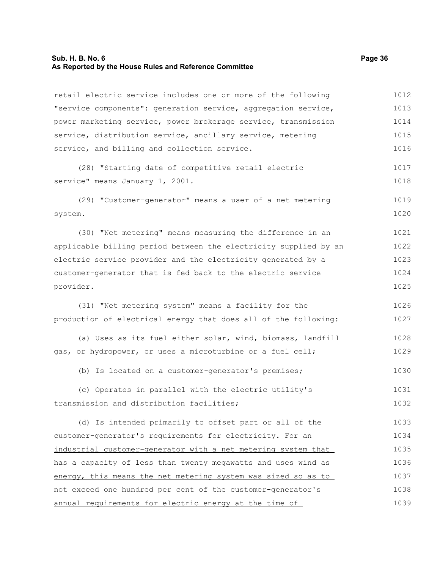# **Sub. H. B. No. 6 Page 36 As Reported by the House Rules and Reference Committee**

retail electric service includes one or more of the following "service components": generation service, aggregation service, power marketing service, power brokerage service, transmission service, distribution service, ancillary service, metering service, and billing and collection service. (28) "Starting date of competitive retail electric service" means January 1, 2001. (29) "Customer-generator" means a user of a net metering system. (30) "Net metering" means measuring the difference in an applicable billing period between the electricity supplied by an electric service provider and the electricity generated by a customer-generator that is fed back to the electric service provider. (31) "Net metering system" means a facility for the production of electrical energy that does all of the following: (a) Uses as its fuel either solar, wind, biomass, landfill gas, or hydropower, or uses a microturbine or a fuel cell; (b) Is located on a customer-generator's premises; (c) Operates in parallel with the electric utility's transmission and distribution facilities; 1012 1013 1014 1015 1016 1017 1018 1019 1020 1021 1022 1023 1024 1025 1026 1027 1028 1029 1030 1031 1032

(d) Is intended primarily to offset part or all of the customer-generator's requirements for electricity. For an industrial customer-generator with a net metering system that has a capacity of less than twenty megawatts and uses wind as energy, this means the net metering system was sized so as to not exceed one hundred per cent of the customer-generator's annual requirements for electric energy at the time of 1033 1034 1035 1036 1037 1038 1039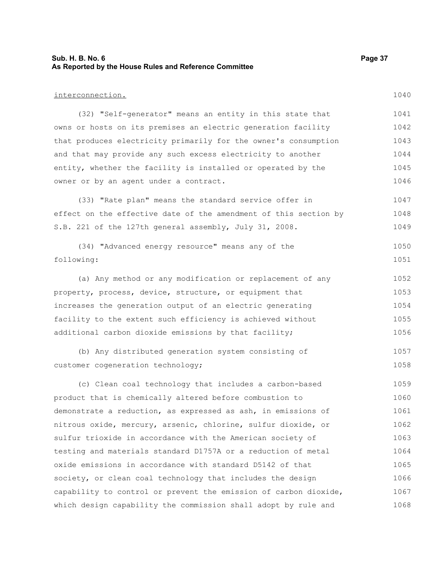# **Sub. H. B. No. 6 Page 37 As Reported by the House Rules and Reference Committee**

interconnection. (32) "Self-generator" means an entity in this state that owns or hosts on its premises an electric generation facility that produces electricity primarily for the owner's consumption and that may provide any such excess electricity to another entity, whether the facility is installed or operated by the owner or by an agent under a contract. (33) "Rate plan" means the standard service offer in effect on the effective date of the amendment of this section by S.B. 221 of the 127th general assembly, July 31, 2008. (34) "Advanced energy resource" means any of the following: (a) Any method or any modification or replacement of any property, process, device, structure, or equipment that increases the generation output of an electric generating facility to the extent such efficiency is achieved without additional carbon dioxide emissions by that facility; (b) Any distributed generation system consisting of customer cogeneration technology; (c) Clean coal technology that includes a carbon-based product that is chemically altered before combustion to demonstrate a reduction, as expressed as ash, in emissions of nitrous oxide, mercury, arsenic, chlorine, sulfur dioxide, or sulfur trioxide in accordance with the American society of testing and materials standard D1757A or a reduction of metal oxide emissions in accordance with standard D5142 of that society, or clean coal technology that includes the design capability to control or prevent the emission of carbon dioxide, 1040 1041 1042 1043 1044 1045 1046 1047 1048 1049 1050 1051 1052 1053 1054 1055 1056 1057 1058 1059 1060 1061 1062 1063 1064 1065 1066 1067

#### which design capability the commission shall adopt by rule and 1068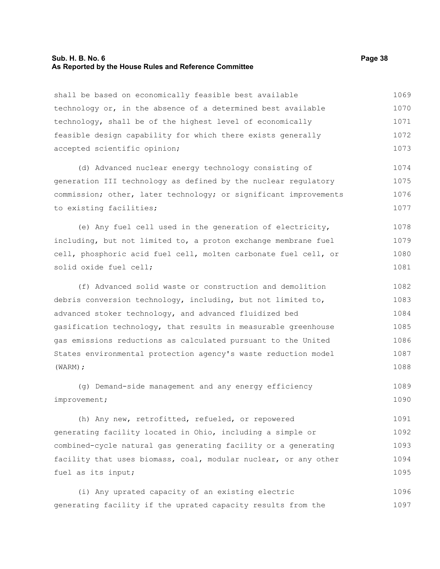#### **Sub. H. B. No. 6 Page 38 As Reported by the House Rules and Reference Committee**

shall be based on economically feasible best available technology or, in the absence of a determined best available technology, shall be of the highest level of economically feasible design capability for which there exists generally accepted scientific opinion; 1069 1070 1071 1072 1073

(d) Advanced nuclear energy technology consisting of generation III technology as defined by the nuclear regulatory commission; other, later technology; or significant improvements to existing facilities; 1074 1075 1076 1077

(e) Any fuel cell used in the generation of electricity, including, but not limited to, a proton exchange membrane fuel cell, phosphoric acid fuel cell, molten carbonate fuel cell, or solid oxide fuel cell; 1078 1079 1080 1081

(f) Advanced solid waste or construction and demolition debris conversion technology, including, but not limited to, advanced stoker technology, and advanced fluidized bed gasification technology, that results in measurable greenhouse gas emissions reductions as calculated pursuant to the United States environmental protection agency's waste reduction model (WARM); 1082 1083 1084 1085 1086 1087 1088

(g) Demand-side management and any energy efficiency improvement; 1089 1090

(h) Any new, retrofitted, refueled, or repowered generating facility located in Ohio, including a simple or combined-cycle natural gas generating facility or a generating facility that uses biomass, coal, modular nuclear, or any other fuel as its input; 1091 1092 1093 1094 1095

(i) Any uprated capacity of an existing electric generating facility if the uprated capacity results from the 1096 1097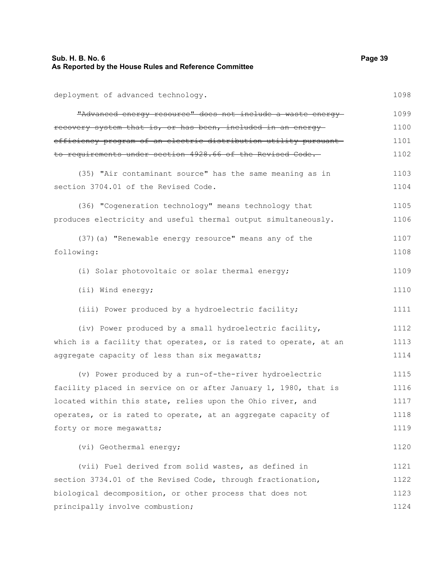deployment of advanced technology. "Advanced energy resource" does not include a waste energy recovery system that is, or has been, included in an energy efficiency program of an electric distribution utility pursuant to requirements under section 4928.66 of the Revised Code. (35) "Air contaminant source" has the same meaning as in section 3704.01 of the Revised Code. (36) "Cogeneration technology" means technology that produces electricity and useful thermal output simultaneously. (37)(a) "Renewable energy resource" means any of the following: (i) Solar photovoltaic or solar thermal energy; (ii) Wind energy; (iii) Power produced by a hydroelectric facility; (iv) Power produced by a small hydroelectric facility, which is a facility that operates, or is rated to operate, at an aggregate capacity of less than six megawatts; (v) Power produced by a run-of-the-river hydroelectric facility placed in service on or after January 1, 1980, that is located within this state, relies upon the Ohio river, and operates, or is rated to operate, at an aggregate capacity of forty or more megawatts; (vi) Geothermal energy; (vii) Fuel derived from solid wastes, as defined in section 3734.01 of the Revised Code, through fractionation, biological decomposition, or other process that does not principally involve combustion; 1098 1099 1100 1101 1102 1103 1104 1105 1106 1107 1108 1109 1110 1111 1112 1113 1114 1115 1116 1117 1118 1119 1120 1121 1122 1123 1124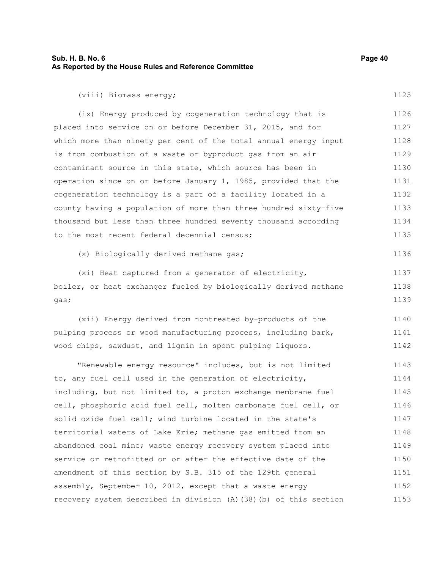| Sub. H. B. No. 6<br>As Reported by the House Rules and Reference Committee | Page 40 |
|----------------------------------------------------------------------------|---------|
| (viii) Biomass energy;                                                     | 1125    |
| (ix) Energy produced by cogeneration technology that is                    | 1126    |
| placed into service on or before December 31, 2015, and for                | 1127    |
| which more than ninety per cent of the total annual energy input           | 1128    |
| is from combustion of a waste or byproduct gas from an air                 | 1129    |
| contaminant source in this state, which source has been in                 | 1130    |
| operation since on or before January 1, 1985, provided that the            | 1131    |
| cogeneration technology is a part of a facility located in a               | 1132    |
| county having a population of more than three hundred sixty-five           | 1133    |
| thousand but less than three hundred seventy thousand according            | 1134    |
| to the most recent federal decennial census;                               | 1135    |
| (x) Biologically derived methane gas;                                      | 1136    |
| (xi) Heat captured from a generator of electricity,                        | 1137    |
| boiler, or heat exchanger fueled by biologically derived methane           | 1138    |
| qas;                                                                       | 1139    |
| (xii) Energy derived from nontreated by-products of the                    | 1140    |
| pulping process or wood manufacturing process, including bark,             | 1141    |
| wood chips, sawdust, and lignin in spent pulping liquors.                  | 1142    |
| "Renewable energy resource" includes, but is not limited                   | 1143    |
| to, any fuel cell used in the generation of electricity,                   | 1144    |
| including, but not limited to, a proton exchange membrane fuel             | 1145    |
| coll phoephoric acid fuol coll molton carbonato fuol coll or               | 1116    |

cell, phosphoric acid fuel cell, molten carbonate fuel cell, or solid oxide fuel cell; wind turbine located in the state's territorial waters of Lake Erie; methane gas emitted from an abandoned coal mine; waste energy recovery system placed into service or retrofitted on or after the effective date of the amendment of this section by S.B. 315 of the 129th general assembly, September 10, 2012, except that a waste energy recovery system described in division (A)(38)(b) of this section  $15$ 1146 1147 1148 1149 1150 1151 1152 1153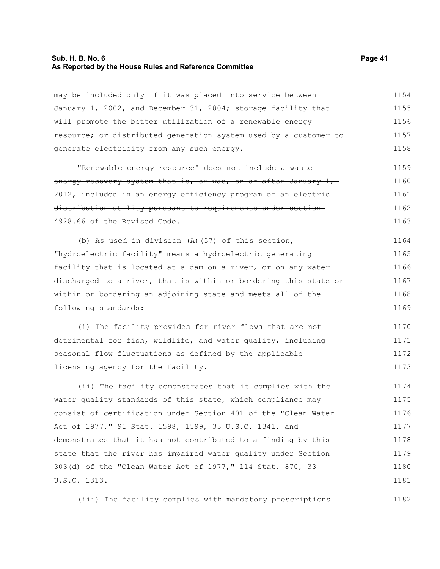#### **Sub. H. B. No. 6 Page 41 As Reported by the House Rules and Reference Committee**

may be included only if it was placed into service between January 1, 2002, and December 31, 2004; storage facility that will promote the better utilization of a renewable energy resource; or distributed generation system used by a customer to generate electricity from any such energy. 1154 1155 1156 1157 1158

"Renewable energy resource" does not include a waste energy recovery system that is, or was, on or after January  $1, -1$ 2012, included in an energy efficiency program of an electric distribution utility pursuant to requirements under section 4928.66 of the Revised Code. 1159 1160 1161 1162 1163

(b) As used in division (A)(37) of this section, "hydroelectric facility" means a hydroelectric generating facility that is located at a dam on a river, or on any water discharged to a river, that is within or bordering this state or within or bordering an adjoining state and meets all of the following standards: 1164 1165 1166 1167 1168 1169

(i) The facility provides for river flows that are not detrimental for fish, wildlife, and water quality, including seasonal flow fluctuations as defined by the applicable licensing agency for the facility. 1170 1171 1172 1173

(ii) The facility demonstrates that it complies with the water quality standards of this state, which compliance may consist of certification under Section 401 of the "Clean Water Act of 1977," 91 Stat. 1598, 1599, 33 U.S.C. 1341, and demonstrates that it has not contributed to a finding by this state that the river has impaired water quality under Section 303(d) of the "Clean Water Act of 1977," 114 Stat. 870, 33 U.S.C. 1313. 1174 1175 1176 1177 1178 1179 1180 1181

(iii) The facility complies with mandatory prescriptions 1182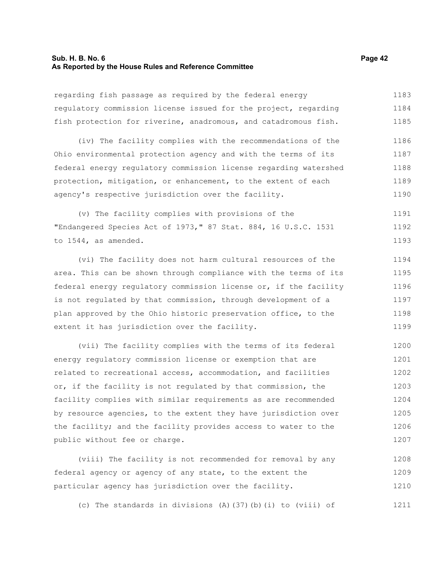#### **Sub. H. B. No. 6 Page 42 As Reported by the House Rules and Reference Committee**

regarding fish passage as required by the federal energy regulatory commission license issued for the project, regarding fish protection for riverine, anadromous, and catadromous fish. 1183 1184 1185

(iv) The facility complies with the recommendations of the Ohio environmental protection agency and with the terms of its federal energy regulatory commission license regarding watershed protection, mitigation, or enhancement, to the extent of each agency's respective jurisdiction over the facility. 1186 1187 1188 1189 1190

(v) The facility complies with provisions of the "Endangered Species Act of 1973," 87 Stat. 884, 16 U.S.C. 1531 to 1544, as amended. 1191 1192 1193

(vi) The facility does not harm cultural resources of the area. This can be shown through compliance with the terms of its federal energy regulatory commission license or, if the facility is not regulated by that commission, through development of a plan approved by the Ohio historic preservation office, to the extent it has jurisdiction over the facility. 1194 1195 1196 1197 1198 1199

(vii) The facility complies with the terms of its federal energy regulatory commission license or exemption that are related to recreational access, accommodation, and facilities or, if the facility is not regulated by that commission, the facility complies with similar requirements as are recommended by resource agencies, to the extent they have jurisdiction over the facility; and the facility provides access to water to the public without fee or charge. 1200 1201 1202 1203 1204 1205 1206 1207

(viii) The facility is not recommended for removal by any federal agency or agency of any state, to the extent the particular agency has jurisdiction over the facility. 1208 1209 1210

(c) The standards in divisions (A)(37)(b)(i) to (viii) of 1211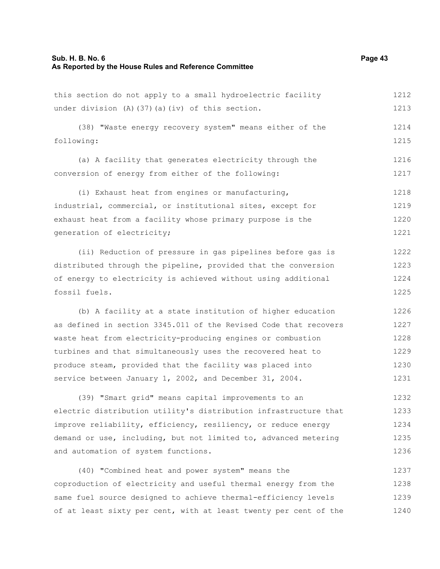# **Sub. H. B. No. 6 Page 43 As Reported by the House Rules and Reference Committee**

this section do not apply to a small hydroelectric facility under division (A)(37)(a)(iv) of this section. (38) "Waste energy recovery system" means either of the following: (a) A facility that generates electricity through the conversion of energy from either of the following: (i) Exhaust heat from engines or manufacturing, industrial, commercial, or institutional sites, except for exhaust heat from a facility whose primary purpose is the generation of electricity; (ii) Reduction of pressure in gas pipelines before gas is distributed through the pipeline, provided that the conversion of energy to electricity is achieved without using additional fossil fuels. 1212 1213 1214 1215 1216 1217 1218 1219 1220 1221 1222 1223 1224 1225

(b) A facility at a state institution of higher education as defined in section 3345.011 of the Revised Code that recovers waste heat from electricity-producing engines or combustion turbines and that simultaneously uses the recovered heat to produce steam, provided that the facility was placed into service between January 1, 2002, and December 31, 2004. 1226 1227 1228 1229 1230 1231

(39) "Smart grid" means capital improvements to an electric distribution utility's distribution infrastructure that improve reliability, efficiency, resiliency, or reduce energy demand or use, including, but not limited to, advanced metering and automation of system functions. 1232 1233 1234 1235 1236

(40) "Combined heat and power system" means the coproduction of electricity and useful thermal energy from the same fuel source designed to achieve thermal-efficiency levels of at least sixty per cent, with at least twenty per cent of the 1237 1238 1239 1240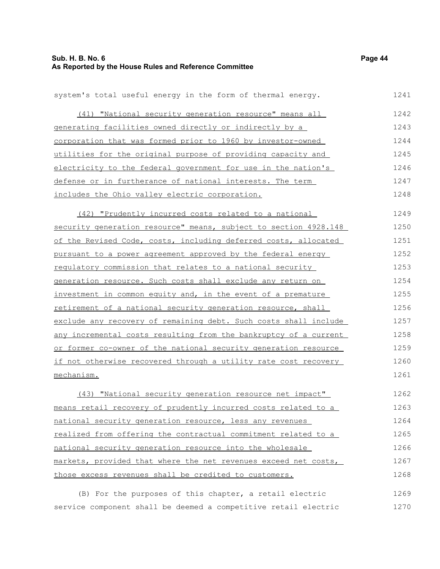1266 1267 1268

| system's total useful energy in the form of thermal energy.      | 1241 |
|------------------------------------------------------------------|------|
| (41) "National security generation resource" means all           | 1242 |
| generating facilities owned directly or indirectly by a          | 1243 |
| corporation that was formed prior to 1960 by investor-owned      | 1244 |
| utilities for the original purpose of providing capacity and     | 1245 |
| electricity to the federal government for use in the nation's    | 1246 |
| defense or in furtherance of national interests. The term        | 1247 |
| includes the Ohio valley electric corporation.                   | 1248 |
| (42) "Prudently incurred costs related to a national             | 1249 |
| security generation resource" means, subject to section 4928.148 | 1250 |
| of the Revised Code, costs, including deferred costs, allocated  | 1251 |
| pursuant to a power agreement approved by the federal energy     | 1252 |
| requiatory commission that relates to a national security        | 1253 |
| generation resource. Such costs shall exclude any return on      | 1254 |
| investment in common equity and, in the event of a premature     | 1255 |
| retirement of a national security generation resource, shall     | 1256 |
| exclude any recovery of remaining debt. Such costs shall include | 1257 |
| any incremental costs resulting from the bankruptcy of a current | 1258 |
| or former co-owner of the national security generation resource  | 1259 |
| if not otherwise recovered through a utility rate cost recovery  | 1260 |
| mechanism.                                                       | 1261 |
| (43) "National security generation resource net impact"          | 1262 |
| means retail recovery of prudently incurred costs related to a   | 1263 |
| national security generation resource, less any revenues         | 1264 |
| realized from offering the contractual commitment related to a   | 1265 |

markets, provided that where the net revenues exceed net costs, those excess revenues shall be credited to customers.

national security generation resource into the wholesale

(B) For the purposes of this chapter, a retail electric service component shall be deemed a competitive retail electric 1269 1270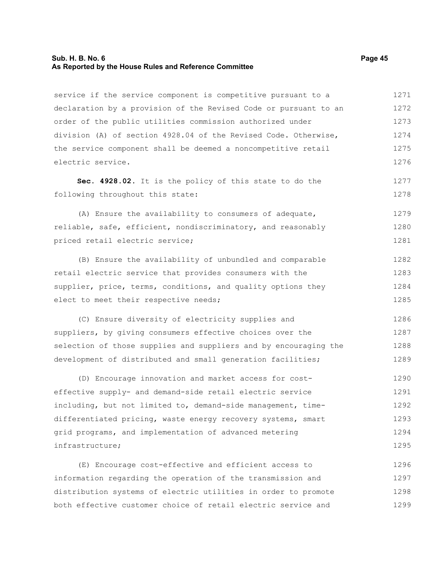#### **Sub. H. B. No. 6 Page 45 As Reported by the House Rules and Reference Committee**

service if the service component is competitive pursuant to a declaration by a provision of the Revised Code or pursuant to an order of the public utilities commission authorized under division (A) of section 4928.04 of the Revised Code. Otherwise, the service component shall be deemed a noncompetitive retail electric service. 1271 1272 1273 1274 1275 1276

**Sec. 4928.02.** It is the policy of this state to do the following throughout this state:

(A) Ensure the availability to consumers of adequate, reliable, safe, efficient, nondiscriminatory, and reasonably priced retail electric service; 1279 1280 1281

(B) Ensure the availability of unbundled and comparable retail electric service that provides consumers with the supplier, price, terms, conditions, and quality options they elect to meet their respective needs; 1282 1283 1284 1285

(C) Ensure diversity of electricity supplies and suppliers, by giving consumers effective choices over the selection of those supplies and suppliers and by encouraging the development of distributed and small generation facilities; 1286 1287 1288 1289

(D) Encourage innovation and market access for costeffective supply- and demand-side retail electric service including, but not limited to, demand-side management, timedifferentiated pricing, waste energy recovery systems, smart grid programs, and implementation of advanced metering infrastructure; 1290 1291 1292 1293 1294 1295

(E) Encourage cost-effective and efficient access to information regarding the operation of the transmission and distribution systems of electric utilities in order to promote both effective customer choice of retail electric service and 1296 1297 1298 1299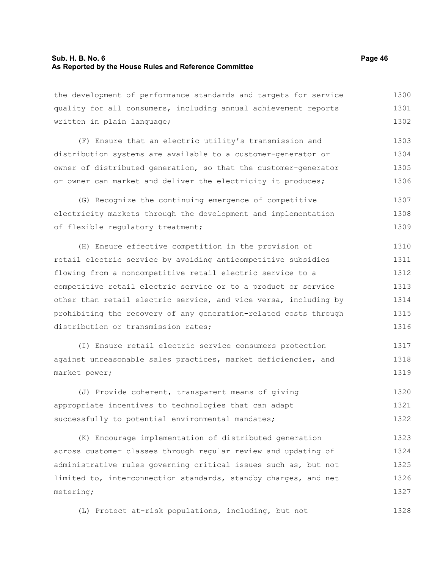the development of performance standards and targets for service quality for all consumers, including annual achievement reports written in plain language; 1300 1301 1302

(F) Ensure that an electric utility's transmission and distribution systems are available to a customer-generator or owner of distributed generation, so that the customer-generator or owner can market and deliver the electricity it produces; 1303 1304 1305 1306

(G) Recognize the continuing emergence of competitive electricity markets through the development and implementation of flexible regulatory treatment; 1307 1308 1309

(H) Ensure effective competition in the provision of retail electric service by avoiding anticompetitive subsidies flowing from a noncompetitive retail electric service to a competitive retail electric service or to a product or service other than retail electric service, and vice versa, including by prohibiting the recovery of any generation-related costs through distribution or transmission rates; 1310 1311 1312 1313 1314 1315 1316

(I) Ensure retail electric service consumers protection against unreasonable sales practices, market deficiencies, and market power; 1317 1318 1319

(J) Provide coherent, transparent means of giving appropriate incentives to technologies that can adapt successfully to potential environmental mandates; 1320 1321 1322

(K) Encourage implementation of distributed generation across customer classes through regular review and updating of administrative rules governing critical issues such as, but not limited to, interconnection standards, standby charges, and net metering; 1323 1324 1325 1326 1327

(L) Protect at-risk populations, including, but not 1328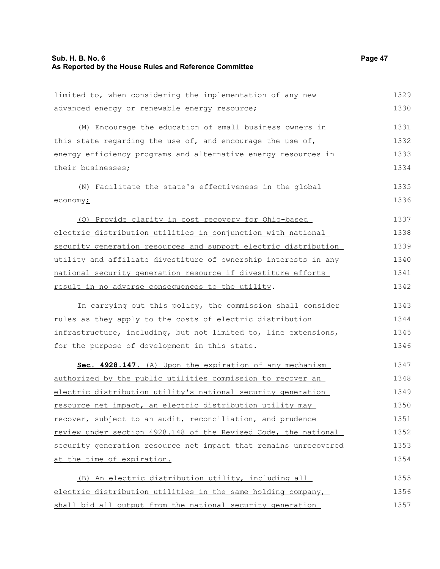limited to, when considering the implementation of any new

advanced energy or renewable energy resource; (M) Encourage the education of small business owners in this state regarding the use of, and encourage the use of, energy efficiency programs and alternative energy resources in their businesses; (N) Facilitate the state's effectiveness in the global economy $\dot{L}$ (O) Provide clarity in cost recovery for Ohio-based electric distribution utilities in conjunction with national security generation resources and support electric distribution utility and affiliate divestiture of ownership interests in any national security generation resource if divestiture efforts result in no adverse consequences to the utility. In carrying out this policy, the commission shall consider rules as they apply to the costs of electric distribution infrastructure, including, but not limited to, line extensions, for the purpose of development in this state. **Sec. 4928.147.** (A) Upon the expiration of any mechanism authorized by the public utilities commission to recover an electric distribution utility's national security generation resource net impact, an electric distribution utility may recover, subject to an audit, reconciliation, and prudence review under section 4928.148 of the Revised Code, the national security generation resource net impact that remains unrecovered at the time of expiration. (B) An electric distribution utility, including all electric distribution utilities in the same holding company, shall bid all output from the national security generation 1330 1331 1332 1333 1334 1335 1336 1337 1338 1339 1340 1341 1342 1343 1344 1345 1346 1347 1348 1349 1350 1351 1352 1353 1354 1355 1356 1357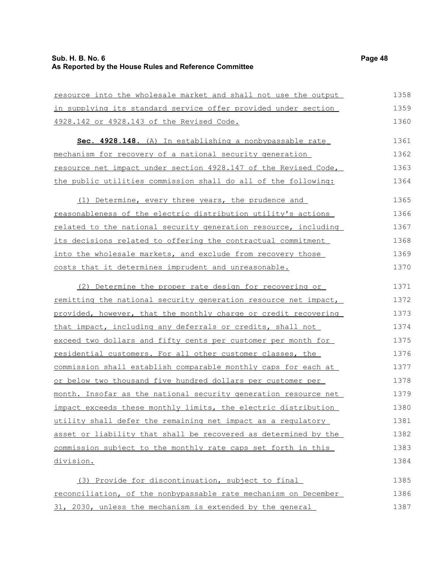resource into the wholesale market and shall not use the output in supplying its standard service offer provided under section 4928.142 or 4928.143 of the Revised Code. **Sec. 4928.148.** (A) In establishing a nonbypassable rate mechanism for recovery of a national security generation resource net impact under section 4928.147 of the Revised Code, the public utilities commission shall do all of the following: (1) Determine, every three years, the prudence and reasonableness of the electric distribution utility's actions related to the national security generation resource, including its decisions related to offering the contractual commitment into the wholesale markets, and exclude from recovery those costs that it determines imprudent and unreasonable. (2) Determine the proper rate design for recovering or remitting the national security generation resource net impact, provided, however, that the monthly charge or credit recovering that impact, including any deferrals or credits, shall not exceed two dollars and fifty cents per customer per month for residential customers. For all other customer classes, the commission shall establish comparable monthly caps for each at or below two thousand five hundred dollars per customer per month. Insofar as the national security generation resource net impact exceeds these monthly limits, the electric distribution utility shall defer the remaining net impact as a regulatory asset or liability that shall be recovered as determined by the commission subject to the monthly rate caps set forth in this division. 1358 1359 1360 1361 1362 1363 1364 1365 1366 1367 1368 1369 1370 1371 1372 1373 1374 1375 1376 1377 1378 1379 1380 1381 1382 1383 1384

(3) Provide for discontinuation, subject to final reconciliation, of the nonbypassable rate mechanism on December 31, 2030, unless the mechanism is extended by the general 1385 1386 1387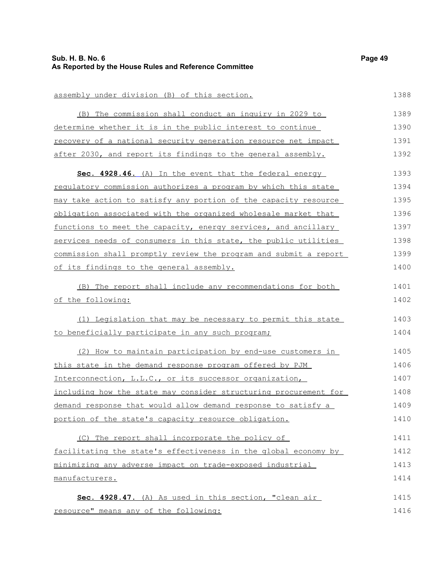| assembly under division (B) of this section.                     | 1388 |
|------------------------------------------------------------------|------|
| (B) The commission shall conduct an inquiry in 2029 to           | 1389 |
| determine whether it is in the public interest to continue       | 1390 |
| recovery of a national security generation resource net impact   | 1391 |
| after 2030, and report its findings to the general assembly.     | 1392 |
| Sec. 4928.46. (A) In the event that the federal energy           | 1393 |
| regulatory commission authorizes a program by which this state   | 1394 |
| may take action to satisfy any portion of the capacity resource  | 1395 |
| obligation associated with the organized wholesale market that   | 1396 |
| functions to meet the capacity, energy services, and ancillary   | 1397 |
| services needs of consumers in this state, the public utilities  | 1398 |
| commission shall promptly review the program and submit a report | 1399 |
| of its findings to the general assembly.                         | 1400 |
| (B) The report shall include any recommendations for both        | 1401 |
| of the following:                                                | 1402 |
| (1) Legislation that may be necessary to permit this state       | 1403 |
| to beneficially participate in any such program;                 | 1404 |
| (2) How to maintain participation by end-use customers in        | 1405 |
| this state in the demand response program offered by PJM         | 1406 |
| Interconnection, L.L.C., or its successor organization,          | 1407 |
| including how the state may consider structuring procurement for | 1408 |
| demand response that would allow demand response to satisfy a    | 1409 |
| portion of the state's capacity resource obligation.             | 1410 |
| (C) The report shall incorporate the policy of                   | 1411 |
| facilitating the state's effectiveness in the global economy by  | 1412 |
| minimizing any adverse impact on trade-exposed industrial        | 1413 |
| manufacturers.                                                   | 1414 |
| Sec. 4928.47. (A) As used in this section, "clean air            | 1415 |
| resource" means any of the following:                            | 1416 |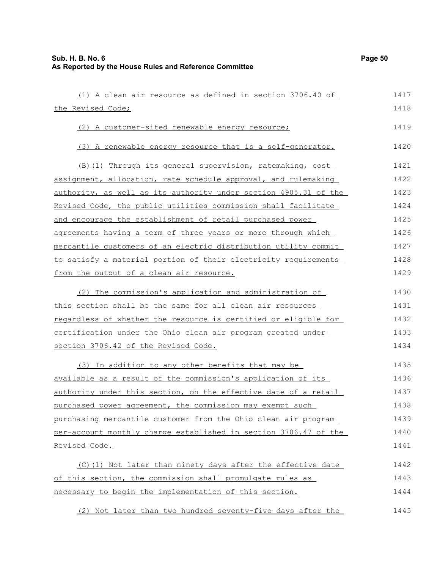| (1) A clean air resource as defined in section 3706.40 of        | 1417 |
|------------------------------------------------------------------|------|
| the Revised Code;                                                | 1418 |
| (2) A customer-sited renewable energy resource;                  | 1419 |
| (3) A renewable energy resource that is a self-generator.        | 1420 |
| (B) (1) Through its general supervision, ratemaking, cost        | 1421 |
| assignment, allocation, rate schedule approval, and rulemaking   | 1422 |
| authority, as well as its authority under section 4905.31 of the | 1423 |
| Revised Code, the public utilities commission shall facilitate   | 1424 |
| and encourage the establishment of retail purchased power        | 1425 |
| agreements having a term of three years or more through which    | 1426 |
| mercantile customers of an electric distribution utility commit  | 1427 |
| to satisfy a material portion of their electricity requirements  | 1428 |
| from the output of a clean air resource.                         | 1429 |
| (2) The commission's application and administration of           | 1430 |
| this section shall be the same for all clean air resources       | 1431 |
| regardless of whether the resource is certified or eligible for  | 1432 |
| certification under the Ohio clean air program created under     | 1433 |
| section 3706.42 of the Revised Code.                             | 1434 |
| (3) In addition to any other benefits that may be                | 1435 |
| available as a result of the commission's application of its     | 1436 |
| authority under this section, on the effective date of a retail  | 1437 |
| purchased power agreement, the commission may exempt such        | 1438 |
| purchasing mercantile customer from the Ohio clean air program   | 1439 |
| per-account monthly charge established in section 3706.47 of the | 1440 |
| Revised Code.                                                    | 1441 |
| (C)(1) Not later than ninety days after the effective date       | 1442 |
| of this section, the commission shall promulgate rules as        | 1443 |
| necessary to begin the implementation of this section.           | 1444 |
| (2) Not later than two hundred seventy-five days after the       | 1445 |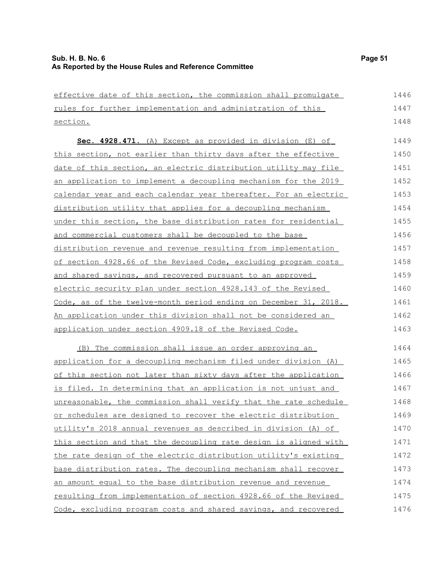| effective date of this section, the commission shall promulgate  | 1446 |
|------------------------------------------------------------------|------|
| rules for further implementation and administration of this      | 1447 |
| section.                                                         | 1448 |
| Sec. 4928.471. (A) Except as provided in division (E) of         | 1449 |
| this section, not earlier than thirty days after the effective   | 1450 |
| date of this section, an electric distribution utility may file  | 1451 |
| an application to implement a decoupling mechanism for the 2019  | 1452 |
| calendar year and each calendar year thereafter. For an electric | 1453 |
| distribution utility that applies for a decoupling mechanism     | 1454 |
| under this section, the base distribution rates for residential  | 1455 |
| and commercial customers shall be decoupled to the base          | 1456 |
| distribution revenue and revenue resulting from implementation   | 1457 |
| of section 4928.66 of the Revised Code, excluding program costs  | 1458 |
| and shared savings, and recovered pursuant to an approved        | 1459 |
| electric security plan under section 4928.143 of the Revised     | 1460 |
| Code, as of the twelve-month period ending on December 31, 2018. | 1461 |
| An application under this division shall not be considered an    | 1462 |
| application under section 4909.18 of the Revised Code.           | 1463 |
| The commission shall issue an order approving an<br>(B)          | 1464 |
| application for a decoupling mechanism filed under division (A)  | 1465 |
| of this section not later than sixty days after the application  | 1466 |
| is filed. In determining that an application is not unjust and   | 1467 |
| unreasonable, the commission shall verify that the rate schedule | 1468 |
| or schedules are designed to recover the electric distribution   | 1469 |
| utility's 2018 annual revenues as described in division (A) of   | 1470 |
| this section and that the decoupling rate design is aligned with | 1471 |
| the rate design of the electric distribution utility's existing  | 1472 |
| base distribution rates. The decoupling mechanism shall recover  | 1473 |
| an amount equal to the base distribution revenue and revenue     | 1474 |
| resulting from implementation of section 4928.66 of the Revised  | 1475 |
| Code, excluding program costs and shared savings, and recovered  | 1476 |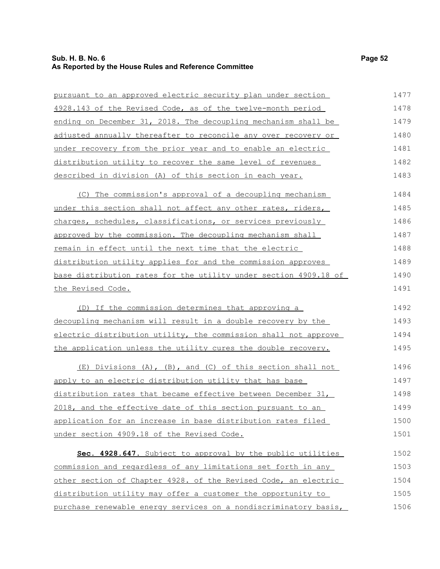# **Sub. H. B. No. 6 Page 52 As Reported by the House Rules and Reference Committee**

| pursuant to an approved electric security plan under section            | 1477 |
|-------------------------------------------------------------------------|------|
| 4928.143 of the Revised Code, as of the twelve-month period             | 1478 |
| ending on December 31, 2018. The decoupling mechanism shall be          | 1479 |
| adjusted annually thereafter to reconcile any over recovery or          | 1480 |
| under recovery from the prior year and to enable an electric            | 1481 |
| distribution utility to recover the same level of revenues              | 1482 |
| described in division (A) of this section in each year.                 | 1483 |
| (C) The commission's approval of a decoupling mechanism                 | 1484 |
| <u>under this section shall not affect any other rates, riders,</u>     | 1485 |
| charges, schedules, classifications, or services previously             | 1486 |
| approved by the commission. The decoupling mechanism shall              | 1487 |
| remain in effect until the next time that the electric                  | 1488 |
| distribution utility applies for and the commission approves            | 1489 |
| <u>base distribution rates for the utility under section 4909.18 of</u> | 1490 |
| the Revised Code.                                                       | 1491 |
| (D) If the commission determines that approving a                       | 1492 |
| decoupling mechanism will result in a double recovery by the            | 1493 |
| electric distribution utility, the commission shall not approve         | 1494 |
| the application unless the utility cures the double recovery.           | 1495 |
| (E) Divisions (A), (B), and (C) of this section shall not               | 1496 |
| apply to an electric distribution utility that has base                 | 1497 |
| distribution rates that became effective between December 31,           | 1498 |
| 2018, and the effective date of this section pursuant to an             | 1499 |
| application for an increase in base distribution rates filed            | 1500 |
| under section 4909.18 of the Revised Code.                              | 1501 |
| Sec. 4928.647. Subject to approval by the public utilities              | 1502 |
| commission and regardless of any limitations set forth in any           | 1503 |
| other section of Chapter 4928. of the Revised Code, an electric         | 1504 |
| distribution utility may offer a customer the opportunity to            | 1505 |
| purchase renewable energy services on a nondiscriminatory basis,        | 1506 |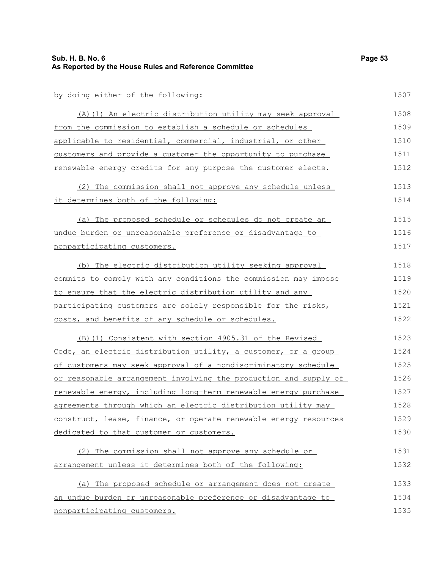| Sub. H. B. No. 6<br>As Reported by the House Rules and Reference Committee | Page 53 |
|----------------------------------------------------------------------------|---------|
| by doing either of the following:                                          | 1507    |
| (A) (1) An electric distribution utility may seek approval                 | 1508    |
| from the commission to establish a schedule or schedules                   | 1509    |
| applicable to residential, commercial, industrial, or other                | 1510    |
| customers and provide a customer the opportunity to purchase               | 1511    |
| renewable energy credits for any purpose the customer elects.              | 1512    |
| (2) The commission shall not approve any schedule unless                   | 1513    |
| it determines both of the following:                                       | 1514    |
| (a) The proposed schedule or schedules do not create an                    | 1515    |
| undue burden or unreasonable preference or disadvantage to                 | 1516    |
| nonparticipating customers.                                                | 1517    |
| (b) The electric distribution utility seeking approval                     | 1518    |
| commits to comply with any conditions the commission may impose            | 1519    |
| to ensure that the electric distribution utility and any                   | 1520    |
| participating customers are solely responsible for the risks,              | 1521    |
| costs, and benefits of any schedule or schedules.                          | 1522    |
| (B) (1) Consistent with section 4905.31 of the Revised                     | 1523    |
| Code, an electric distribution utility, a customer, or a group             | 1524    |
| of customers may seek approval of a nondiscriminatory schedule             | 1525    |
| or reasonable arrangement involving the production and supply of           | 1526    |
| renewable energy, including long-term renewable energy purchase            | 1527    |
| agreements through which an electric distribution utility may              | 1528    |
| construct, lease, finance, or operate renewable energy resources           | 1529    |
| dedicated to that customer or customers.                                   | 1530    |
| (2) The commission shall not approve any schedule or                       | 1531    |
| arrangement unless it determines both of the following:                    | 1532    |
| (a) The proposed schedule or arrangement does not create                   | 1533    |
| an undue burden or unreasonable preference or disadvantage to              | 1534    |
| nonparticipating customers.                                                | 1535    |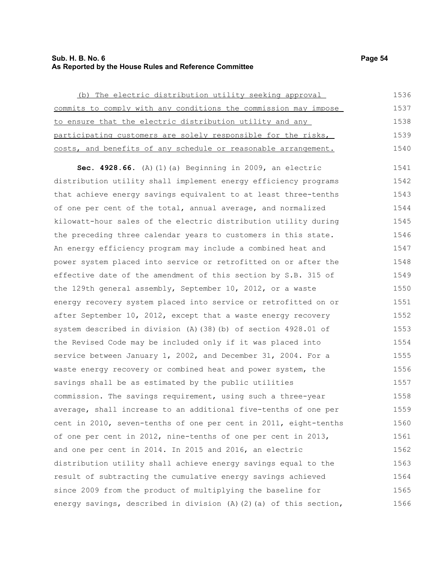# **Sub. H. B. No. 6 Page 54 As Reported by the House Rules and Reference Committee**

(b) The electric distribution utility seeking approval commits to comply with any conditions the commission may impose to ensure that the electric distribution utility and any participating customers are solely responsible for the risks, costs, and benefits of any schedule or reasonable arrangement. 1536 1537 1538 1539 1540

**Sec. 4928.66.** (A)(1)(a) Beginning in 2009, an electric distribution utility shall implement energy efficiency programs that achieve energy savings equivalent to at least three-tenths of one per cent of the total, annual average, and normalized kilowatt-hour sales of the electric distribution utility during the preceding three calendar years to customers in this state. An energy efficiency program may include a combined heat and power system placed into service or retrofitted on or after the effective date of the amendment of this section by S.B. 315 of the 129th general assembly, September 10, 2012, or a waste energy recovery system placed into service or retrofitted on or after September 10, 2012, except that a waste energy recovery system described in division (A)(38)(b) of section 4928.01 of the Revised Code may be included only if it was placed into service between January 1, 2002, and December 31, 2004. For a waste energy recovery or combined heat and power system, the savings shall be as estimated by the public utilities commission. The savings requirement, using such a three-year average, shall increase to an additional five-tenths of one per cent in 2010, seven-tenths of one per cent in 2011, eight-tenths of one per cent in 2012, nine-tenths of one per cent in 2013, and one per cent in 2014. In 2015 and 2016, an electric distribution utility shall achieve energy savings equal to the result of subtracting the cumulative energy savings achieved since 2009 from the product of multiplying the baseline for energy savings, described in division (A)(2)(a) of this section, 1541 1542 1543 1544 1545 1546 1547 1548 1549 1550 1551 1552 1553 1554 1555 1556 1557 1558 1559 1560 1561 1562 1563 1564 1565 1566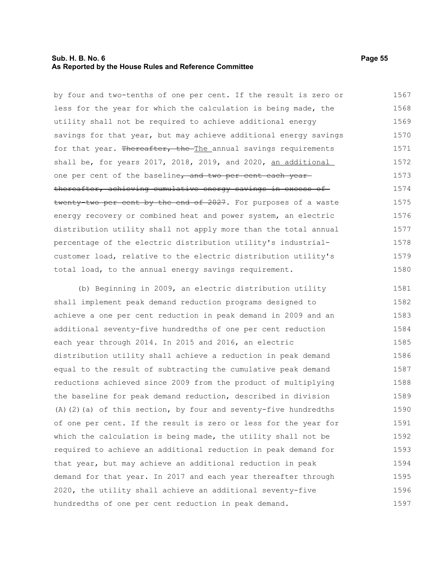# **Sub. H. B. No. 6 Page 55 As Reported by the House Rules and Reference Committee**

by four and two-tenths of one per cent. If the result is zero or less for the year for which the calculation is being made, the utility shall not be required to achieve additional energy savings for that year, but may achieve additional energy savings for that year. Thereafter, the The annual savings requirements shall be, for years 2017, 2018, 2019, and 2020, an additional one per cent of the baseline, and two per cent each yearthereafter, achieving cumulative energy savings in excess of twenty-two per cent by the end of 2027. For purposes of a waste energy recovery or combined heat and power system, an electric distribution utility shall not apply more than the total annual percentage of the electric distribution utility's industrialcustomer load, relative to the electric distribution utility's total load, to the annual energy savings requirement. 1567 1568 1569 1570 1571 1572 1573 1574 1575 1576 1577 1578 1579 1580

(b) Beginning in 2009, an electric distribution utility shall implement peak demand reduction programs designed to achieve a one per cent reduction in peak demand in 2009 and an additional seventy-five hundredths of one per cent reduction each year through 2014. In 2015 and 2016, an electric distribution utility shall achieve a reduction in peak demand equal to the result of subtracting the cumulative peak demand reductions achieved since 2009 from the product of multiplying the baseline for peak demand reduction, described in division (A)(2)(a) of this section, by four and seventy-five hundredths of one per cent. If the result is zero or less for the year for which the calculation is being made, the utility shall not be required to achieve an additional reduction in peak demand for that year, but may achieve an additional reduction in peak demand for that year. In 2017 and each year thereafter through 2020, the utility shall achieve an additional seventy-five hundredths of one per cent reduction in peak demand. 1581 1582 1583 1584 1585 1586 1587 1588 1589 1590 1591 1592 1593 1594 1595 1596 1597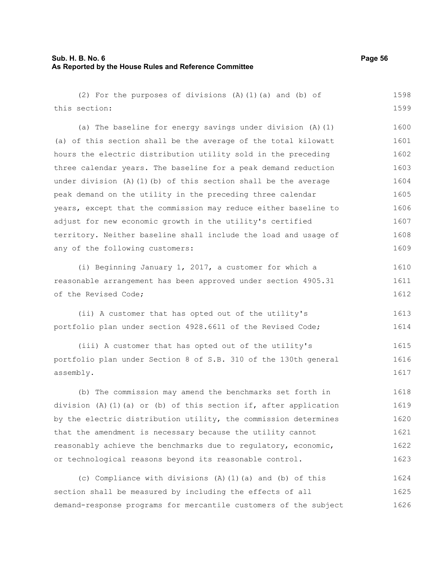| (2) For the purposes of divisions (A) (1) (a) and (b) of          | 1598 |
|-------------------------------------------------------------------|------|
| this section:                                                     | 1599 |
| (a) The baseline for energy savings under division $(A)$ $(1)$    | 1600 |
| (a) of this section shall be the average of the total kilowatt    | 1601 |
| hours the electric distribution utility sold in the preceding     | 1602 |
| three calendar years. The baseline for a peak demand reduction    | 1603 |
| under division $(A) (1) (b)$ of this section shall be the average | 1604 |
| peak demand on the utility in the preceding three calendar        | 1605 |
| years, except that the commission may reduce either baseline to   | 1606 |
| adjust for new economic growth in the utility's certified         | 1607 |
| territory. Neither baseline shall include the load and usage of   | 1608 |
| any of the following customers:                                   | 1609 |
| (i) Beginning January 1, 2017, a customer for which a             | 1610 |
| reasonable arrangement has been approved under section 4905.31    | 1611 |
| of the Revised Code;                                              | 1612 |
| (ii) A customer that has opted out of the utility's               | 1613 |
| portfolio plan under section 4928.6611 of the Revised Code;       | 1614 |
| (iii) A customer that has opted out of the utility's              | 1615 |
| portfolio plan under Section 8 of S.B. 310 of the 130th general   | 1616 |
| assembly.                                                         | 1617 |
| (b) The commission may amend the benchmarks set forth in          | 1618 |
| division (A)(1)(a) or (b) of this section if, after application   | 1619 |
| by the electric distribution utility, the commission determines   | 1620 |
| that the amendment is necessary because the utility cannot        | 1621 |
| reasonably achieve the benchmarks due to regulatory, economic,    | 1622 |
| or technological reasons beyond its reasonable control.           | 1623 |
| (c) Compliance with divisions (A) (1) (a) and (b) of this         | 1624 |
| section shall be measured by including the effects of all         | 1625 |
| demand-response programs for mercantile customers of the subject  | 1626 |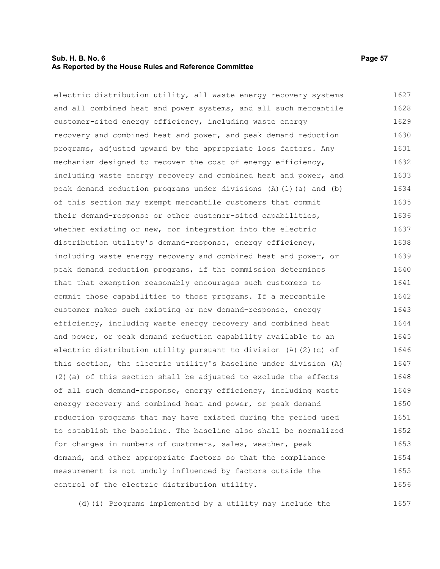# **Sub. H. B. No. 6 Page 57 As Reported by the House Rules and Reference Committee**

electric distribution utility, all waste energy recovery systems and all combined heat and power systems, and all such mercantile customer-sited energy efficiency, including waste energy recovery and combined heat and power, and peak demand reduction programs, adjusted upward by the appropriate loss factors. Any mechanism designed to recover the cost of energy efficiency, including waste energy recovery and combined heat and power, and peak demand reduction programs under divisions (A)(1)(a) and (b) of this section may exempt mercantile customers that commit their demand-response or other customer-sited capabilities, whether existing or new, for integration into the electric distribution utility's demand-response, energy efficiency, including waste energy recovery and combined heat and power, or peak demand reduction programs, if the commission determines that that exemption reasonably encourages such customers to commit those capabilities to those programs. If a mercantile customer makes such existing or new demand-response, energy efficiency, including waste energy recovery and combined heat and power, or peak demand reduction capability available to an electric distribution utility pursuant to division (A)(2)(c) of this section, the electric utility's baseline under division (A)  $(2)$  (a) of this section shall be adjusted to exclude the effects of all such demand-response, energy efficiency, including waste energy recovery and combined heat and power, or peak demand reduction programs that may have existed during the period used to establish the baseline. The baseline also shall be normalized for changes in numbers of customers, sales, weather, peak demand, and other appropriate factors so that the compliance measurement is not unduly influenced by factors outside the control of the electric distribution utility. 1627 1628 1629 1630 1631 1632 1633 1634 1635 1636 1637 1638 1639 1640 1641 1642 1643 1644 1645 1646 1647 1648 1649 1650 1651 1652 1653 1654 1655 1656

(d)(i) Programs implemented by a utility may include the 1657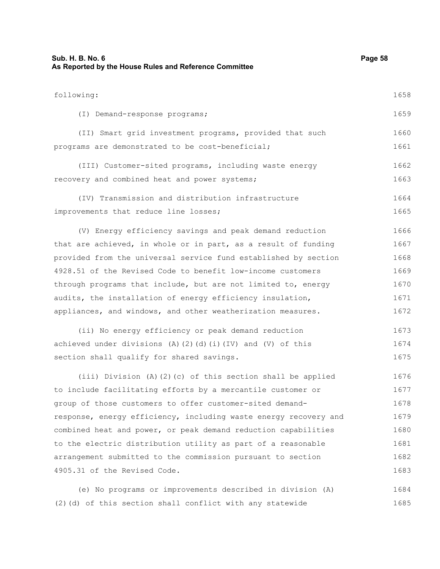| Sub. H. B. No. 6<br>As Reported by the House Rules and Reference Committee | Page 58 |
|----------------------------------------------------------------------------|---------|
| following:                                                                 | 1658    |
| (I) Demand-response programs;                                              | 1659    |
| (II) Smart grid investment programs, provided that such                    | 1660    |
| programs are demonstrated to be cost-beneficial;                           | 1661    |
| (III) Customer-sited programs, including waste energy                      | 1662    |
| recovery and combined heat and power systems;                              | 1663    |
| (IV) Transmission and distribution infrastructure                          | 1664    |
| improvements that reduce line losses;                                      | 1665    |
| (V) Energy efficiency savings and peak demand reduction                    | 1666    |
| that are achieved, in whole or in part, as a result of funding             | 1667    |
| provided from the universal service fund established by section            | 1668    |
| 4928.51 of the Revised Code to benefit low-income customers                | 1669    |
| through programs that include, but are not limited to, energy              | 1670    |
| audits, the installation of energy efficiency insulation,                  | 1671    |
| appliances, and windows, and other weatherization measures.                | 1672    |
| (ii) No energy efficiency or peak demand reduction                         | 1673    |
| achieved under divisions (A)(2)(d)(i)(IV) and (V) of this                  | 1674    |
| section shall qualify for shared savings.                                  | 1675    |
| (iii) Division (A)(2)(c) of this section shall be applied                  | 1676    |
| to include facilitating efforts by a mercantile customer or                | 1677    |
| group of those customers to offer customer-sited demand-                   | 1678    |
| response, energy efficiency, including waste energy recovery and           | 1679    |
| combined heat and power, or peak demand reduction capabilities             | 1680    |
| to the electric distribution utility as part of a reasonable               | 1681    |
| arrangement submitted to the commission pursuant to section                | 1682    |
| 4905.31 of the Revised Code.                                               | 1683    |
| (e) No programs or improvements described in division (A)                  | 1684    |
| (2) (d) of this section shall conflict with any statewide                  | 1685    |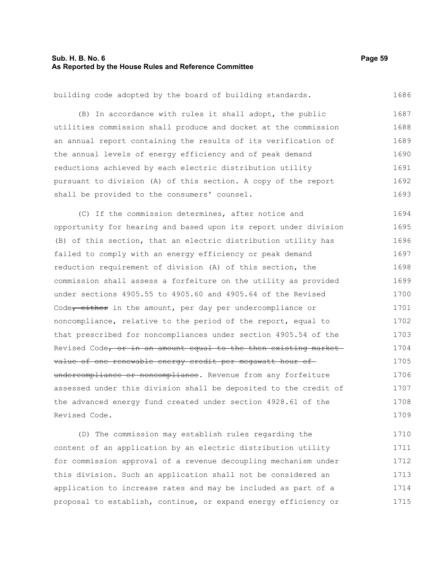| building code adopted by the board of building standards.        | 1686 |
|------------------------------------------------------------------|------|
| (B) In accordance with rules it shall adopt, the public          | 1687 |
| utilities commission shall produce and docket at the commission  | 1688 |
| an annual report containing the results of its verification of   | 1689 |
| the annual levels of energy efficiency and of peak demand        | 1690 |
| reductions achieved by each electric distribution utility        | 1691 |
| pursuant to division (A) of this section. A copy of the report   | 1692 |
| shall be provided to the consumers' counsel.                     | 1693 |
| (C) If the commission determines, after notice and               | 1694 |
| opportunity for hearing and based upon its report under division | 1695 |
| (B) of this section, that an electric distribution utility has   | 1696 |
| failed to comply with an energy efficiency or peak demand        | 1697 |
| reduction requirement of division (A) of this section, the       | 1698 |
| commission shall assess a forfeiture on the utility as provided  | 1699 |
| under sections 4905.55 to 4905.60 and 4905.64 of the Revised     | 1700 |
| Code, either in the amount, per day per undercompliance or       | 1701 |
| noncompliance, relative to the period of the report, equal to    | 1702 |
| that prescribed for noncompliances under section 4905.54 of the  | 1703 |
| Revised Code, or in an amount equal to the then existing market  | 1704 |
| value of one renewable energy credit per megawatt hour of-       | 1705 |
| undercompliance or noncompliance. Revenue from any forfeiture    | 1706 |
| assessed under this division shall be deposited to the credit of | 1707 |
| the advanced energy fund created under section 4928.61 of the    | 1708 |
| Revised Code.                                                    | 1709 |

(D) The commission may establish rules regarding the content of an application by an electric distribution utility for commission approval of a revenue decoupling mechanism under this division. Such an application shall not be considered an application to increase rates and may be included as part of a proposal to establish, continue, or expand energy efficiency or 1710 1711 1712 1713 1714 1715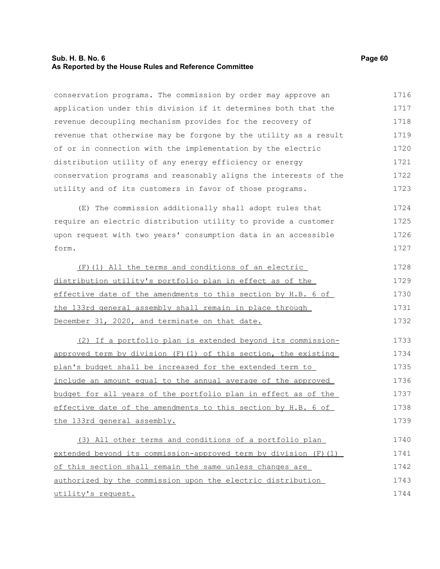# **Sub. H. B. No. 6 Page 60 As Reported by the House Rules and Reference Committee**

conservation programs. The commission by order may approve an application under this division if it determines both that the revenue decoupling mechanism provides for the recovery of revenue that otherwise may be forgone by the utility as a result of or in connection with the implementation by the electric distribution utility of any energy efficiency or energy conservation programs and reasonably aligns the interests of the utility and of its customers in favor of those programs. 1716 1717 1718 1719 1720 1721 1722 1723

(E) The commission additionally shall adopt rules that require an electric distribution utility to provide a customer upon request with two years' consumption data in an accessible form. 1724 1725 1726 1727

| (F)(1) All the terms and conditions of an electric            | 1728 |
|---------------------------------------------------------------|------|
| distribution utility's portfolio plan in effect as of the     | 1729 |
| effective date of the amendments to this section by H.B. 6 of | 1730 |
| the 133rd general assembly shall remain in place through      | 1731 |
| December 31, 2020, and terminate on that date.                | 1732 |

(2) If a portfolio plan is extended beyond its commissionapproved term by division (F)(1) of this section, the existing plan's budget shall be increased for the extended term to include an amount equal to the annual average of the approved budget for all years of the portfolio plan in effect as of the effective date of the amendments to this section by H.B. 6 of the 133rd general assembly. 1733 1734 1735 1736 1737 1738 1739

(3) All other terms and conditions of a portfolio plan extended beyond its commission-approved term by division (F)(1) of this section shall remain the same unless changes are authorized by the commission upon the electric distribution utility's request. 1740 1741 1742 1743 1744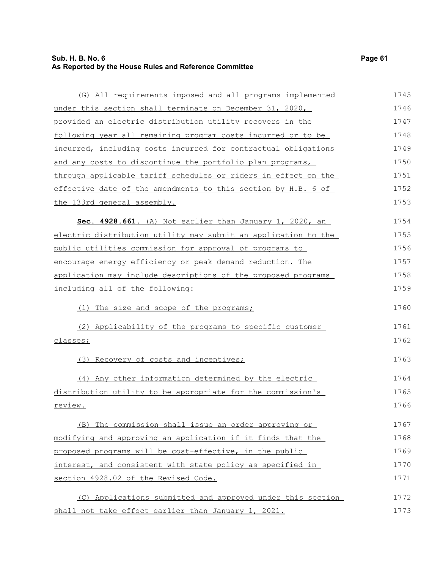(G) All requirements imposed and all programs implemented under this section shall terminate on December 31, 2020, provided an electric distribution utility recovers in the following year all remaining program costs incurred or to be incurred, including costs incurred for contractual obligations and any costs to discontinue the portfolio plan programs, through applicable tariff schedules or riders in effect on the effective date of the amendments to this section by H.B. 6 of the 133rd general assembly. **Sec. 4928.661.** (A) Not earlier than January 1, 2020, an electric distribution utility may submit an application to the public utilities commission for approval of programs to encourage energy efficiency or peak demand reduction. The application may include descriptions of the proposed programs including all of the following: (1) The size and scope of the programs; (2) Applicability of the programs to specific customer classes; (3) Recovery of costs and incentives; (4) Any other information determined by the electric distribution utility to be appropriate for the commission's review. (B) The commission shall issue an order approving or 1745 1746 1747 1748 1749 1750 1751 1752 1753 1754 1755 1756 1757 1758 1759 1760 1761 1762 1763 1764 1765 1766 1767

modifying and approving an application if it finds that the proposed programs will be cost-effective, in the public interest, and consistent with state policy as specified in section 4928.02 of the Revised Code. 1768 1769 1770 1771

(C) Applications submitted and approved under this section shall not take effect earlier than January 1, 2021. 1772 1773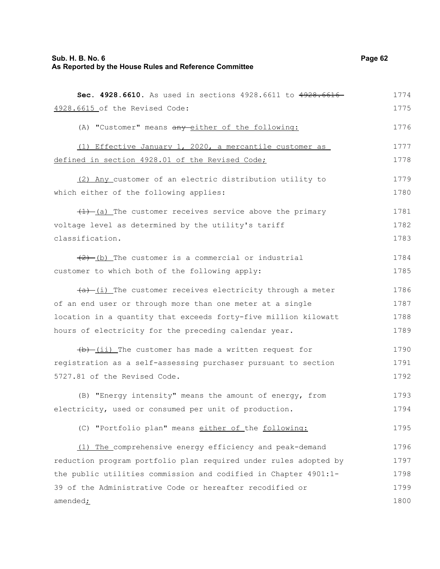| Sec. 4928.6610. As used in sections 4928.6611 to 4928.6616-         | 1774 |
|---------------------------------------------------------------------|------|
| 4928.6615 of the Revised Code:                                      | 1775 |
| (A) "Customer" means any either of the following:                   | 1776 |
| (1) Effective January 1, 2020, a mercantile customer as             | 1777 |
| defined in section 4928.01 of the Revised Code;                     | 1778 |
| (2) Any customer of an electric distribution utility to             | 1779 |
| which either of the following applies:                              | 1780 |
| $(1)$ (a) The customer receives service above the primary           | 1781 |
| voltage level as determined by the utility's tariff                 | 1782 |
| classification.                                                     | 1783 |
| $(2)$ (b) The customer is a commercial or industrial                | 1784 |
| customer to which both of the following apply:                      | 1785 |
| $\frac{a}{b}$ (i) The customer receives electricity through a meter | 1786 |
| of an end user or through more than one meter at a single           | 1787 |
| location in a quantity that exceeds forty-five million kilowatt     | 1788 |
| hours of electricity for the preceding calendar year.               | 1789 |
| $\frac{1}{b}$ (ii) The customer has made a written request for      | 1790 |
| registration as a self-assessing purchaser pursuant to section      | 1791 |
| 5727.81 of the Revised Code.                                        | 1792 |
| (B) "Energy intensity" means the amount of energy, from             | 1793 |
| electricity, used or consumed per unit of production.               | 1794 |
| (C) "Portfolio plan" means either of the following:                 | 1795 |
| (1) The comprehensive energy efficiency and peak-demand             | 1796 |
| reduction program portfolio plan required under rules adopted by    | 1797 |

reduction program portfolio plan required under rules adopted by the public utilities commission and codified in Chapter 4901:1- 39 of the Administrative Code or hereafter recodified or amended $\dot{\mathbf{z}}$ 1797 1798 1799 1800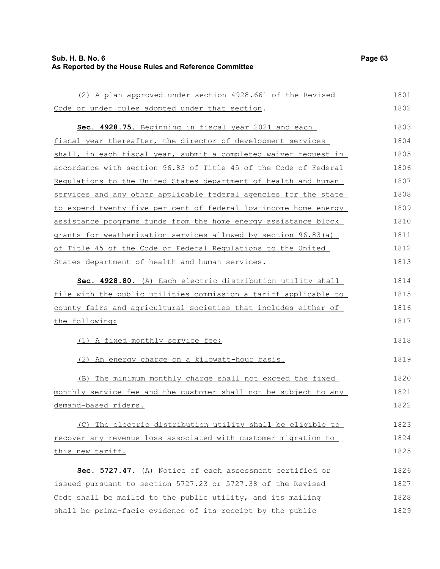# **Sub. H. B. No. 6 Page 63 As Reported by the House Rules and Reference Committee**

| (2) A plan approved under section 4928.661 of the Revised        | 1801 |
|------------------------------------------------------------------|------|
| Code or under rules adopted under that section.                  | 1802 |
| Sec. 4928.75. Beginning in fiscal year 2021 and each             | 1803 |
| fiscal year thereafter, the director of development services     | 1804 |
| shall, in each fiscal year, submit a completed waiver request in | 1805 |
| accordance with section 96.83 of Title 45 of the Code of Federal | 1806 |
| Requlations to the United States department of health and human  | 1807 |
| services and any other applicable federal agencies for the state | 1808 |
| to expend twenty-five per cent of federal low-income home energy | 1809 |
| assistance programs funds from the home energy assistance block  | 1810 |
| grants for weatherization services allowed by section 96.83(a)   | 1811 |
| of Title 45 of the Code of Federal Regulations to the United     | 1812 |
| States department of health and human services.                  | 1813 |
| Sec. 4928.80. (A) Each electric distribution utility shall       | 1814 |
| file with the public utilities commission a tariff applicable to | 1815 |
| county fairs and agricultural societies that includes either of  | 1816 |
| the following:                                                   | 1817 |
| (1) A fixed monthly service fee;                                 | 1818 |
| (2) An energy charge on a kilowatt-hour basis.                   | 1819 |
| (B) The minimum monthly charge shall not exceed the fixed        | 1820 |
| monthly service fee and the customer shall not be subject to any | 1821 |
| demand-based riders.                                             | 1822 |
| (C) The electric distribution utility shall be eligible to       | 1823 |
| recover any revenue loss associated with customer migration to   | 1824 |
| this new tariff.                                                 | 1825 |
| Sec. 5727.47. (A) Notice of each assessment certified or         | 1826 |
| issued pursuant to section 5727.23 or 5727.38 of the Revised     | 1827 |
| Code shall be mailed to the public utility, and its mailing      | 1828 |
| shall be prima-facie evidence of its receipt by the public       | 1829 |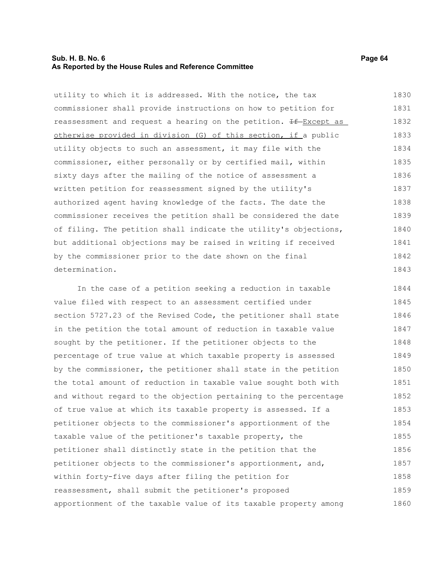# **Sub. H. B. No. 6 Page 64 As Reported by the House Rules and Reference Committee**

utility to which it is addressed. With the notice, the tax commissioner shall provide instructions on how to petition for reassessment and request a hearing on the petition.  $H = Except as$  otherwise provided in division (G) of this section, if a public utility objects to such an assessment, it may file with the commissioner, either personally or by certified mail, within sixty days after the mailing of the notice of assessment a written petition for reassessment signed by the utility's authorized agent having knowledge of the facts. The date the commissioner receives the petition shall be considered the date of filing. The petition shall indicate the utility's objections, but additional objections may be raised in writing if received by the commissioner prior to the date shown on the final determination. 1830 1831 1832 1833 1834 1835 1836 1837 1838 1839 1840 1841 1842 1843

In the case of a petition seeking a reduction in taxable value filed with respect to an assessment certified under section 5727.23 of the Revised Code, the petitioner shall state in the petition the total amount of reduction in taxable value sought by the petitioner. If the petitioner objects to the percentage of true value at which taxable property is assessed by the commissioner, the petitioner shall state in the petition the total amount of reduction in taxable value sought both with and without regard to the objection pertaining to the percentage of true value at which its taxable property is assessed. If a petitioner objects to the commissioner's apportionment of the taxable value of the petitioner's taxable property, the petitioner shall distinctly state in the petition that the petitioner objects to the commissioner's apportionment, and, within forty-five days after filing the petition for reassessment, shall submit the petitioner's proposed apportionment of the taxable value of its taxable property among 1844 1845 1846 1847 1848 1849 1850 1851 1852 1853 1854 1855 1856 1857 1858 1859 1860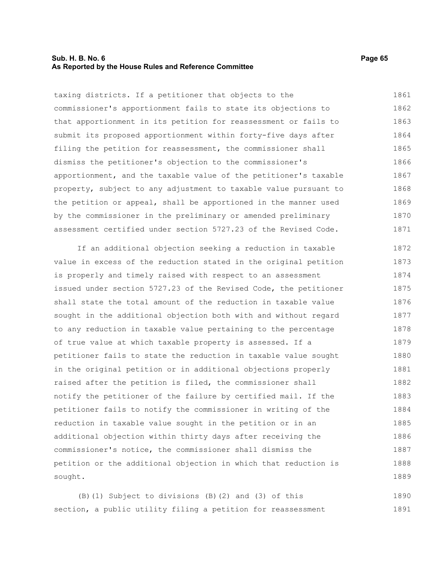# **Sub. H. B. No. 6 Page 65 As Reported by the House Rules and Reference Committee**

taxing districts. If a petitioner that objects to the commissioner's apportionment fails to state its objections to that apportionment in its petition for reassessment or fails to submit its proposed apportionment within forty-five days after filing the petition for reassessment, the commissioner shall dismiss the petitioner's objection to the commissioner's apportionment, and the taxable value of the petitioner's taxable property, subject to any adjustment to taxable value pursuant to the petition or appeal, shall be apportioned in the manner used by the commissioner in the preliminary or amended preliminary assessment certified under section 5727.23 of the Revised Code. 1861 1862 1863 1864 1865 1866 1867 1868 1869 1870 1871

If an additional objection seeking a reduction in taxable value in excess of the reduction stated in the original petition is properly and timely raised with respect to an assessment issued under section 5727.23 of the Revised Code, the petitioner shall state the total amount of the reduction in taxable value sought in the additional objection both with and without regard to any reduction in taxable value pertaining to the percentage of true value at which taxable property is assessed. If a petitioner fails to state the reduction in taxable value sought in the original petition or in additional objections properly raised after the petition is filed, the commissioner shall notify the petitioner of the failure by certified mail. If the petitioner fails to notify the commissioner in writing of the reduction in taxable value sought in the petition or in an additional objection within thirty days after receiving the commissioner's notice, the commissioner shall dismiss the petition or the additional objection in which that reduction is sought. 1872 1873 1874 1875 1876 1877 1878 1879 1880 1881 1882 1883 1884 1885 1886 1887 1888 1889

(B)(1) Subject to divisions (B)(2) and (3) of this section, a public utility filing a petition for reassessment 1890 1891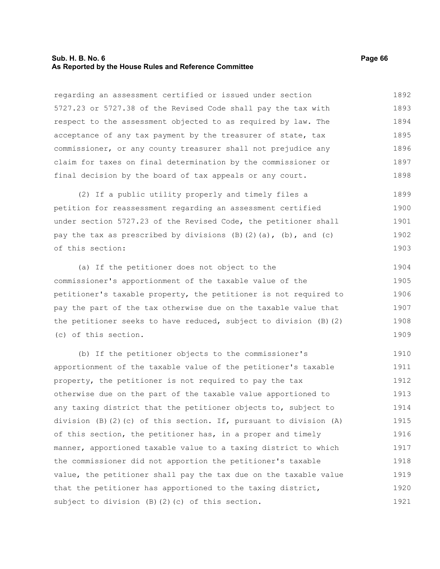#### **Sub. H. B. No. 6 Page 66 As Reported by the House Rules and Reference Committee**

regarding an assessment certified or issued under section 5727.23 or 5727.38 of the Revised Code shall pay the tax with respect to the assessment objected to as required by law. The acceptance of any tax payment by the treasurer of state, tax commissioner, or any county treasurer shall not prejudice any claim for taxes on final determination by the commissioner or final decision by the board of tax appeals or any court. 1892 1893 1894 1895 1896 1897 1898

(2) If a public utility properly and timely files a petition for reassessment regarding an assessment certified under section 5727.23 of the Revised Code, the petitioner shall pay the tax as prescribed by divisions  $(B)$   $(2)$   $(a)$ ,  $(b)$ , and  $(c)$ of this section: 1899 1900 1901 1902 1903

(a) If the petitioner does not object to the commissioner's apportionment of the taxable value of the petitioner's taxable property, the petitioner is not required to pay the part of the tax otherwise due on the taxable value that the petitioner seeks to have reduced, subject to division (B)(2) (c) of this section. 1904 1905 1906 1907 1908 1909

(b) If the petitioner objects to the commissioner's apportionment of the taxable value of the petitioner's taxable property, the petitioner is not required to pay the tax otherwise due on the part of the taxable value apportioned to any taxing district that the petitioner objects to, subject to division  $(B)$   $(2)$   $(c)$  of this section. If, pursuant to division  $(A)$ of this section, the petitioner has, in a proper and timely manner, apportioned taxable value to a taxing district to which the commissioner did not apportion the petitioner's taxable value, the petitioner shall pay the tax due on the taxable value that the petitioner has apportioned to the taxing district, subject to division (B)(2)(c) of this section. 1910 1911 1912 1913 1914 1915 1916 1917 1918 1919 1920 1921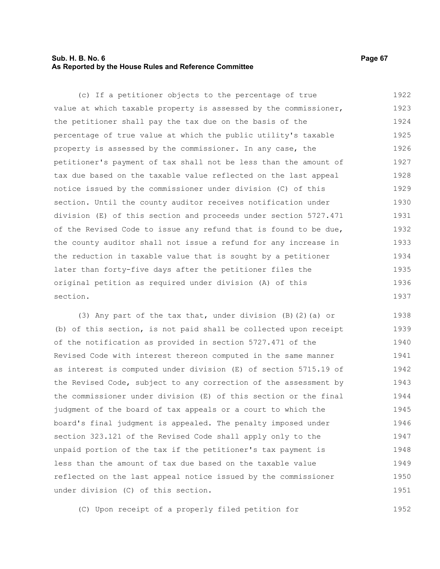# **Sub. H. B. No. 6 Page 67 As Reported by the House Rules and Reference Committee**

(c) If a petitioner objects to the percentage of true value at which taxable property is assessed by the commissioner, the petitioner shall pay the tax due on the basis of the percentage of true value at which the public utility's taxable property is assessed by the commissioner. In any case, the petitioner's payment of tax shall not be less than the amount of tax due based on the taxable value reflected on the last appeal notice issued by the commissioner under division (C) of this section. Until the county auditor receives notification under division (E) of this section and proceeds under section 5727.471 of the Revised Code to issue any refund that is found to be due, the county auditor shall not issue a refund for any increase in the reduction in taxable value that is sought by a petitioner later than forty-five days after the petitioner files the original petition as required under division (A) of this section. 1922 1923 1924 1925 1926 1927 1928 1929 1930 1931 1932 1933 1934 1935 1936 1937

(3) Any part of the tax that, under division (B)(2)(a) or (b) of this section, is not paid shall be collected upon receipt of the notification as provided in section 5727.471 of the Revised Code with interest thereon computed in the same manner as interest is computed under division (E) of section 5715.19 of the Revised Code, subject to any correction of the assessment by the commissioner under division (E) of this section or the final judgment of the board of tax appeals or a court to which the board's final judgment is appealed. The penalty imposed under section 323.121 of the Revised Code shall apply only to the unpaid portion of the tax if the petitioner's tax payment is less than the amount of tax due based on the taxable value reflected on the last appeal notice issued by the commissioner under division (C) of this section. 1938 1939 1940 1941 1942 1943 1944 1945 1946 1947 1948 1949 1950 1951

(C) Upon receipt of a properly filed petition for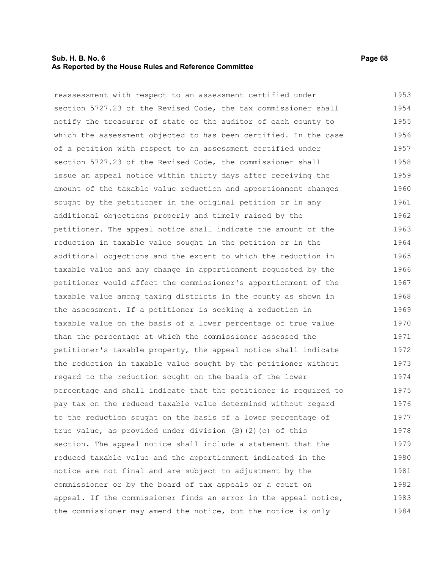# **Sub. H. B. No. 6 Page 68 As Reported by the House Rules and Reference Committee**

reassessment with respect to an assessment certified under section 5727.23 of the Revised Code, the tax commissioner shall notify the treasurer of state or the auditor of each county to which the assessment objected to has been certified. In the case of a petition with respect to an assessment certified under section 5727.23 of the Revised Code, the commissioner shall issue an appeal notice within thirty days after receiving the amount of the taxable value reduction and apportionment changes sought by the petitioner in the original petition or in any additional objections properly and timely raised by the petitioner. The appeal notice shall indicate the amount of the reduction in taxable value sought in the petition or in the additional objections and the extent to which the reduction in taxable value and any change in apportionment requested by the petitioner would affect the commissioner's apportionment of the taxable value among taxing districts in the county as shown in the assessment. If a petitioner is seeking a reduction in taxable value on the basis of a lower percentage of true value than the percentage at which the commissioner assessed the petitioner's taxable property, the appeal notice shall indicate the reduction in taxable value sought by the petitioner without regard to the reduction sought on the basis of the lower percentage and shall indicate that the petitioner is required to pay tax on the reduced taxable value determined without regard to the reduction sought on the basis of a lower percentage of true value, as provided under division (B)(2)(c) of this section. The appeal notice shall include a statement that the reduced taxable value and the apportionment indicated in the notice are not final and are subject to adjustment by the commissioner or by the board of tax appeals or a court on appeal. If the commissioner finds an error in the appeal notice, the commissioner may amend the notice, but the notice is only 1953 1954 1955 1956 1957 1958 1959 1960 1961 1962 1963 1964 1965 1966 1967 1968 1969 1970 1971 1972 1973 1974 1975 1976 1977 1978 1979 1980 1981 1982 1983 1984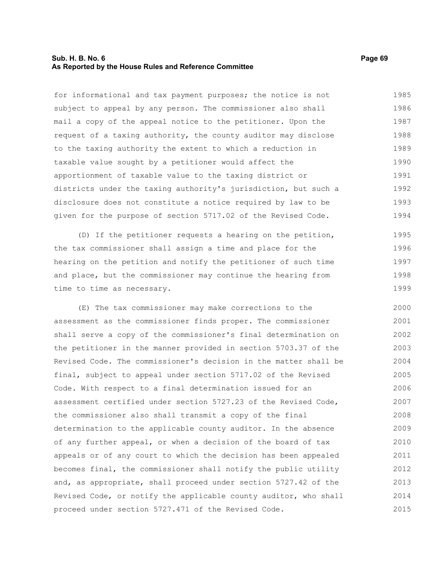## **Sub. H. B. No. 6 Page 69 As Reported by the House Rules and Reference Committee**

for informational and tax payment purposes; the notice is not subject to appeal by any person. The commissioner also shall mail a copy of the appeal notice to the petitioner. Upon the request of a taxing authority, the county auditor may disclose to the taxing authority the extent to which a reduction in taxable value sought by a petitioner would affect the apportionment of taxable value to the taxing district or districts under the taxing authority's jurisdiction, but such a disclosure does not constitute a notice required by law to be given for the purpose of section 5717.02 of the Revised Code. 1985 1986 1987 1988 1989 1990 1991 1992 1993 1994

(D) If the petitioner requests a hearing on the petition, the tax commissioner shall assign a time and place for the hearing on the petition and notify the petitioner of such time and place, but the commissioner may continue the hearing from time to time as necessary. 1995 1996 1997 1998 1999

(E) The tax commissioner may make corrections to the assessment as the commissioner finds proper. The commissioner shall serve a copy of the commissioner's final determination on the petitioner in the manner provided in section 5703.37 of the Revised Code. The commissioner's decision in the matter shall be final, subject to appeal under section 5717.02 of the Revised Code. With respect to a final determination issued for an assessment certified under section 5727.23 of the Revised Code, the commissioner also shall transmit a copy of the final determination to the applicable county auditor. In the absence of any further appeal, or when a decision of the board of tax appeals or of any court to which the decision has been appealed becomes final, the commissioner shall notify the public utility and, as appropriate, shall proceed under section 5727.42 of the Revised Code, or notify the applicable county auditor, who shall proceed under section 5727.471 of the Revised Code. 2000 2001 2002 2003 2004 2005 2006 2007 2008 2009 2010 2011 2012 2013 2014 2015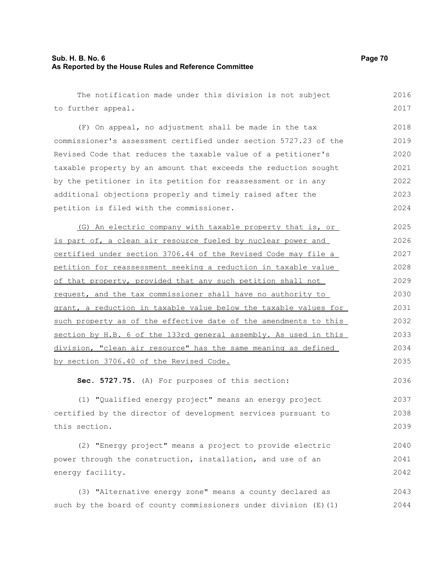# **Sub. H. B. No. 6 Page 70 As Reported by the House Rules and Reference Committee**

The notification made under this division is not subject to further appeal. (F) On appeal, no adjustment shall be made in the tax commissioner's assessment certified under section 5727.23 of the Revised Code that reduces the taxable value of a petitioner's taxable property by an amount that exceeds the reduction sought by the petitioner in its petition for reassessment or in any additional objections properly and timely raised after the petition is filed with the commissioner. (G) An electric company with taxable property that is, or is part of, a clean air resource fueled by nuclear power and certified under section 3706.44 of the Revised Code may file a petition for reassessment seeking a reduction in taxable value of that property, provided that any such petition shall not request, and the tax commissioner shall have no authority to grant, a reduction in taxable value below the taxable values for such property as of the effective date of the amendments to this section by H.B. 6 of the 133rd general assembly. As used in this division, "clean air resource" has the same meaning as defined by section 3706.40 of the Revised Code. **Sec. 5727.75.** (A) For purposes of this section: (1) "Qualified energy project" means an energy project certified by the director of development services pursuant to this section. (2) "Energy project" means a project to provide electric power through the construction, installation, and use of an energy facility. (3) "Alternative energy zone" means a county declared as such by the board of county commissioners under division (E)(1) 2016 2017 2018 2019 2020 2021 2022 2023 2024 2025 2026 2027 2028 2029 2030 2031 2032 2033 2034 2035 2036 2037 2038 2039 2040 2041 2042 2043 2044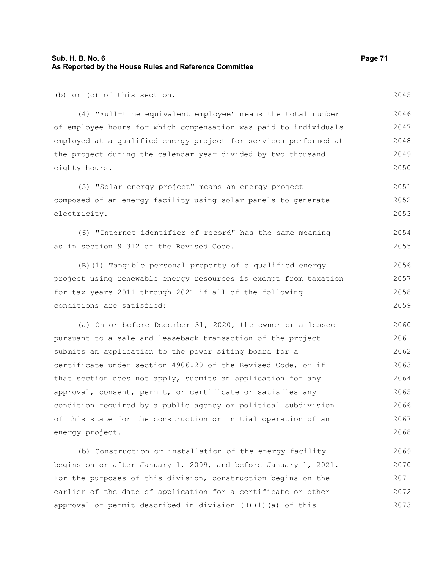(b) or (c) of this section.

(4) "Full-time equivalent employee" means the total number of employee-hours for which compensation was paid to individuals employed at a qualified energy project for services performed at the project during the calendar year divided by two thousand eighty hours. 2046 2047 2048 2049 2050

(5) "Solar energy project" means an energy project composed of an energy facility using solar panels to generate electricity. 2051 2052 2053

(6) "Internet identifier of record" has the same meaning as in section 9.312 of the Revised Code. 2054 2055

(B)(1) Tangible personal property of a qualified energy project using renewable energy resources is exempt from taxation for tax years 2011 through 2021 if all of the following conditions are satisfied: 2056 2057 2058 2059

(a) On or before December 31, 2020, the owner or a lessee pursuant to a sale and leaseback transaction of the project submits an application to the power siting board for a certificate under section 4906.20 of the Revised Code, or if that section does not apply, submits an application for any approval, consent, permit, or certificate or satisfies any condition required by a public agency or political subdivision of this state for the construction or initial operation of an energy project. 2060 2061 2062 2063 2064 2065 2066 2067 2068

(b) Construction or installation of the energy facility begins on or after January 1, 2009, and before January 1, 2021. For the purposes of this division, construction begins on the earlier of the date of application for a certificate or other approval or permit described in division (B)(1)(a) of this 2069 2070 2071 2072 2073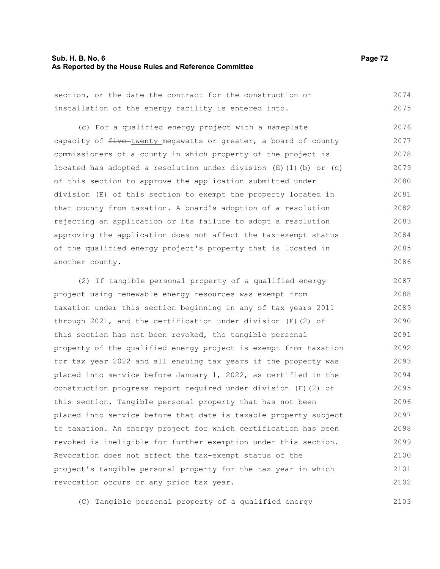#### **Sub. H. B. No. 6 Page 72 As Reported by the House Rules and Reference Committee**

section, or the date the contract for the construction or installation of the energy facility is entered into. 2074 2075

(c) For a qualified energy project with a nameplate capacity of  $f$ ive-twenty megawatts or greater, a board of county commissioners of a county in which property of the project is located has adopted a resolution under division  $(E)$  (1)(b) or (c) of this section to approve the application submitted under division (E) of this section to exempt the property located in that county from taxation. A board's adoption of a resolution rejecting an application or its failure to adopt a resolution approving the application does not affect the tax-exempt status of the qualified energy project's property that is located in another county. 2076 2077 2078 2079 2080 2081 2082 2083 2084 2085 2086

(2) If tangible personal property of a qualified energy project using renewable energy resources was exempt from taxation under this section beginning in any of tax years 2011 through 2021, and the certification under division (E)(2) of this section has not been revoked, the tangible personal property of the qualified energy project is exempt from taxation for tax year 2022 and all ensuing tax years if the property was placed into service before January 1, 2022, as certified in the construction progress report required under division (F)(2) of this section. Tangible personal property that has not been placed into service before that date is taxable property subject to taxation. An energy project for which certification has been revoked is ineligible for further exemption under this section. Revocation does not affect the tax-exempt status of the project's tangible personal property for the tax year in which revocation occurs or any prior tax year. 2087 2088 2089 2090 2091 2092 2093 2094 2095 2096 2097 2098 2099 2100 2101 2102

(C) Tangible personal property of a qualified energy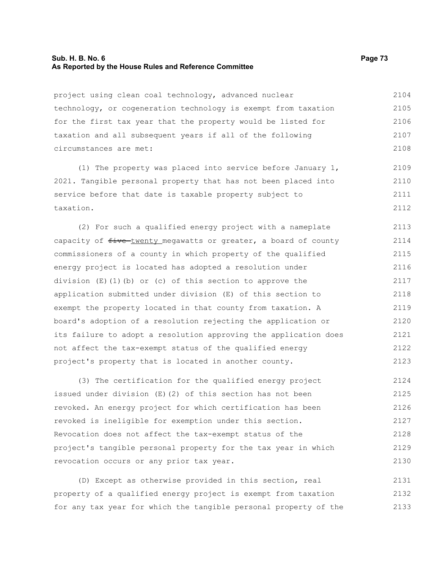# **Sub. H. B. No. 6 Page 73 As Reported by the House Rules and Reference Committee**

project using clean coal technology, advanced nuclear technology, or cogeneration technology is exempt from taxation for the first tax year that the property would be listed for taxation and all subsequent years if all of the following circumstances are met: 2104 2105 2106 2107 2108

(1) The property was placed into service before January 1, 2021. Tangible personal property that has not been placed into service before that date is taxable property subject to taxation. 2109 2110 2111 2112

(2) For such a qualified energy project with a nameplate capacity of  $f$ ive twenty megawatts or greater, a board of county commissioners of a county in which property of the qualified energy project is located has adopted a resolution under division (E)(1)(b) or (c) of this section to approve the application submitted under division (E) of this section to exempt the property located in that county from taxation. A board's adoption of a resolution rejecting the application or its failure to adopt a resolution approving the application does not affect the tax-exempt status of the qualified energy project's property that is located in another county. 2113 2114 2115 2116 2117 2118 2119 2120 2121 2122 2123

(3) The certification for the qualified energy project issued under division (E)(2) of this section has not been revoked. An energy project for which certification has been revoked is ineligible for exemption under this section. Revocation does not affect the tax-exempt status of the project's tangible personal property for the tax year in which revocation occurs or any prior tax year. 2124 2125 2126 2127 2128 2129 2130

(D) Except as otherwise provided in this section, real property of a qualified energy project is exempt from taxation for any tax year for which the tangible personal property of the 2131 2132 2133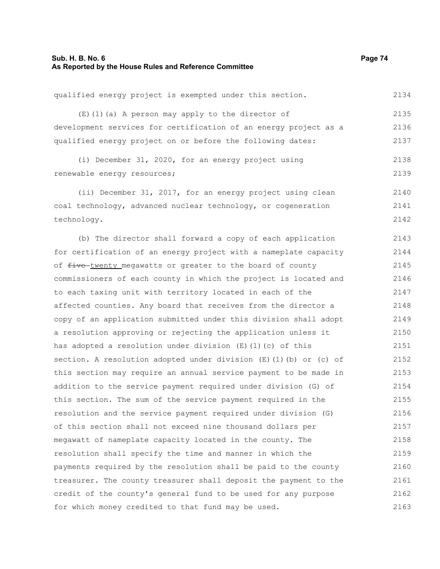| qualified energy project is exempted under this section. |  |  |  |  |  |  |  |  | 2134 |
|----------------------------------------------------------|--|--|--|--|--|--|--|--|------|
|----------------------------------------------------------|--|--|--|--|--|--|--|--|------|

(E)(1)(a) A person may apply to the director of development services for certification of an energy project as a qualified energy project on or before the following dates: 2135 2136 2137

(i) December 31, 2020, for an energy project using renewable energy resources; 2138 2139

(ii) December 31, 2017, for an energy project using clean coal technology, advanced nuclear technology, or cogeneration technology. 2140 2141 2142

(b) The director shall forward a copy of each application for certification of an energy project with a nameplate capacity of  $f$ ive twenty megawatts or greater to the board of county commissioners of each county in which the project is located and to each taxing unit with territory located in each of the affected counties. Any board that receives from the director a copy of an application submitted under this division shall adopt a resolution approving or rejecting the application unless it has adopted a resolution under division (E)(1)(c) of this section. A resolution adopted under division  $(E)$  (1)(b) or (c) of this section may require an annual service payment to be made in addition to the service payment required under division (G) of this section. The sum of the service payment required in the resolution and the service payment required under division (G) of this section shall not exceed nine thousand dollars per megawatt of nameplate capacity located in the county. The resolution shall specify the time and manner in which the payments required by the resolution shall be paid to the county treasurer. The county treasurer shall deposit the payment to the credit of the county's general fund to be used for any purpose for which money credited to that fund may be used. 2143 2144 2145 2146 2147 2148 2149 2150 2151 2152 2153 2154 2155 2156 2157 2158 2159 2160 2161 2162 2163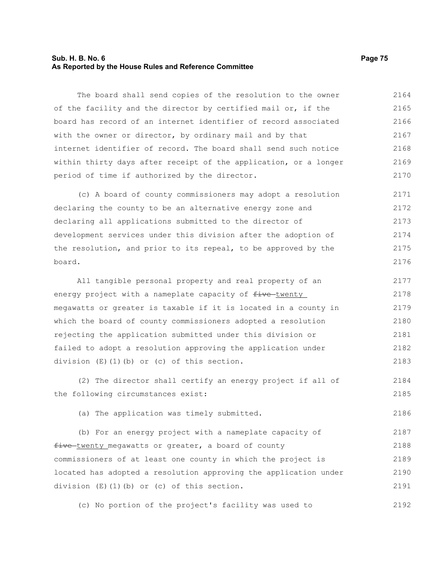# **Sub. H. B. No. 6 Page 75 As Reported by the House Rules and Reference Committee**

The board shall send copies of the resolution to the owner of the facility and the director by certified mail or, if the board has record of an internet identifier of record associated with the owner or director, by ordinary mail and by that internet identifier of record. The board shall send such notice within thirty days after receipt of the application, or a longer period of time if authorized by the director. 2164 2165 2166 2167 2168 2169 2170

(c) A board of county commissioners may adopt a resolution declaring the county to be an alternative energy zone and declaring all applications submitted to the director of development services under this division after the adoption of the resolution, and prior to its repeal, to be approved by the board. 2171 2172 2173 2174 2175 2176

All tangible personal property and real property of an energy project with a nameplate capacity of  $f$ ive-twenty megawatts or greater is taxable if it is located in a county in which the board of county commissioners adopted a resolution rejecting the application submitted under this division or failed to adopt a resolution approving the application under division (E)(1)(b) or (c) of this section. 2177 2178 2179 2180 2181 2182 2183

(2) The director shall certify an energy project if all of the following circumstances exist: 2184 2185

(a) The application was timely submitted.

(b) For an energy project with a nameplate capacity of five twenty megawatts or greater, a board of county commissioners of at least one county in which the project is located has adopted a resolution approving the application under division (E)(1)(b) or (c) of this section. 2187 2188 2189 2190 2191

(c) No portion of the project's facility was used to 2192

2186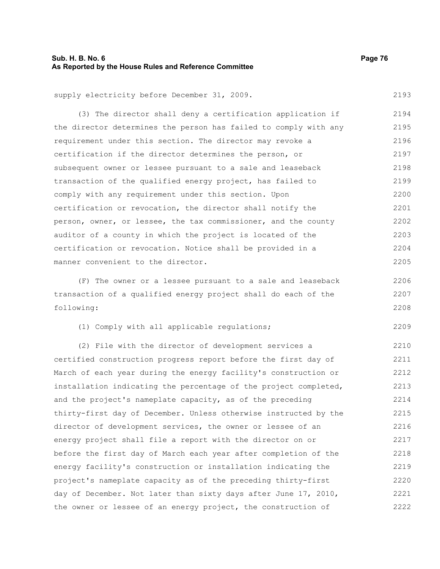# **Sub. H. B. No. 6 Page 76 As Reported by the House Rules and Reference Committee**

2206 2207 2208

2209

supply electricity before December 31, 2009. 2193

(3) The director shall deny a certification application if the director determines the person has failed to comply with any requirement under this section. The director may revoke a certification if the director determines the person, or subsequent owner or lessee pursuant to a sale and leaseback transaction of the qualified energy project, has failed to comply with any requirement under this section. Upon certification or revocation, the director shall notify the person, owner, or lessee, the tax commissioner, and the county auditor of a county in which the project is located of the certification or revocation. Notice shall be provided in a manner convenient to the director. 2194 2195 2196 2197 2198 2199 2200 2201 2202 2203 2204 2205

(F) The owner or a lessee pursuant to a sale and leaseback transaction of a qualified energy project shall do each of the following:

(1) Comply with all applicable regulations;

(2) File with the director of development services a certified construction progress report before the first day of March of each year during the energy facility's construction or installation indicating the percentage of the project completed, and the project's nameplate capacity, as of the preceding thirty-first day of December. Unless otherwise instructed by the director of development services, the owner or lessee of an energy project shall file a report with the director on or before the first day of March each year after completion of the energy facility's construction or installation indicating the project's nameplate capacity as of the preceding thirty-first day of December. Not later than sixty days after June 17, 2010, the owner or lessee of an energy project, the construction of 2210 2211 2212 2213 2214 2215 2216 2217 2218 2219 2220 2221 2222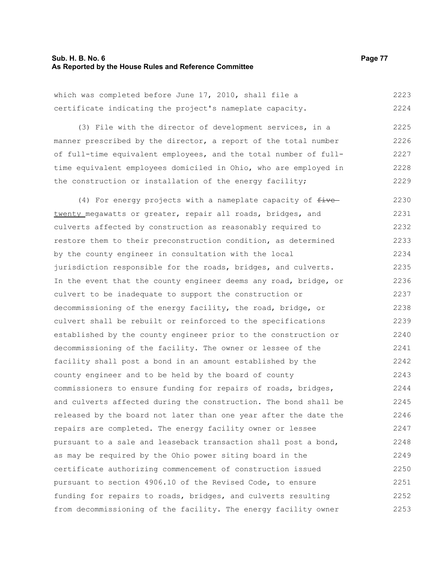#### **Sub. H. B. No. 6 Page 77 As Reported by the House Rules and Reference Committee**

which was completed before June 17, 2010, shall file a certificate indicating the project's nameplate capacity. (3) File with the director of development services, in a manner prescribed by the director, a report of the total number of full-time equivalent employees, and the total number of fulltime equivalent employees domiciled in Ohio, who are employed in the construction or installation of the energy facility; (4) For energy projects with a nameplate capacity of  $f$ ive twenty megawatts or greater, repair all roads, bridges, and culverts affected by construction as reasonably required to restore them to their preconstruction condition, as determined by the county engineer in consultation with the local jurisdiction responsible for the roads, bridges, and culverts. In the event that the county engineer deems any road, bridge, or culvert to be inadequate to support the construction or decommissioning of the energy facility, the road, bridge, or culvert shall be rebuilt or reinforced to the specifications established by the county engineer prior to the construction or decommissioning of the facility. The owner or lessee of the facility shall post a bond in an amount established by the county engineer and to be held by the board of county commissioners to ensure funding for repairs of roads, bridges, and culverts affected during the construction. The bond shall be released by the board not later than one year after the date the repairs are completed. The energy facility owner or lessee pursuant to a sale and leaseback transaction shall post a bond, as may be required by the Ohio power siting board in the certificate authorizing commencement of construction issued pursuant to section 4906.10 of the Revised Code, to ensure funding for repairs to roads, bridges, and culverts resulting from decommissioning of the facility. The energy facility owner 2223 2224 2225 2226 2227 2228 2229 2230 2231 2232 2233 2234 2235 2236 2237 2238 2239 2240 2241 2242 2243 2244 2245 2246 2247 2248 2249 2250 2251 2252 2253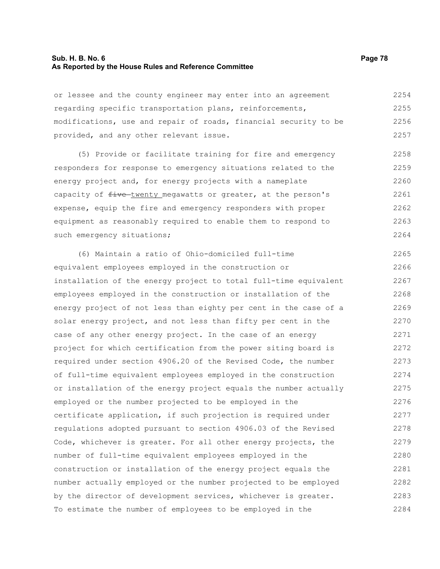# **Sub. H. B. No. 6 Page 78 As Reported by the House Rules and Reference Committee**

or lessee and the county engineer may enter into an agreement regarding specific transportation plans, reinforcements, modifications, use and repair of roads, financial security to be provided, and any other relevant issue. 2254 2255 2256 2257

(5) Provide or facilitate training for fire and emergency responders for response to emergency situations related to the energy project and, for energy projects with a nameplate capacity of  $f$ ive-twenty megawatts or greater, at the person's expense, equip the fire and emergency responders with proper equipment as reasonably required to enable them to respond to such emergency situations; 2258 2259 2260 2261 2262 2263 2264

(6) Maintain a ratio of Ohio-domiciled full-time equivalent employees employed in the construction or installation of the energy project to total full-time equivalent employees employed in the construction or installation of the energy project of not less than eighty per cent in the case of a solar energy project, and not less than fifty per cent in the case of any other energy project. In the case of an energy project for which certification from the power siting board is required under section 4906.20 of the Revised Code, the number of full-time equivalent employees employed in the construction or installation of the energy project equals the number actually employed or the number projected to be employed in the certificate application, if such projection is required under regulations adopted pursuant to section 4906.03 of the Revised Code, whichever is greater. For all other energy projects, the number of full-time equivalent employees employed in the construction or installation of the energy project equals the number actually employed or the number projected to be employed by the director of development services, whichever is greater. To estimate the number of employees to be employed in the 2265 2266 2267 2268 2269 2270 2271 2272 2273 2274 2275 2276 2277 2278 2279 2280 2281 2282 2283 2284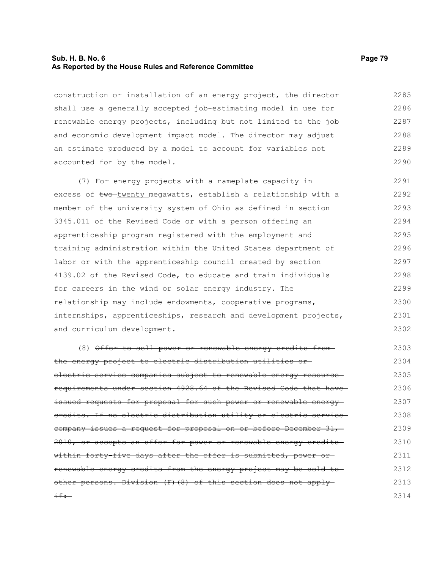### **Sub. H. B. No. 6 Page 79 As Reported by the House Rules and Reference Committee**

construction or installation of an energy project, the director shall use a generally accepted job-estimating model in use for renewable energy projects, including but not limited to the job and economic development impact model. The director may adjust an estimate produced by a model to account for variables not accounted for by the model. 2285 2286 2287 2288 2289 2290

(7) For energy projects with a nameplate capacity in excess of two-twenty megawatts, establish a relationship with a member of the university system of Ohio as defined in section 3345.011 of the Revised Code or with a person offering an apprenticeship program registered with the employment and training administration within the United States department of labor or with the apprenticeship council created by section 4139.02 of the Revised Code, to educate and train individuals for careers in the wind or solar energy industry. The relationship may include endowments, cooperative programs, internships, apprenticeships, research and development projects, and curriculum development. 2291 2292 2293 2294 2295 2296 2297 2298 2299 2300 2301 2302

(8) Offer to sell power or renewable energy credits from the energy project to electric distribution utilities or electric service companies subject to renewable energy resource requirements under section 4928.64 of the Revised Code that have issued requests for proposal for such power or renewable energy credits. If no electric distribution utility or electric service company issues a request for proposal on or before December 31, 2010, or accepts an offer for power or renewable energy creditswithin forty-five days after the offer is submitted, power orrenewable energy credits from the energy project may be sold to other persons. Division (F)(8) of this section does not apply  $if:-$ 2303 2304 2305 2306 2307 2308 2309 2310 2311 2312 2313 2314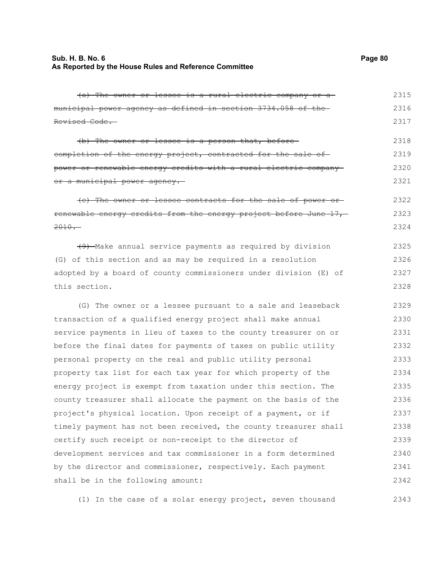# **Sub. H. B. No. 6 Page 80 As Reported by the House Rules and Reference Committee**

| (a) The owner or lessee is a rural electric company or a          | 2315 |
|-------------------------------------------------------------------|------|
| municipal power agency as defined in section 3734.058 of the-     | 2316 |
| <del>Revised Code.</del>                                          | 2317 |
| (b) The owner or lessee is a person that, before-                 | 2318 |
| completion of the energy project, contracted for the sale of      | 2319 |
| power or renewable energy credits with a rural electric company—  | 2320 |
| <del>or a municipal power agency.</del> —                         | 2321 |
| (c) The owner or lessee contracts for the sale of power or-       | 2322 |
| renewable energy credits from the energy project before June 17,- | 2323 |
| $2010 -$                                                          | 2324 |
| (9) Make annual service payments as required by division          | 2325 |
| (G) of this section and as may be required in a resolution        | 2326 |
| adopted by a board of county commissioners under division (E) of  | 2327 |
| this section.                                                     | 2328 |
| (G) The owner or a lessee pursuant to a sale and leaseback        | 2329 |
| transaction of a qualified energy project shall make annual       | 2330 |
| service payments in lieu of taxes to the county treasurer on or   | 2331 |
| before the final dates for payments of taxes on public utility    | 2332 |
| personal property on the real and public utility personal         | 2333 |
| property tax list for each tax year for which property of the     | 2334 |
| energy project is exempt from taxation under this section. The    | 2335 |
| county treasurer shall allocate the payment on the basis of the   | 2336 |
| project's physical location. Upon receipt of a payment, or if     | 2337 |
| timely payment has not been received, the county treasurer shall  | 2338 |
| certify such receipt or non-receipt to the director of            | 2339 |
| development services and tax commissioner in a form determined    | 2340 |
| by the director and commissioner, respectively. Each payment      | 2341 |
| shall be in the following amount:                                 | 2342 |
|                                                                   |      |

(1) In the case of a solar energy project, seven thousand 2343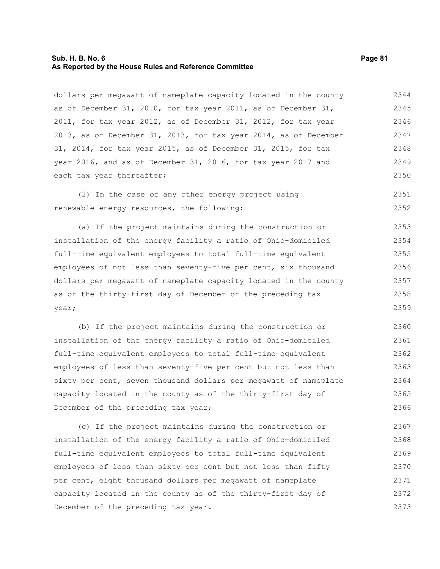## **Sub. H. B. No. 6 Page 81 As Reported by the House Rules and Reference Committee**

dollars per megawatt of nameplate capacity located in the county as of December 31, 2010, for tax year 2011, as of December 31, 2011, for tax year 2012, as of December 31, 2012, for tax year 2013, as of December 31, 2013, for tax year 2014, as of December 31, 2014, for tax year 2015, as of December 31, 2015, for tax year 2016, and as of December 31, 2016, for tax year 2017 and each tax year thereafter; 2344 2345 2346 2347 2348 2350

(2) In the case of any other energy project using renewable energy resources, the following:

(a) If the project maintains during the construction or installation of the energy facility a ratio of Ohio-domiciled full-time equivalent employees to total full-time equivalent employees of not less than seventy-five per cent, six thousand dollars per megawatt of nameplate capacity located in the county as of the thirty-first day of December of the preceding tax year; 2353 2354 2355 2356 2357 2358 2359

(b) If the project maintains during the construction or installation of the energy facility a ratio of Ohio-domiciled full-time equivalent employees to total full-time equivalent employees of less than seventy-five per cent but not less than sixty per cent, seven thousand dollars per megawatt of nameplate capacity located in the county as of the thirty-first day of December of the preceding tax year; 2360 2361 2362 2363 2364 2365 2366

(c) If the project maintains during the construction or installation of the energy facility a ratio of Ohio-domiciled full-time equivalent employees to total full-time equivalent employees of less than sixty per cent but not less than fifty per cent, eight thousand dollars per megawatt of nameplate capacity located in the county as of the thirty-first day of December of the preceding tax year. 2367 2368 2369 2370 2371 2372 2373

2349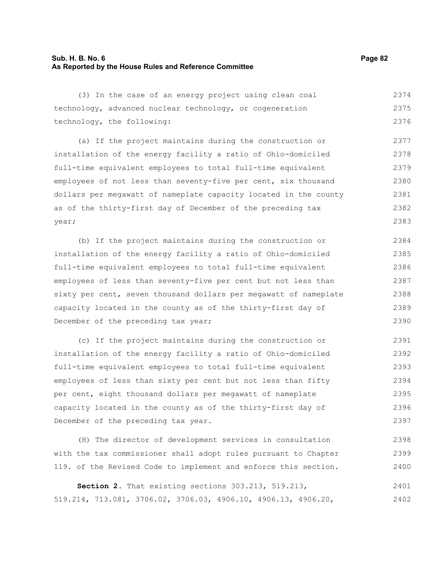# **Sub. H. B. No. 6 Page 82 As Reported by the House Rules and Reference Committee**

(3) In the case of an energy project using clean coal technology, advanced nuclear technology, or cogeneration technology, the following: 2374 2375 2376

(a) If the project maintains during the construction or installation of the energy facility a ratio of Ohio-domiciled full-time equivalent employees to total full-time equivalent employees of not less than seventy-five per cent, six thousand dollars per megawatt of nameplate capacity located in the county as of the thirty-first day of December of the preceding tax year; 2377 2378 2379 2380 2381 2382 2383

(b) If the project maintains during the construction or installation of the energy facility a ratio of Ohio-domiciled full-time equivalent employees to total full-time equivalent employees of less than seventy-five per cent but not less than sixty per cent, seven thousand dollars per meqawatt of nameplate capacity located in the county as of the thirty-first day of December of the preceding tax year; 2384 2385 2386 2387 2388 2389 2390

(c) If the project maintains during the construction or installation of the energy facility a ratio of Ohio-domiciled full-time equivalent employees to total full-time equivalent employees of less than sixty per cent but not less than fifty per cent, eight thousand dollars per megawatt of nameplate capacity located in the county as of the thirty-first day of December of the preceding tax year. 2391 2392 2393 2394 2395 2396 2397

(H) The director of development services in consultation with the tax commissioner shall adopt rules pursuant to Chapter 119. of the Revised Code to implement and enforce this section.

**Section 2.** That existing sections 303.213, 519.213, 519.214, 713.081, 3706.02, 3706.03, 4906.10, 4906.13, 4906.20, 2401 2402

2398 2399 2400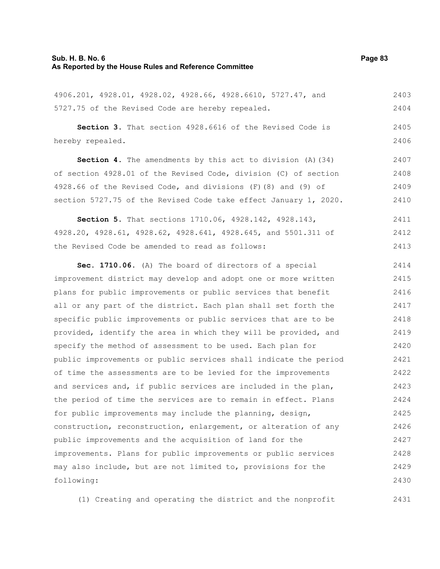# **Sub. H. B. No. 6 Page 83 As Reported by the House Rules and Reference Committee**

4906.201, 4928.01, 4928.02, 4928.66, 4928.6610, 5727.47, and 5727.75 of the Revised Code are hereby repealed. **Section 3.** That section 4928.6616 of the Revised Code is hereby repealed. **Section 4.** The amendments by this act to division (A)(34) of section 4928.01 of the Revised Code, division (C) of section 4928.66 of the Revised Code, and divisions (F)(8) and (9) of 2403 2404 2405 2406 2407 2408 2409

section 5727.75 of the Revised Code take effect January 1, 2020. 2410

**Section 5.** That sections 1710.06, 4928.142, 4928.143, 4928.20, 4928.61, 4928.62, 4928.641, 4928.645, and 5501.311 of the Revised Code be amended to read as follows: 2411 2412 2413

**Sec. 1710.06.** (A) The board of directors of a special improvement district may develop and adopt one or more written plans for public improvements or public services that benefit all or any part of the district. Each plan shall set forth the specific public improvements or public services that are to be provided, identify the area in which they will be provided, and specify the method of assessment to be used. Each plan for public improvements or public services shall indicate the period of time the assessments are to be levied for the improvements and services and, if public services are included in the plan, the period of time the services are to remain in effect. Plans for public improvements may include the planning, design, construction, reconstruction, enlargement, or alteration of any public improvements and the acquisition of land for the improvements. Plans for public improvements or public services may also include, but are not limited to, provisions for the following: 2414 2415 2416 2417 2418 2419 2420 2421 2422 2423 2424 2425 2426 2427 2428 2429 2430

(1) Creating and operating the district and the nonprofit 2431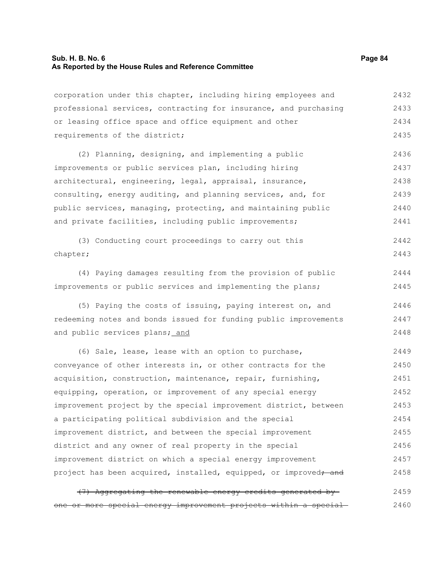# **Sub. H. B. No. 6 Page 84 As Reported by the House Rules and Reference Committee**

corporation under this chapter, including hiring employees and professional services, contracting for insurance, and purchasing or leasing office space and office equipment and other requirements of the district; 2432 2433 2434 2435

(2) Planning, designing, and implementing a public improvements or public services plan, including hiring architectural, engineering, legal, appraisal, insurance, consulting, energy auditing, and planning services, and, for public services, managing, protecting, and maintaining public and private facilities, including public improvements; 2436 2437 2438 2439 2440 2441

|          |  | (3) Conducting court proceedings to carry out this |  |  | 2442 |
|----------|--|----------------------------------------------------|--|--|------|
| chapter; |  |                                                    |  |  | 2443 |

(4) Paying damages resulting from the provision of public improvements or public services and implementing the plans; 2444 2445

(5) Paying the costs of issuing, paying interest on, and redeeming notes and bonds issued for funding public improvements and public services plans; and 2446 2447 2448

(6) Sale, lease, lease with an option to purchase, conveyance of other interests in, or other contracts for the acquisition, construction, maintenance, repair, furnishing, equipping, operation, or improvement of any special energy improvement project by the special improvement district, between a participating political subdivision and the special improvement district, and between the special improvement district and any owner of real property in the special improvement district on which a special energy improvement project has been acquired, installed, equipped, or improved<del>; and</del> 2449 2450 2451 2452 2453 2454 2455 2456 2457 2458

|  |  | (7) Aggregating the renewable energy credits generated by-        |  | 2459 |
|--|--|-------------------------------------------------------------------|--|------|
|  |  | one or more special energy improvement projects within a special- |  | 2460 |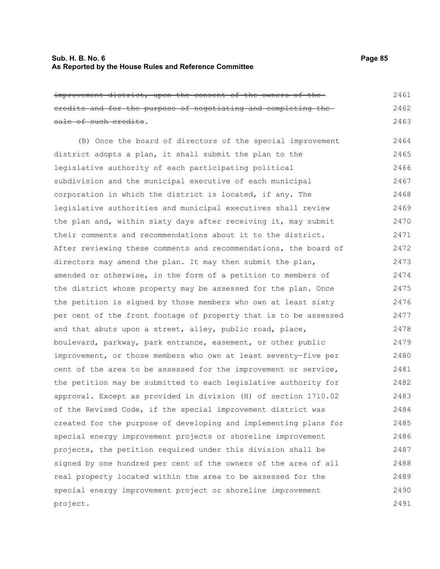improvement district, upon the consent of the owners of the credits and for the purpose of negotiating and completing the sale of such credits. 2461 2462 2463

(B) Once the board of directors of the special improvement district adopts a plan, it shall submit the plan to the legislative authority of each participating political subdivision and the municipal executive of each municipal corporation in which the district is located, if any. The legislative authorities and municipal executives shall review the plan and, within sixty days after receiving it, may submit their comments and recommendations about it to the district. After reviewing these comments and recommendations, the board of directors may amend the plan. It may then submit the plan, amended or otherwise, in the form of a petition to members of the district whose property may be assessed for the plan. Once the petition is signed by those members who own at least sixty per cent of the front footage of property that is to be assessed and that abuts upon a street, alley, public road, place, boulevard, parkway, park entrance, easement, or other public improvement, or those members who own at least seventy-five per cent of the area to be assessed for the improvement or service, the petition may be submitted to each legislative authority for approval. Except as provided in division (H) of section 1710.02 of the Revised Code, if the special improvement district was created for the purpose of developing and implementing plans for special energy improvement projects or shoreline improvement projects, the petition required under this division shall be signed by one hundred per cent of the owners of the area of all real property located within the area to be assessed for the special energy improvement project or shoreline improvement project. 2464 2465 2466 2467 2468 2469 2470 2471 2472 2473 2474 2475 2476 2477 2478 2479 2480 2481 2482 2483 2484 2485 2486 2487 2488 2489 2490 2491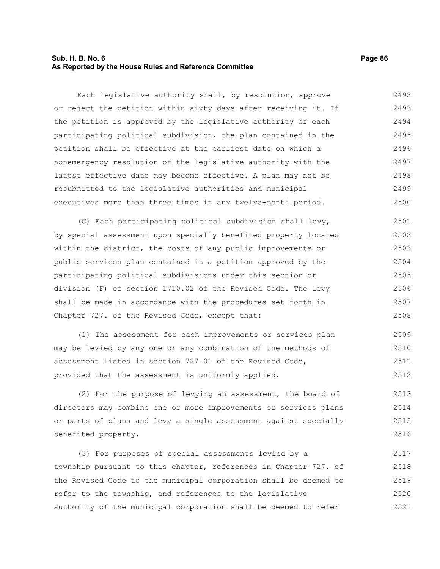# **Sub. H. B. No. 6 Page 86 As Reported by the House Rules and Reference Committee**

Each legislative authority shall, by resolution, approve or reject the petition within sixty days after receiving it. If the petition is approved by the legislative authority of each participating political subdivision, the plan contained in the petition shall be effective at the earliest date on which a nonemergency resolution of the legislative authority with the latest effective date may become effective. A plan may not be resubmitted to the legislative authorities and municipal executives more than three times in any twelve-month period. 2492 2493 2494 2495 2496 2497 2498 2499 2500

(C) Each participating political subdivision shall levy, by special assessment upon specially benefited property located within the district, the costs of any public improvements or public services plan contained in a petition approved by the participating political subdivisions under this section or division (F) of section 1710.02 of the Revised Code. The levy shall be made in accordance with the procedures set forth in Chapter 727. of the Revised Code, except that: 2501 2502 2503 2504 2505 2506 2507 2508

(1) The assessment for each improvements or services plan may be levied by any one or any combination of the methods of assessment listed in section 727.01 of the Revised Code, provided that the assessment is uniformly applied. 2509 2510 2511 2512

(2) For the purpose of levying an assessment, the board of directors may combine one or more improvements or services plans or parts of plans and levy a single assessment against specially benefited property. 2513 2514 2515 2516

(3) For purposes of special assessments levied by a township pursuant to this chapter, references in Chapter 727. of the Revised Code to the municipal corporation shall be deemed to refer to the township, and references to the legislative authority of the municipal corporation shall be deemed to refer 2517 2518 2519 2520 2521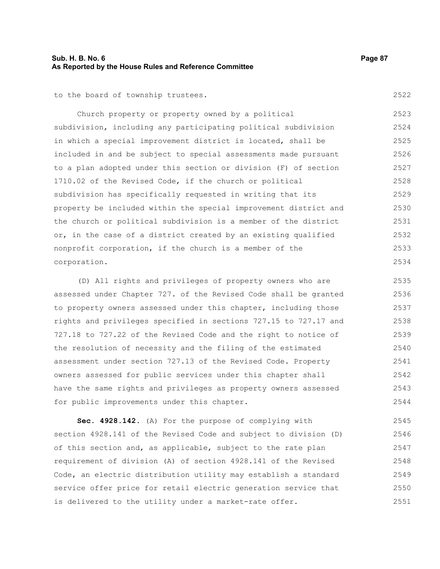# **Sub. H. B. No. 6 Page 87 As Reported by the House Rules and Reference Committee**

to the board of township trustees.

Church property or property owned by a political subdivision, including any participating political subdivision in which a special improvement district is located, shall be included in and be subject to special assessments made pursuant to a plan adopted under this section or division (F) of section 1710.02 of the Revised Code, if the church or political subdivision has specifically requested in writing that its property be included within the special improvement district and the church or political subdivision is a member of the district or, in the case of a district created by an existing qualified nonprofit corporation, if the church is a member of the corporation. 2523 2524 2525 2526 2527 2528 2529 2530 2531 2532 2533 2534

(D) All rights and privileges of property owners who are assessed under Chapter 727. of the Revised Code shall be granted to property owners assessed under this chapter, including those rights and privileges specified in sections 727.15 to 727.17 and 727.18 to 727.22 of the Revised Code and the right to notice of the resolution of necessity and the filing of the estimated assessment under section 727.13 of the Revised Code. Property owners assessed for public services under this chapter shall have the same rights and privileges as property owners assessed for public improvements under this chapter. 2535 2536 2537 2538 2539 2540 2541 2542 2543 2544

**Sec. 4928.142.** (A) For the purpose of complying with section 4928.141 of the Revised Code and subject to division (D) of this section and, as applicable, subject to the rate plan requirement of division (A) of section 4928.141 of the Revised Code, an electric distribution utility may establish a standard service offer price for retail electric generation service that is delivered to the utility under a market-rate offer. 2545 2546 2547 2548 2549 2550 2551

2522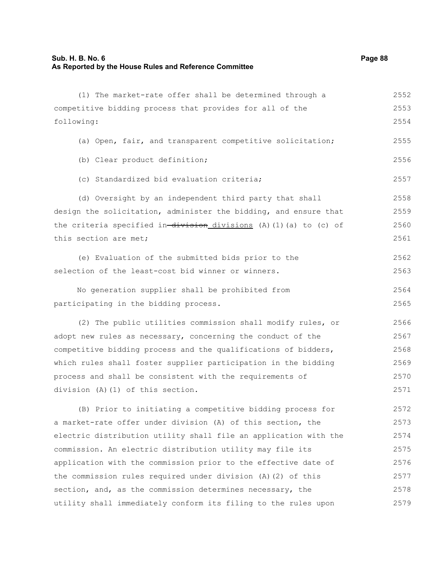# **Sub. H. B. No. 6 Page 88 As Reported by the House Rules and Reference Committee**

| (1) The market-rate offer shall be determined through a          | 2552 |
|------------------------------------------------------------------|------|
| competitive bidding process that provides for all of the         | 2553 |
| following:                                                       | 2554 |
| (a) Open, fair, and transparent competitive solicitation;        | 2555 |
| (b) Clear product definition;                                    | 2556 |
| (c) Standardized bid evaluation criteria;                        | 2557 |
| (d) Oversight by an independent third party that shall           | 2558 |
| design the solicitation, administer the bidding, and ensure that | 2559 |
| the criteria specified in-division_divisions (A)(1)(a) to (c) of | 2560 |
| this section are met;                                            | 2561 |
| (e) Evaluation of the submitted bids prior to the                | 2562 |
| selection of the least-cost bid winner or winners.               | 2563 |
| No generation supplier shall be prohibited from                  | 2564 |
| participating in the bidding process.                            | 2565 |
| (2) The public utilities commission shall modify rules, or       | 2566 |
| adopt new rules as necessary, concerning the conduct of the      | 2567 |
| competitive bidding process and the qualifications of bidders,   | 2568 |
| which rules shall foster supplier participation in the bidding   | 2569 |
| process and shall be consistent with the requirements of         | 2570 |
| division (A) (1) of this section.                                | 2571 |
| (B) Prior to initiating a competitive bidding process for        | 2572 |
| a market-rate offer under division (A) of this section, the      | 2573 |
| electric distribution utility shall file an application with the | 2574 |
| commission. An electric distribution utility may file its        | 2575 |
| application with the commission prior to the effective date of   | 2576 |
| the commission rules required under division (A) (2) of this     | 2577 |
| section, and, as the commission determines necessary, the        | 2578 |
| utility shall immediately conform its filing to the rules upon   | 2579 |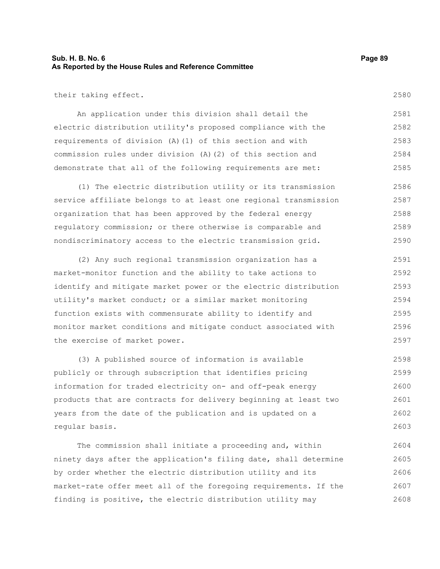# **Sub. H. B. No. 6 Page 89 As Reported by the House Rules and Reference Committee**

their taking effect.

An application under this division shall detail the electric distribution utility's proposed compliance with the requirements of division (A)(1) of this section and with commission rules under division (A)(2) of this section and demonstrate that all of the following requirements are met: 2581 2582 2583 2584 2585

(1) The electric distribution utility or its transmission service affiliate belongs to at least one regional transmission organization that has been approved by the federal energy regulatory commission; or there otherwise is comparable and nondiscriminatory access to the electric transmission grid. 2586 2587 2588 2589 2590

(2) Any such regional transmission organization has a market-monitor function and the ability to take actions to identify and mitigate market power or the electric distribution utility's market conduct; or a similar market monitoring function exists with commensurate ability to identify and monitor market conditions and mitigate conduct associated with the exercise of market power. 2591 2592 2593 2594 2595 2596 2597

(3) A published source of information is available publicly or through subscription that identifies pricing information for traded electricity on- and off-peak energy products that are contracts for delivery beginning at least two years from the date of the publication and is updated on a regular basis. 2598 2599 2600 2601 2602 2603

The commission shall initiate a proceeding and, within ninety days after the application's filing date, shall determine by order whether the electric distribution utility and its market-rate offer meet all of the foregoing requirements. If the finding is positive, the electric distribution utility may 2604 2605 2606 2607 2608

2580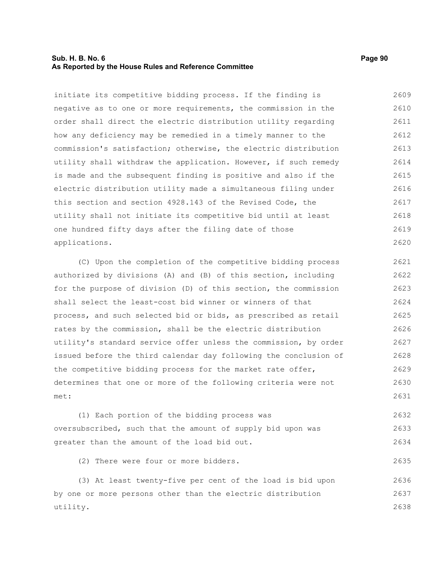# **Sub. H. B. No. 6 Page 90 As Reported by the House Rules and Reference Committee**

2635

initiate its competitive bidding process. If the finding is negative as to one or more requirements, the commission in the order shall direct the electric distribution utility regarding how any deficiency may be remedied in a timely manner to the commission's satisfaction; otherwise, the electric distribution utility shall withdraw the application. However, if such remedy is made and the subsequent finding is positive and also if the electric distribution utility made a simultaneous filing under this section and section 4928.143 of the Revised Code, the utility shall not initiate its competitive bid until at least one hundred fifty days after the filing date of those applications. 2609 2610 2611 2612 2613 2614 2615 2616 2617 2618 2619 2620

(C) Upon the completion of the competitive bidding process authorized by divisions (A) and (B) of this section, including for the purpose of division (D) of this section, the commission shall select the least-cost bid winner or winners of that process, and such selected bid or bids, as prescribed as retail rates by the commission, shall be the electric distribution utility's standard service offer unless the commission, by order issued before the third calendar day following the conclusion of the competitive bidding process for the market rate offer, determines that one or more of the following criteria were not met: 2621 2622 2623 2624 2625 2626 2627 2628 2629 2630 2631

(1) Each portion of the bidding process was oversubscribed, such that the amount of supply bid upon was greater than the amount of the load bid out. 2632 2633 2634

(2) There were four or more bidders.

(3) At least twenty-five per cent of the load is bid upon by one or more persons other than the electric distribution utility. 2636 2637 2638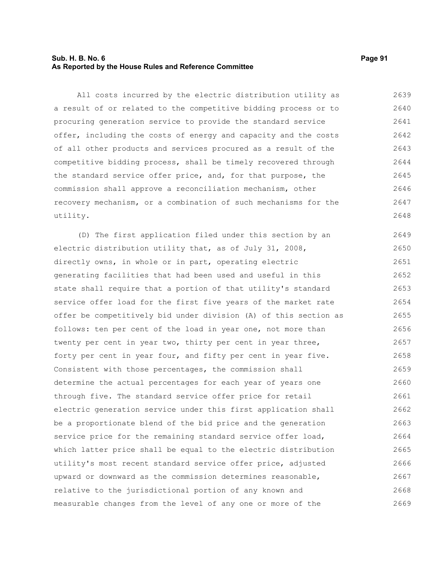# **Sub. H. B. No. 6 Page 91 As Reported by the House Rules and Reference Committee**

All costs incurred by the electric distribution utility as a result of or related to the competitive bidding process or to procuring generation service to provide the standard service offer, including the costs of energy and capacity and the costs of all other products and services procured as a result of the competitive bidding process, shall be timely recovered through the standard service offer price, and, for that purpose, the commission shall approve a reconciliation mechanism, other recovery mechanism, or a combination of such mechanisms for the utility. 2639 2640 2641 2642 2643 2644 2645 2646 2647 2648

(D) The first application filed under this section by an electric distribution utility that, as of July 31, 2008, directly owns, in whole or in part, operating electric generating facilities that had been used and useful in this state shall require that a portion of that utility's standard service offer load for the first five years of the market rate offer be competitively bid under division (A) of this section as follows: ten per cent of the load in year one, not more than twenty per cent in year two, thirty per cent in year three, forty per cent in year four, and fifty per cent in year five. Consistent with those percentages, the commission shall determine the actual percentages for each year of years one through five. The standard service offer price for retail electric generation service under this first application shall be a proportionate blend of the bid price and the generation service price for the remaining standard service offer load, which latter price shall be equal to the electric distribution utility's most recent standard service offer price, adjusted upward or downward as the commission determines reasonable, relative to the jurisdictional portion of any known and measurable changes from the level of any one or more of the 2649 2650 2651 2652 2653 2654 2655 2656 2657 2658 2659 2660 2661 2662 2663 2664 2665 2666 2667 2668 2669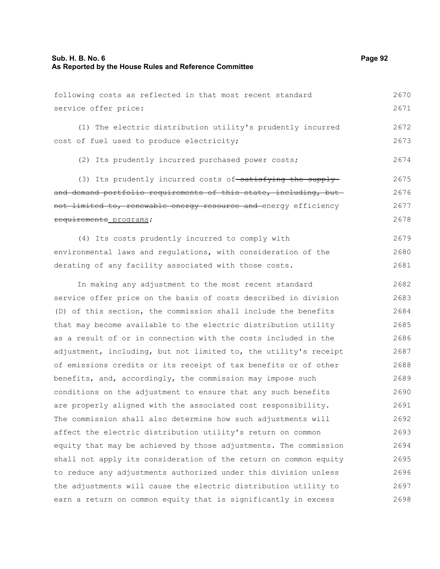| following costs as reflected in that most recent standard        | 2670 |
|------------------------------------------------------------------|------|
| service offer price:                                             | 2671 |
| (1) The electric distribution utility's prudently incurred       | 2672 |
| cost of fuel used to produce electricity;                        | 2673 |
| (2) Its prudently incurred purchased power costs;                | 2674 |
| (3) Its prudently incurred costs of-satisfying the supply-       | 2675 |
| and demand portfolio requirements of this state, including, but- | 2676 |
| not limited to, renewable energy resource and energy efficiency  | 2677 |
| requirements programs;                                           | 2678 |
| (4) Its costs prudently incurred to comply with                  | 2679 |
| environmental laws and regulations, with consideration of the    | 2680 |
| derating of any facility associated with those costs.            | 2681 |
| In making any adjustment to the most recent standard             | 2682 |
| service offer price on the basis of costs described in division  | 2683 |
| (D) of this section, the commission shall include the benefits   | 2684 |
| that may become available to the electric distribution utility   | 2685 |
| as a result of or in connection with the costs included in the   | 2686 |
| adjustment, including, but not limited to, the utility's receipt | 2687 |
| of emissions credits or its receipt of tax benefits or of other  | 2688 |
| benefits, and, accordingly, the commission may impose such       | 2689 |
| conditions on the adjustment to ensure that any such benefits    | 2690 |
| are properly aligned with the associated cost responsibility.    | 2691 |
| The commission shall also determine how such adjustments will    | 2692 |
| affect the electric distribution utility's return on common      | 2693 |
| equity that may be achieved by those adjustments. The commission | 2694 |
| shall not apply its consideration of the return on common equity | 2695 |
| to reduce any adjustments authorized under this division unless  | 2696 |
| the adjustments will cause the electric distribution utility to  | 2697 |
| earn a return on common equity that is significantly in excess   | 2698 |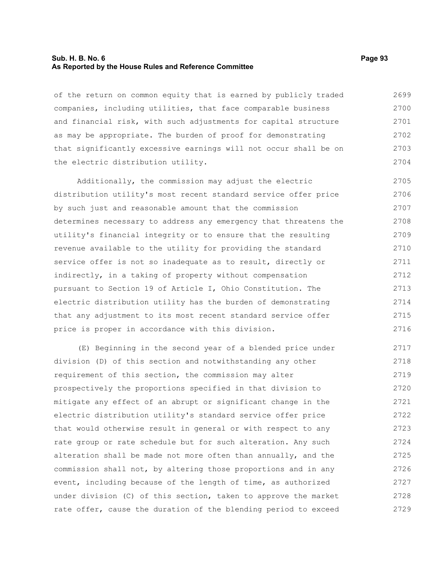### **Sub. H. B. No. 6 Page 93 As Reported by the House Rules and Reference Committee**

of the return on common equity that is earned by publicly traded companies, including utilities, that face comparable business and financial risk, with such adjustments for capital structure as may be appropriate. The burden of proof for demonstrating that significantly excessive earnings will not occur shall be on the electric distribution utility. 2699 2700 2701 2702 2703 2704

Additionally, the commission may adjust the electric distribution utility's most recent standard service offer price by such just and reasonable amount that the commission determines necessary to address any emergency that threatens the utility's financial integrity or to ensure that the resulting revenue available to the utility for providing the standard service offer is not so inadequate as to result, directly or indirectly, in a taking of property without compensation pursuant to Section 19 of Article I, Ohio Constitution. The electric distribution utility has the burden of demonstrating that any adjustment to its most recent standard service offer price is proper in accordance with this division. 2705 2706 2707 2708 2709 2710 2711 2712 2713 2714 2715 2716

(E) Beginning in the second year of a blended price under division (D) of this section and notwithstanding any other requirement of this section, the commission may alter prospectively the proportions specified in that division to mitigate any effect of an abrupt or significant change in the electric distribution utility's standard service offer price that would otherwise result in general or with respect to any rate group or rate schedule but for such alteration. Any such alteration shall be made not more often than annually, and the commission shall not, by altering those proportions and in any event, including because of the length of time, as authorized under division (C) of this section, taken to approve the market rate offer, cause the duration of the blending period to exceed 2717 2718 2719 2720 2721 2722 2723 2724 2725 2726 2727 2728 2729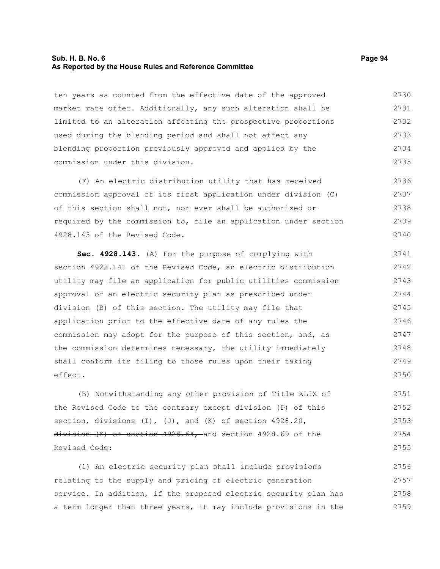### **Sub. H. B. No. 6 Page 94 As Reported by the House Rules and Reference Committee**

ten years as counted from the effective date of the approved market rate offer. Additionally, any such alteration shall be limited to an alteration affecting the prospective proportions used during the blending period and shall not affect any blending proportion previously approved and applied by the commission under this division. 2730 2731 2732 2733 2734 2735

(F) An electric distribution utility that has received commission approval of its first application under division (C) of this section shall not, nor ever shall be authorized or required by the commission to, file an application under section 4928.143 of the Revised Code. 2736 2737 2738 2739 2740

**Sec. 4928.143.** (A) For the purpose of complying with section 4928.141 of the Revised Code, an electric distribution utility may file an application for public utilities commission approval of an electric security plan as prescribed under division (B) of this section. The utility may file that application prior to the effective date of any rules the commission may adopt for the purpose of this section, and, as the commission determines necessary, the utility immediately shall conform its filing to those rules upon their taking effect. 2741 2742 2743 2744 2745 2746 2747 2748 2749 2750

(B) Notwithstanding any other provision of Title XLIX of the Revised Code to the contrary except division (D) of this section, divisions  $(I)$ ,  $(J)$ , and  $(K)$  of section 4928.20, division (E) of section 4928.64, and section 4928.69 of the Revised Code: 2751 2752 2753 2754 2755

(1) An electric security plan shall include provisions relating to the supply and pricing of electric generation service. In addition, if the proposed electric security plan has a term longer than three years, it may include provisions in the 2756 2757 2758 2759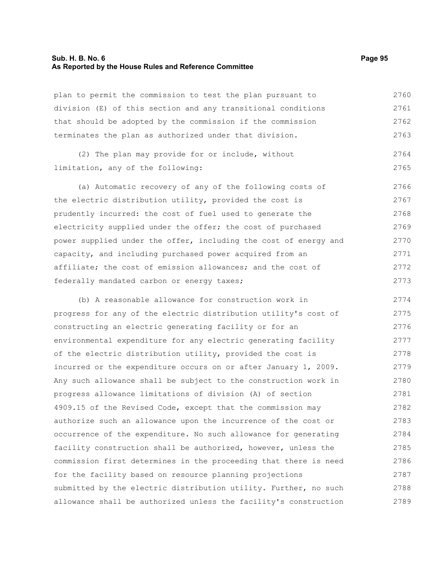## **Sub. H. B. No. 6 Page 95 As Reported by the House Rules and Reference Committee**

plan to permit the commission to test the plan pursuant to division (E) of this section and any transitional conditions that should be adopted by the commission if the commission terminates the plan as authorized under that division. 2760 2761 2762 2763

(2) The plan may provide for or include, without limitation, any of the following: 2764 2765

(a) Automatic recovery of any of the following costs of the electric distribution utility, provided the cost is prudently incurred: the cost of fuel used to generate the electricity supplied under the offer; the cost of purchased power supplied under the offer, including the cost of energy and capacity, and including purchased power acquired from an affiliate; the cost of emission allowances; and the cost of federally mandated carbon or energy taxes; 2766 2767 2768 2769 2770 2771 2772 2773

(b) A reasonable allowance for construction work in progress for any of the electric distribution utility's cost of constructing an electric generating facility or for an environmental expenditure for any electric generating facility of the electric distribution utility, provided the cost is incurred or the expenditure occurs on or after January 1, 2009. Any such allowance shall be subject to the construction work in progress allowance limitations of division (A) of section 4909.15 of the Revised Code, except that the commission may authorize such an allowance upon the incurrence of the cost or occurrence of the expenditure. No such allowance for generating facility construction shall be authorized, however, unless the commission first determines in the proceeding that there is need for the facility based on resource planning projections submitted by the electric distribution utility. Further, no such allowance shall be authorized unless the facility's construction 2774 2775 2776 2777 2778 2779 2780 2781 2782 2783 2784 2785 2786 2787 2788 2789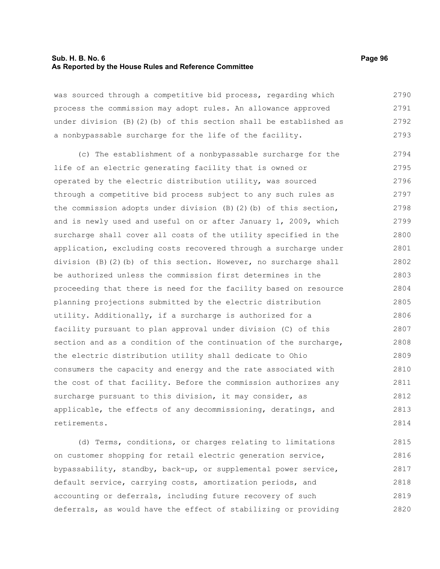# **Sub. H. B. No. 6 Page 96 As Reported by the House Rules and Reference Committee**

was sourced through a competitive bid process, regarding which process the commission may adopt rules. An allowance approved under division (B)(2)(b) of this section shall be established as a nonbypassable surcharge for the life of the facility. 2790 2791 2792 2793

(c) The establishment of a nonbypassable surcharge for the life of an electric generating facility that is owned or operated by the electric distribution utility, was sourced through a competitive bid process subject to any such rules as the commission adopts under division (B)(2)(b) of this section, and is newly used and useful on or after January 1, 2009, which surcharge shall cover all costs of the utility specified in the application, excluding costs recovered through a surcharge under division (B)(2)(b) of this section. However, no surcharge shall be authorized unless the commission first determines in the proceeding that there is need for the facility based on resource planning projections submitted by the electric distribution utility. Additionally, if a surcharge is authorized for a facility pursuant to plan approval under division (C) of this section and as a condition of the continuation of the surcharge, the electric distribution utility shall dedicate to Ohio consumers the capacity and energy and the rate associated with the cost of that facility. Before the commission authorizes any surcharge pursuant to this division, it may consider, as applicable, the effects of any decommissioning, deratings, and retirements. 2794 2795 2796 2797 2798 2799 2800 2801 2802 2803 2804 2805 2806 2807 2808 2809 2810 2811 2812 2813 2814

(d) Terms, conditions, or charges relating to limitations on customer shopping for retail electric generation service, bypassability, standby, back-up, or supplemental power service, default service, carrying costs, amortization periods, and accounting or deferrals, including future recovery of such deferrals, as would have the effect of stabilizing or providing 2815 2816 2817 2818 2819 2820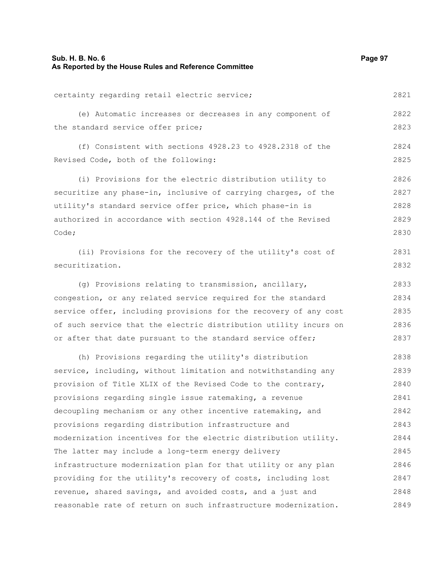| Sub. H. B. No. 6<br>As Reported by the House Rules and Reference Committee | Page 97 |
|----------------------------------------------------------------------------|---------|
| certainty regarding retail electric service;                               | 2821    |
| (e) Automatic increases or decreases in any component of                   | 2822    |
| the standard service offer price;                                          | 2823    |
| (f) Consistent with sections 4928.23 to 4928.2318 of the                   | 2824    |
| Revised Code, both of the following:                                       | 2825    |
| (i) Provisions for the electric distribution utility to                    | 2826    |
| securitize any phase-in, inclusive of carrying charges, of the             | 2827    |
| utility's standard service offer price, which phase-in is                  | 2828    |
| authorized in accordance with section 4928.144 of the Revised              | 2829    |
| Code;                                                                      | 2830    |
| (ii) Provisions for the recovery of the utility's cost of                  | 2831    |
| securitization.                                                            | 2832    |
| (g) Provisions relating to transmission, ancillary,                        | 2833    |
| congestion, or any related service required for the standard               | 2834    |
| service offer, including provisions for the recovery of any cost           | 2835    |
| of such service that the electric distribution utility incurs on           | 2836    |
| or after that date pursuant to the standard service offer;                 | 2837    |
| (h) Provisions regarding the utility's distribution                        | 2838    |
| service, including, without limitation and notwithstanding any             | 2839    |
| provision of Title XLIX of the Revised Code to the contrary,               | 2840    |
| provisions regarding single issue ratemaking, a revenue                    | 2841    |
| decoupling mechanism or any other incentive ratemaking, and                | 2842    |
| provisions regarding distribution infrastructure and                       | 2843    |
| modernization incentives for the electric distribution utility.            | 2844    |
| The latter may include a long-term energy delivery                         | 2845    |
| infrastructure modernization plan for that utility or any plan             | 2846    |
| providing for the utility's recovery of costs, including lost              | 2847    |
| revenue, shared savings, and avoided costs, and a just and                 | 2848    |
| reasonable rate of return on such infrastructure modernization.            | 2849    |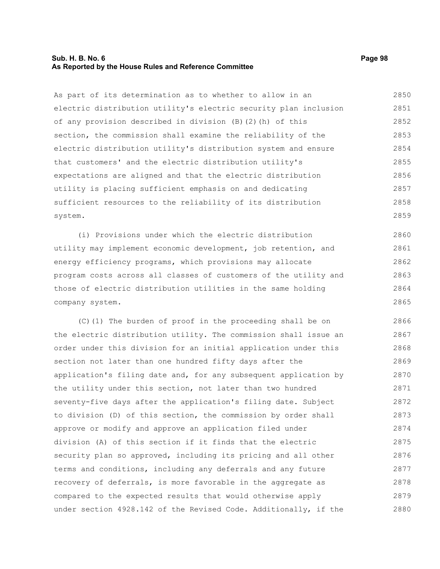# **Sub. H. B. No. 6 Page 98 As Reported by the House Rules and Reference Committee**

As part of its determination as to whether to allow in an electric distribution utility's electric security plan inclusion of any provision described in division (B)(2)(h) of this section, the commission shall examine the reliability of the electric distribution utility's distribution system and ensure that customers' and the electric distribution utility's expectations are aligned and that the electric distribution utility is placing sufficient emphasis on and dedicating sufficient resources to the reliability of its distribution system. 2850 2851 2852 2853 2854 2855 2856 2857 2858 2859

(i) Provisions under which the electric distribution utility may implement economic development, job retention, and energy efficiency programs, which provisions may allocate program costs across all classes of customers of the utility and those of electric distribution utilities in the same holding company system. 2860 2861 2862 2863 2864 2865

(C)(1) The burden of proof in the proceeding shall be on the electric distribution utility. The commission shall issue an order under this division for an initial application under this section not later than one hundred fifty days after the application's filing date and, for any subsequent application by the utility under this section, not later than two hundred seventy-five days after the application's filing date. Subject to division (D) of this section, the commission by order shall approve or modify and approve an application filed under division (A) of this section if it finds that the electric security plan so approved, including its pricing and all other terms and conditions, including any deferrals and any future recovery of deferrals, is more favorable in the aggregate as compared to the expected results that would otherwise apply under section 4928.142 of the Revised Code. Additionally, if the 2866 2867 2868 2869 2870 2871 2872 2873 2874 2875 2876 2877 2878 2879 2880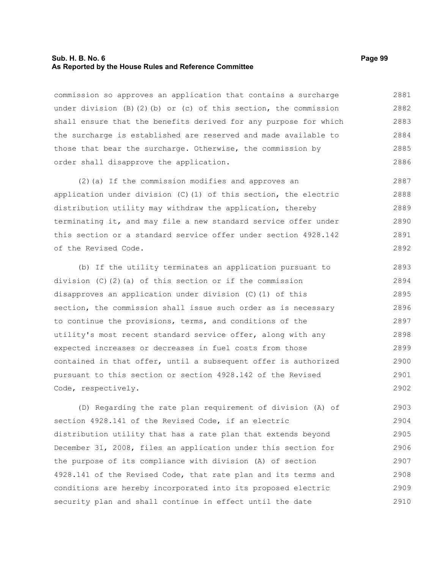#### **Sub. H. B. No. 6 Page 99 As Reported by the House Rules and Reference Committee**

commission so approves an application that contains a surcharge under division  $(B)(2)(b)$  or  $(c)$  of this section, the commission shall ensure that the benefits derived for any purpose for which the surcharge is established are reserved and made available to those that bear the surcharge. Otherwise, the commission by order shall disapprove the application. 2881 2882 2883 2884 2885 2886

(2)(a) If the commission modifies and approves an application under division (C)(1) of this section, the electric distribution utility may withdraw the application, thereby terminating it, and may file a new standard service offer under this section or a standard service offer under section 4928.142 of the Revised Code. 2887 2888 2889 2890 2891 2892

(b) If the utility terminates an application pursuant to division (C)(2)(a) of this section or if the commission disapproves an application under division (C)(1) of this section, the commission shall issue such order as is necessary to continue the provisions, terms, and conditions of the utility's most recent standard service offer, along with any expected increases or decreases in fuel costs from those contained in that offer, until a subsequent offer is authorized pursuant to this section or section 4928.142 of the Revised Code, respectively. 2893 2894 2895 2896 2897 2898 2899 2900 2901 2902

(D) Regarding the rate plan requirement of division (A) of section 4928.141 of the Revised Code, if an electric distribution utility that has a rate plan that extends beyond December 31, 2008, files an application under this section for the purpose of its compliance with division (A) of section 4928.141 of the Revised Code, that rate plan and its terms and conditions are hereby incorporated into its proposed electric security plan and shall continue in effect until the date 2903 2904 2905 2906 2907 2908 2909 2910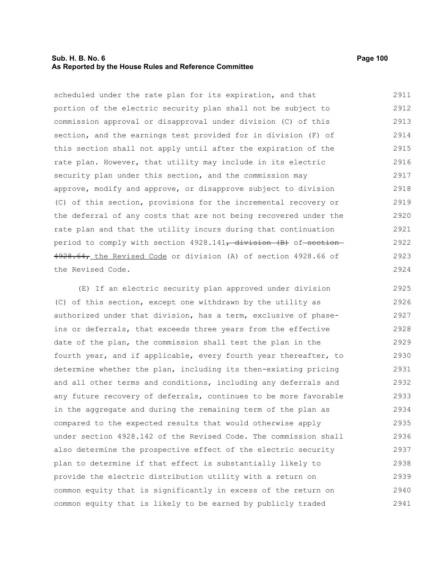# **Sub. H. B. No. 6 Page 100 As Reported by the House Rules and Reference Committee**

scheduled under the rate plan for its expiration, and that portion of the electric security plan shall not be subject to commission approval or disapproval under division (C) of this section, and the earnings test provided for in division (F) of this section shall not apply until after the expiration of the rate plan. However, that utility may include in its electric security plan under this section, and the commission may approve, modify and approve, or disapprove subject to division (C) of this section, provisions for the incremental recovery or the deferral of any costs that are not being recovered under the rate plan and that the utility incurs during that continuation period to comply with section 4928.141<del>, division (B)</del> of section 4928.64, the Revised Code or division (A) of section 4928.66 of the Revised Code. 2911 2912 2913 2914 2915 2916 2917 2918 2919 2920 2921 2922 2923 2924

(E) If an electric security plan approved under division (C) of this section, except one withdrawn by the utility as authorized under that division, has a term, exclusive of phaseins or deferrals, that exceeds three years from the effective date of the plan, the commission shall test the plan in the fourth year, and if applicable, every fourth year thereafter, to determine whether the plan, including its then-existing pricing and all other terms and conditions, including any deferrals and any future recovery of deferrals, continues to be more favorable in the aggregate and during the remaining term of the plan as compared to the expected results that would otherwise apply under section 4928.142 of the Revised Code. The commission shall also determine the prospective effect of the electric security plan to determine if that effect is substantially likely to provide the electric distribution utility with a return on common equity that is significantly in excess of the return on common equity that is likely to be earned by publicly traded 2925 2926 2927 2928 2929 2930 2931 2932 2933 2934 2935 2936 2937 2938 2939 2940 2941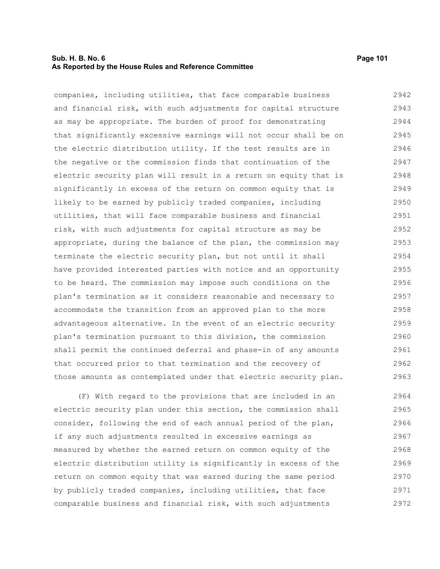# **Sub. H. B. No. 6 Page 101 As Reported by the House Rules and Reference Committee**

companies, including utilities, that face comparable business and financial risk, with such adjustments for capital structure as may be appropriate. The burden of proof for demonstrating that significantly excessive earnings will not occur shall be on the electric distribution utility. If the test results are in the negative or the commission finds that continuation of the electric security plan will result in a return on equity that is significantly in excess of the return on common equity that is likely to be earned by publicly traded companies, including utilities, that will face comparable business and financial risk, with such adjustments for capital structure as may be appropriate, during the balance of the plan, the commission may terminate the electric security plan, but not until it shall have provided interested parties with notice and an opportunity to be heard. The commission may impose such conditions on the plan's termination as it considers reasonable and necessary to accommodate the transition from an approved plan to the more advantageous alternative. In the event of an electric security plan's termination pursuant to this division, the commission shall permit the continued deferral and phase-in of any amounts that occurred prior to that termination and the recovery of those amounts as contemplated under that electric security plan. 2942 2943 2944 2945 2946 2947 2948 2949 2950 2951 2952 2953 2954 2955 2956 2957 2958 2959 2960 2961 2962 2963

(F) With regard to the provisions that are included in an electric security plan under this section, the commission shall consider, following the end of each annual period of the plan, if any such adjustments resulted in excessive earnings as measured by whether the earned return on common equity of the electric distribution utility is significantly in excess of the return on common equity that was earned during the same period by publicly traded companies, including utilities, that face comparable business and financial risk, with such adjustments 2964 2965 2966 2967 2968 2969 2970 2971 2972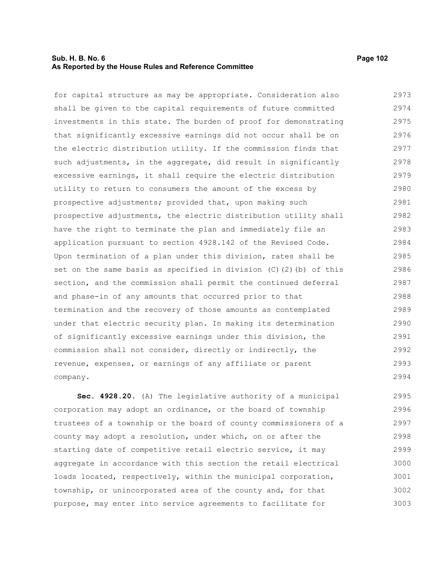# **Sub. H. B. No. 6 Page 102 As Reported by the House Rules and Reference Committee**

for capital structure as may be appropriate. Consideration also shall be given to the capital requirements of future committed investments in this state. The burden of proof for demonstrating that significantly excessive earnings did not occur shall be on the electric distribution utility. If the commission finds that such adjustments, in the aggregate, did result in significantly excessive earnings, it shall require the electric distribution utility to return to consumers the amount of the excess by prospective adjustments; provided that, upon making such prospective adjustments, the electric distribution utility shall have the right to terminate the plan and immediately file an application pursuant to section 4928.142 of the Revised Code. Upon termination of a plan under this division, rates shall be set on the same basis as specified in division (C)(2)(b) of this section, and the commission shall permit the continued deferral and phase-in of any amounts that occurred prior to that termination and the recovery of those amounts as contemplated under that electric security plan. In making its determination of significantly excessive earnings under this division, the commission shall not consider, directly or indirectly, the revenue, expenses, or earnings of any affiliate or parent company. 2973 2974 2975 2976 2977 2978 2979 2980 2981 2982 2983 2984 2985 2986 2987 2988 2989 2990 2991 2992 2993 2994

**Sec. 4928.20.** (A) The legislative authority of a municipal corporation may adopt an ordinance, or the board of township trustees of a township or the board of county commissioners of a county may adopt a resolution, under which, on or after the starting date of competitive retail electric service, it may aggregate in accordance with this section the retail electrical loads located, respectively, within the municipal corporation, township, or unincorporated area of the county and, for that purpose, may enter into service agreements to facilitate for 2995 2996 2997 2998 2999 3000 3001 3002 3003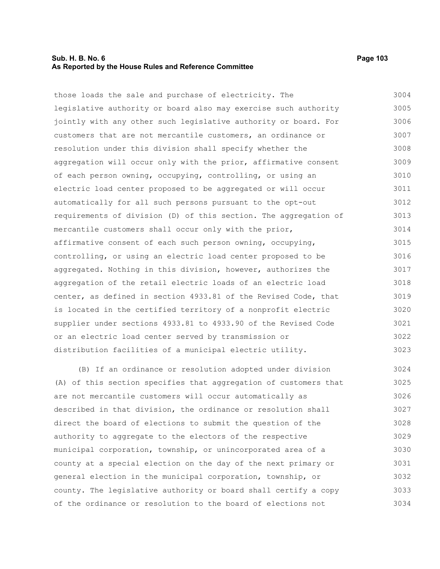# **Sub. H. B. No. 6 Page 103 As Reported by the House Rules and Reference Committee**

those loads the sale and purchase of electricity. The legislative authority or board also may exercise such authority jointly with any other such legislative authority or board. For customers that are not mercantile customers, an ordinance or resolution under this division shall specify whether the aggregation will occur only with the prior, affirmative consent of each person owning, occupying, controlling, or using an electric load center proposed to be aggregated or will occur automatically for all such persons pursuant to the opt-out requirements of division (D) of this section. The aggregation of mercantile customers shall occur only with the prior, affirmative consent of each such person owning, occupying, controlling, or using an electric load center proposed to be aggregated. Nothing in this division, however, authorizes the aggregation of the retail electric loads of an electric load center, as defined in section 4933.81 of the Revised Code, that is located in the certified territory of a nonprofit electric supplier under sections 4933.81 to 4933.90 of the Revised Code or an electric load center served by transmission or distribution facilities of a municipal electric utility. 3004 3005 3006 3007 3008 3009 3010 3011 3012 3013 3014 3015 3016 3017 3018 3019 3020 3021 3022 3023

(B) If an ordinance or resolution adopted under division (A) of this section specifies that aggregation of customers that are not mercantile customers will occur automatically as described in that division, the ordinance or resolution shall direct the board of elections to submit the question of the authority to aggregate to the electors of the respective municipal corporation, township, or unincorporated area of a county at a special election on the day of the next primary or general election in the municipal corporation, township, or county. The legislative authority or board shall certify a copy of the ordinance or resolution to the board of elections not 3024 3025 3026 3027 3028 3029 3030 3031 3032 3033 3034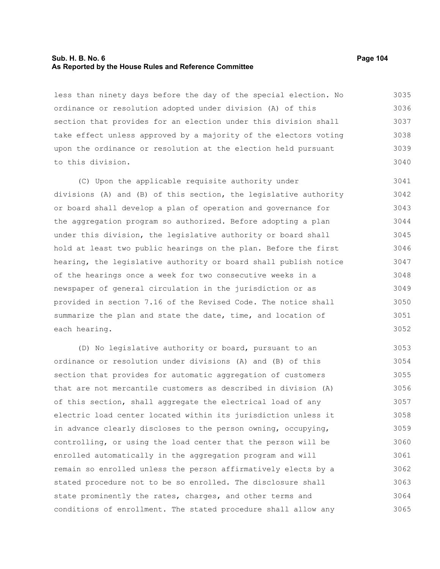# **Sub. H. B. No. 6 Page 104 As Reported by the House Rules and Reference Committee**

less than ninety days before the day of the special election. No ordinance or resolution adopted under division (A) of this section that provides for an election under this division shall take effect unless approved by a majority of the electors voting upon the ordinance or resolution at the election held pursuant to this division. 3035 3036 3037 3038 3039 3040

(C) Upon the applicable requisite authority under divisions (A) and (B) of this section, the legislative authority or board shall develop a plan of operation and governance for the aggregation program so authorized. Before adopting a plan under this division, the legislative authority or board shall hold at least two public hearings on the plan. Before the first hearing, the legislative authority or board shall publish notice of the hearings once a week for two consecutive weeks in a newspaper of general circulation in the jurisdiction or as provided in section 7.16 of the Revised Code. The notice shall summarize the plan and state the date, time, and location of each hearing. 3041 3042 3043 3044 3045 3046 3047 3048 3049 3050 3051 3052

(D) No legislative authority or board, pursuant to an ordinance or resolution under divisions (A) and (B) of this section that provides for automatic aggregation of customers that are not mercantile customers as described in division (A) of this section, shall aggregate the electrical load of any electric load center located within its jurisdiction unless it in advance clearly discloses to the person owning, occupying, controlling, or using the load center that the person will be enrolled automatically in the aggregation program and will remain so enrolled unless the person affirmatively elects by a stated procedure not to be so enrolled. The disclosure shall state prominently the rates, charges, and other terms and conditions of enrollment. The stated procedure shall allow any 3053 3054 3055 3056 3057 3058 3059 3060 3061 3062 3063 3064 3065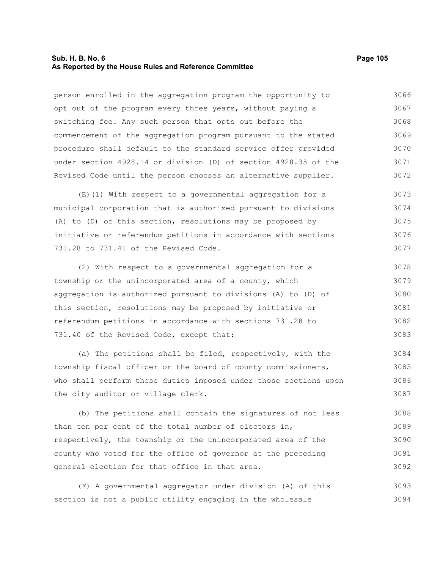# **Sub. H. B. No. 6 Page 105 As Reported by the House Rules and Reference Committee**

person enrolled in the aggregation program the opportunity to opt out of the program every three years, without paying a switching fee. Any such person that opts out before the commencement of the aggregation program pursuant to the stated procedure shall default to the standard service offer provided under section 4928.14 or division (D) of section 4928.35 of the Revised Code until the person chooses an alternative supplier. 3066 3067 3068 3069 3070 3071 3072

(E)(1) With respect to a governmental aggregation for a municipal corporation that is authorized pursuant to divisions (A) to (D) of this section, resolutions may be proposed by initiative or referendum petitions in accordance with sections 731.28 to 731.41 of the Revised Code. 3073 3074 3075 3076 3077

(2) With respect to a governmental aggregation for a township or the unincorporated area of a county, which aggregation is authorized pursuant to divisions (A) to (D) of this section, resolutions may be proposed by initiative or referendum petitions in accordance with sections 731.28 to 731.40 of the Revised Code, except that: 3078 3079 3080 3081 3082 3083

(a) The petitions shall be filed, respectively, with the township fiscal officer or the board of county commissioners, who shall perform those duties imposed under those sections upon the city auditor or village clerk. 3084 3085 3086 3087

(b) The petitions shall contain the signatures of not less than ten per cent of the total number of electors in, respectively, the township or the unincorporated area of the county who voted for the office of governor at the preceding general election for that office in that area. 3088 3089 3090 3091 3092

(F) A governmental aggregator under division (A) of this section is not a public utility engaging in the wholesale 3093 3094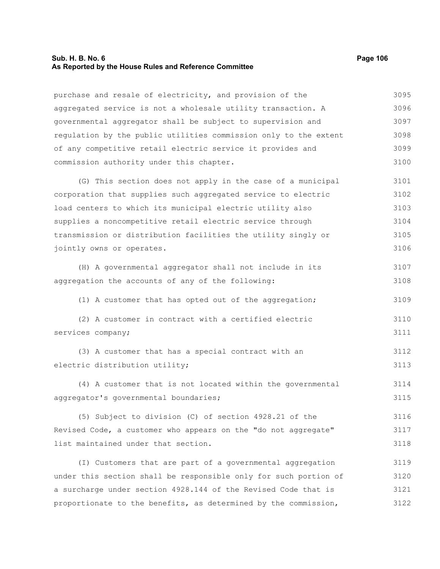# **Sub. H. B. No. 6 Page 106 As Reported by the House Rules and Reference Committee**

| purchase and resale of electricity, and provision of the         | 3095 |
|------------------------------------------------------------------|------|
| aggregated service is not a wholesale utility transaction. A     | 3096 |
| governmental aggregator shall be subject to supervision and      | 3097 |
| regulation by the public utilities commission only to the extent | 3098 |
| of any competitive retail electric service it provides and       | 3099 |
| commission authority under this chapter.                         | 3100 |
| (G) This section does not apply in the case of a municipal       | 3101 |
| corporation that supplies such aggregated service to electric    | 3102 |
| load centers to which its municipal electric utility also        | 3103 |
| supplies a noncompetitive retail electric service through        | 3104 |
| transmission or distribution facilities the utility singly or    | 3105 |
| jointly owns or operates.                                        | 3106 |
| (H) A governmental aggregator shall not include in its           | 3107 |
| aggregation the accounts of any of the following:                | 3108 |
| (1) A customer that has opted out of the aggregation;            | 3109 |
| (2) A customer in contract with a certified electric             | 3110 |
| services company;                                                | 3111 |
| (3) A customer that has a special contract with an               | 3112 |
| electric distribution utility;                                   | 3113 |
| (4) A customer that is not located within the governmental       | 3114 |
| aggregator's governmental boundaries;                            | 3115 |
| (5) Subject to division (C) of section 4928.21 of the            | 3116 |
| Revised Code, a customer who appears on the "do not aggregate"   | 3117 |
| list maintained under that section.                              | 3118 |
| (I) Customers that are part of a governmental aggregation        | 3119 |
| under this section shall be responsible only for such portion of | 3120 |
| a surcharge under section 4928.144 of the Revised Code that is   | 3121 |
| proportionate to the benefits, as determined by the commission,  | 3122 |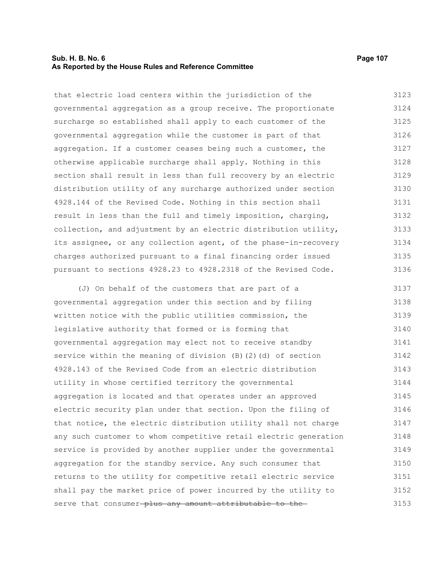# **Sub. H. B. No. 6 Page 107 As Reported by the House Rules and Reference Committee**

that electric load centers within the jurisdiction of the governmental aggregation as a group receive. The proportionate surcharge so established shall apply to each customer of the governmental aggregation while the customer is part of that aggregation. If a customer ceases being such a customer, the otherwise applicable surcharge shall apply. Nothing in this section shall result in less than full recovery by an electric distribution utility of any surcharge authorized under section 4928.144 of the Revised Code. Nothing in this section shall result in less than the full and timely imposition, charging, collection, and adjustment by an electric distribution utility, its assignee, or any collection agent, of the phase-in-recovery charges authorized pursuant to a final financing order issued pursuant to sections 4928.23 to 4928.2318 of the Revised Code. 3123 3124 3125 3126 3127 3128 3129 3130 3131 3132 3133 3134 3135 3136

(J) On behalf of the customers that are part of a governmental aggregation under this section and by filing written notice with the public utilities commission, the legislative authority that formed or is forming that governmental aggregation may elect not to receive standby service within the meaning of division (B)(2)(d) of section 4928.143 of the Revised Code from an electric distribution utility in whose certified territory the governmental aggregation is located and that operates under an approved electric security plan under that section. Upon the filing of that notice, the electric distribution utility shall not charge any such customer to whom competitive retail electric generation service is provided by another supplier under the governmental aggregation for the standby service. Any such consumer that returns to the utility for competitive retail electric service shall pay the market price of power incurred by the utility to serve that consumer-plus any amount attributable to the-3137 3138 3139 3140 3141 3142 3143 3144 3145 3146 3147 3148 3149 3150 3151 3152 3153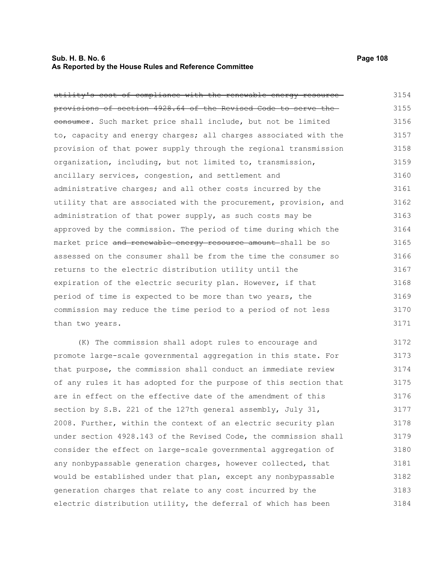# **Sub. H. B. No. 6 Page 108 As Reported by the House Rules and Reference Committee**

utility's cost of compliance with the renewable energy resource provisions of section 4928.64 of the Revised Code to serve the eonsumer. Such market price shall include, but not be limited to, capacity and energy charges; all charges associated with the provision of that power supply through the regional transmission organization, including, but not limited to, transmission, ancillary services, congestion, and settlement and administrative charges; and all other costs incurred by the utility that are associated with the procurement, provision, and administration of that power supply, as such costs may be approved by the commission. The period of time during which the market price and renewable energy resource amount-shall be so assessed on the consumer shall be from the time the consumer so returns to the electric distribution utility until the expiration of the electric security plan. However, if that period of time is expected to be more than two years, the commission may reduce the time period to a period of not less than two years. 3154 3155 3156 3157 3158 3159 3160 3161 3162 3163 3164 3165 3166 3167 3168 3169 3170 3171

(K) The commission shall adopt rules to encourage and promote large-scale governmental aggregation in this state. For that purpose, the commission shall conduct an immediate review of any rules it has adopted for the purpose of this section that are in effect on the effective date of the amendment of this section by S.B. 221 of the 127th general assembly, July 31, 2008. Further, within the context of an electric security plan under section 4928.143 of the Revised Code, the commission shall consider the effect on large-scale governmental aggregation of any nonbypassable generation charges, however collected, that would be established under that plan, except any nonbypassable generation charges that relate to any cost incurred by the electric distribution utility, the deferral of which has been 3172 3173 3174 3175 3176 3177 3178 3179 3180 3181 3182 3183 3184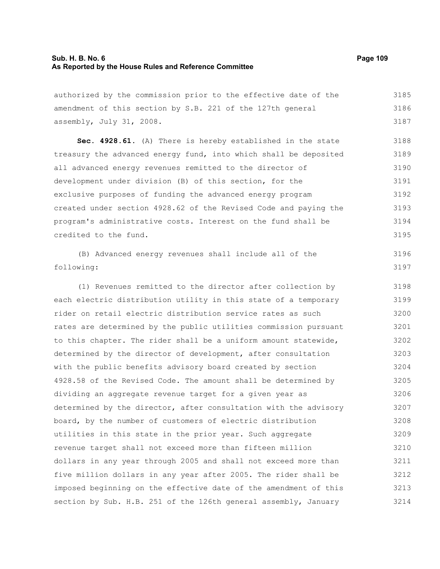### **Sub. H. B. No. 6 Page 109 As Reported by the House Rules and Reference Committee**

| authorized by the commission prior to the effective date of the  | 3185                                          |
|------------------------------------------------------------------|-----------------------------------------------|
| amendment of this section by S.B. 221 of the 127th general       | 3186                                          |
| assembly, July 31, 2008.                                         | 3187                                          |
| Sec. 4928.61. (A) There is hereby established in the state       | 3188                                          |
| treasury the advanced energy fund, into which shall be deposited | 3189                                          |
| all advanced energy revenues remitted to the director of         | 3190                                          |
| development under division (B) of this section, for the          | 3191                                          |
| exclusive purposes of funding the advanced energy program        | 3192                                          |
| created under section 4928.62 of the Revised Code and paying the | 3193                                          |
| program's administrative costs. Interest on the fund shall be    | 3194                                          |
| credited to the fund.                                            | 3195                                          |
| (B) Advanced energy revenues shall include all of the            | 3196                                          |
| following:                                                       | 3197                                          |
| (1) Revenues remitted to the director after collection by        | 3198                                          |
| each electric distribution utility in this state of a temporary  | 3199                                          |
| .                                                                | $\mathbf{a} \mathbf{a} \mathbf{a} \mathbf{a}$ |

rider on retail electric distribution service rates as such rates are determined by the public utilities commission pursuant to this chapter. The rider shall be a uniform amount statewide, determined by the director of development, after consultation with the public benefits advisory board created by section 4928.58 of the Revised Code. The amount shall be determined by dividing an aggregate revenue target for a given year as determined by the director, after consultation with the advisory board, by the number of customers of electric distribution utilities in this state in the prior year. Such aggregate revenue target shall not exceed more than fifteen million dollars in any year through 2005 and shall not exceed more than five million dollars in any year after 2005. The rider shall be imposed beginning on the effective date of the amendment of this section by Sub. H.B. 251 of the 126th general assembly, January 3200 3201 3202 3203 3204 3205 3206 3207 3208 3209 3210 3211 3212 3213 3214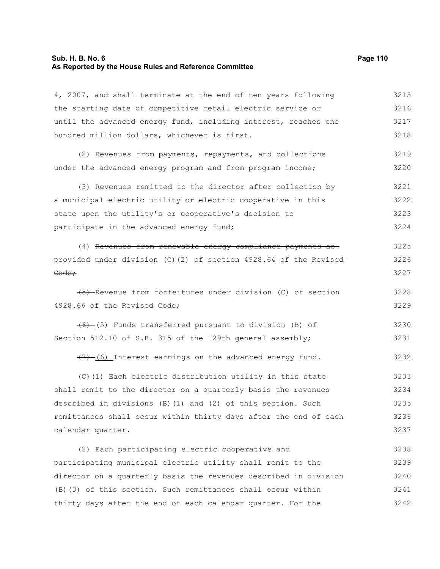# **Sub. H. B. No. 6 Page 110 As Reported by the House Rules and Reference Committee**

| 4, 2007, and shall terminate at the end of ten years following   | 3215 |
|------------------------------------------------------------------|------|
| the starting date of competitive retail electric service or      | 3216 |
| until the advanced energy fund, including interest, reaches one  | 3217 |
| hundred million dollars, whichever is first.                     | 3218 |
| (2) Revenues from payments, repayments, and collections          | 3219 |
| under the advanced energy program and from program income;       | 3220 |
| (3) Revenues remitted to the director after collection by        | 3221 |
| a municipal electric utility or electric cooperative in this     | 3222 |
| state upon the utility's or cooperative's decision to            | 3223 |
| participate in the advanced energy fund;                         | 3224 |
| (4) Revenues from renewable energy compliance payments as        | 3225 |
| provided under division (C)(2) of section 4928.64 of the Revised | 3226 |
| Code:                                                            | 3227 |
| (5) Revenue from forfeitures under division (C) of section       | 3228 |
| 4928.66 of the Revised Code;                                     | 3229 |
| (6) (5) Funds transferred pursuant to division (B) of            | 3230 |
| Section 512.10 of S.B. 315 of the 129th general assembly;        | 3231 |
| (7) (6) Interest earnings on the advanced energy fund.           | 3232 |
| (C)(1) Each electric distribution utility in this state          | 3233 |
| shall remit to the director on a quarterly basis the revenues    | 3234 |
| described in divisions (B) (1) and (2) of this section. Such     | 3235 |
| remittances shall occur within thirty days after the end of each | 3236 |
| calendar quarter.                                                | 3237 |
| (2) Each participating electric cooperative and                  | 3238 |
| participating municipal electric utility shall remit to the      | 3239 |
| director on a quarterly basis the revenues described in division | 3240 |
| (B) (3) of this section. Such remittances shall occur within     | 3241 |
| thirty days after the end of each calendar quarter. For the      | 3242 |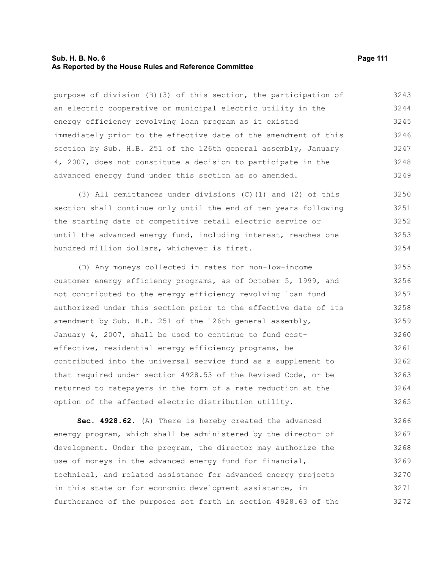#### **Sub. H. B. No. 6 Page 111 As Reported by the House Rules and Reference Committee**

purpose of division (B)(3) of this section, the participation of an electric cooperative or municipal electric utility in the energy efficiency revolving loan program as it existed immediately prior to the effective date of the amendment of this section by Sub. H.B. 251 of the 126th general assembly, January 4, 2007, does not constitute a decision to participate in the advanced energy fund under this section as so amended. 3243 3244 3245 3246 3247 3248 3249

(3) All remittances under divisions (C)(1) and (2) of this section shall continue only until the end of ten years following the starting date of competitive retail electric service or until the advanced energy fund, including interest, reaches one hundred million dollars, whichever is first. 3250 3251 3252 3253 3254

(D) Any moneys collected in rates for non-low-income customer energy efficiency programs, as of October 5, 1999, and not contributed to the energy efficiency revolving loan fund authorized under this section prior to the effective date of its amendment by Sub. H.B. 251 of the 126th general assembly, January 4, 2007, shall be used to continue to fund costeffective, residential energy efficiency programs, be contributed into the universal service fund as a supplement to that required under section 4928.53 of the Revised Code, or be returned to ratepayers in the form of a rate reduction at the option of the affected electric distribution utility. 3255 3256 3257 3258 3259 3260 3261 3262 3263 3264 3265

**Sec. 4928.62.** (A) There is hereby created the advanced energy program, which shall be administered by the director of development. Under the program, the director may authorize the use of moneys in the advanced energy fund for financial, technical, and related assistance for advanced energy projects in this state or for economic development assistance, in furtherance of the purposes set forth in section 4928.63 of the 3266 3267 3268 3269 3270 3271 3272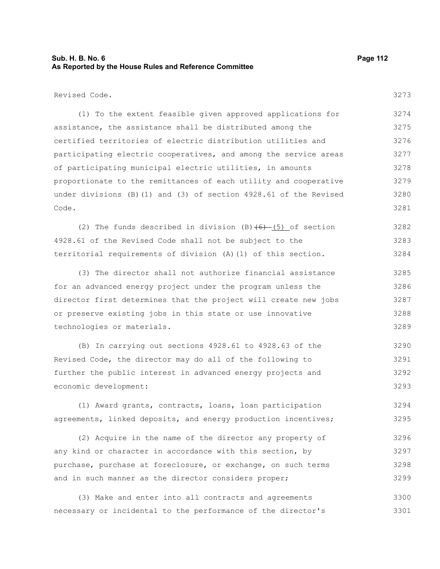### **Sub. H. B. No. 6 Page 112 As Reported by the House Rules and Reference Committee**

3273

Revised Code.

(1) To the extent feasible given approved applications for assistance, the assistance shall be distributed among the certified territories of electric distribution utilities and participating electric cooperatives, and among the service areas of participating municipal electric utilities, in amounts proportionate to the remittances of each utility and cooperative under divisions (B)(1) and (3) of section 4928.61 of the Revised Code. 3274 3275 3276 3277 3278 3279 3280 3281

(2) The funds described in division  $(B)$   $(6)$  - (5) of section 4928.61 of the Revised Code shall not be subject to the territorial requirements of division (A)(1) of this section. 3282 3283 3284

(3) The director shall not authorize financial assistance for an advanced energy project under the program unless the director first determines that the project will create new jobs or preserve existing jobs in this state or use innovative technologies or materials. 3285 3286 3287 3288 3289

(B) In carrying out sections 4928.61 to 4928.63 of the Revised Code, the director may do all of the following to further the public interest in advanced energy projects and economic development: 3290 3291 3292 3293

(1) Award grants, contracts, loans, loan participation agreements, linked deposits, and energy production incentives; 3294 3295

(2) Acquire in the name of the director any property of any kind or character in accordance with this section, by purchase, purchase at foreclosure, or exchange, on such terms and in such manner as the director considers proper; 3296 3297 3298 3299

(3) Make and enter into all contracts and agreements necessary or incidental to the performance of the director's 3300 3301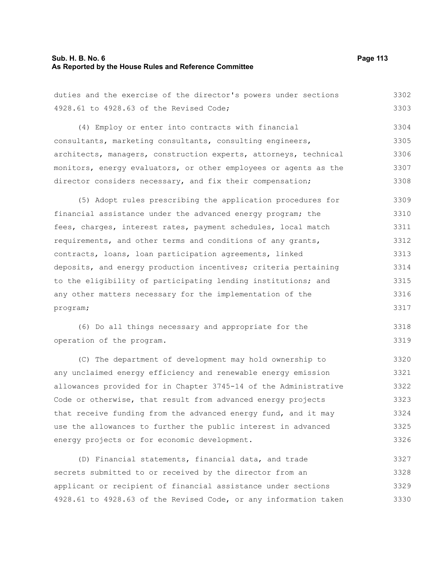# **Sub. H. B. No. 6 Page 113 As Reported by the House Rules and Reference Committee**

| duties and the exercise of the director's powers under sections  | 3302 |
|------------------------------------------------------------------|------|
| 4928.61 to 4928.63 of the Revised Code;                          | 3303 |
| (4) Employ or enter into contracts with financial                | 3304 |
| consultants, marketing consultants, consulting engineers,        | 3305 |
| architects, managers, construction experts, attorneys, technical | 3306 |
| monitors, energy evaluators, or other employees or agents as the | 3307 |
| director considers necessary, and fix their compensation;        | 3308 |
| (5) Adopt rules prescribing the application procedures for       | 3309 |
| financial assistance under the advanced energy program; the      | 3310 |
| fees, charges, interest rates, payment schedules, local match    | 3311 |
| requirements, and other terms and conditions of any grants,      | 3312 |
| contracts, loans, loan participation agreements, linked          | 3313 |
| deposits, and energy production incentives; criteria pertaining  | 3314 |
| to the eligibility of participating lending institutions; and    | 3315 |
| any other matters necessary for the implementation of the        | 3316 |
| program;                                                         | 3317 |
| (6) Do all things necessary and appropriate for the              | 3318 |
| operation of the program.                                        | 3319 |
| (C) The department of development may hold ownership to          | 3320 |
| any unclaimed energy efficiency and renewable energy emission    | 3321 |
| allowances provided for in Chapter 3745-14 of the Administrative | 3322 |
| Code or otherwise, that result from advanced energy projects     | 3323 |
| that receive funding from the advanced energy fund, and it may   | 3324 |
| use the allowances to further the public interest in advanced    | 3325 |
| energy projects or for economic development.                     | 3326 |
| (D) Financial statements, financial data, and trade              | 3327 |
| secrets submitted to or received by the director from an         | 3328 |
| applicant or recipient of financial assistance under sections    | 3329 |

4928.61 to 4928.63 of the Revised Code, or any information taken 3330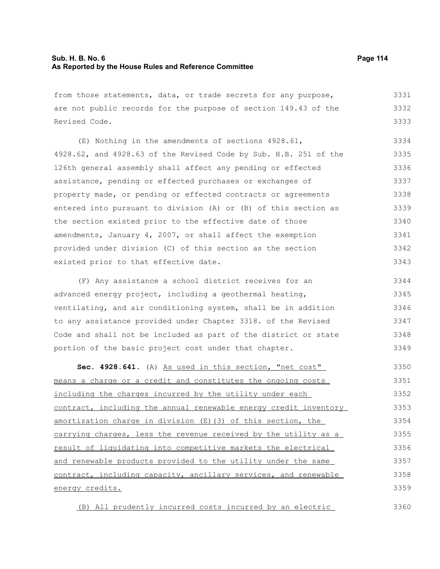| from those statements, data, or trade secrets for any purpose,   | 3331 |
|------------------------------------------------------------------|------|
| are not public records for the purpose of section 149.43 of the  | 3332 |
| Revised Code.                                                    | 3333 |
| (E) Nothing in the amendments of sections 4928.61,               | 3334 |
| 4928.62, and 4928.63 of the Revised Code by Sub. H.B. 251 of the | 3335 |
| 126th general assembly shall affect any pending or effected      | 3336 |
| assistance, pending or effected purchases or exchanges of        | 3337 |
| property made, or pending or effected contracts or agreements    | 3338 |
| entered into pursuant to division (A) or (B) of this section as  | 3339 |
| the section existed prior to the effective date of those         | 3340 |
| amendments, January 4, 2007, or shall affect the exemption       | 3341 |
| provided under division (C) of this section as the section       | 3342 |
| existed prior to that effective date.                            | 3343 |
| (F) Any assistance a school district receives for an             | 3344 |
| advanced energy project, including a geothermal heating,         | 3345 |
| ventilating, and air conditioning system, shall be in addition   | 3346 |
| to any assistance provided under Chapter 3318. of the Revised    | 3347 |
| Code and shall not be included as part of the district or state  | 3348 |
| portion of the basic project cost under that chapter.            | 3349 |
| Sec. 4928.641. (A) As used in this section, "net cost"           | 3350 |
| means a charge or a credit and constitutes the ongoing costs     | 3351 |
| including the charges incurred by the utility under each         | 3352 |
| contract, including the annual renewable energy credit inventory | 3353 |
| amortization charge in division (E) (3) of this section, the     | 3354 |
| carrying charges, less the revenue received by the utility as a  | 3355 |
| result of liquidating into competitive markets the electrical    | 3356 |
| and renewable products provided to the utility under the same    | 3357 |
| contract, including capacity, ancillary services, and renewable  | 3358 |
| energy credits.                                                  | 3359 |
|                                                                  |      |

(B) All prudently incurred costs incurred by an electric 3360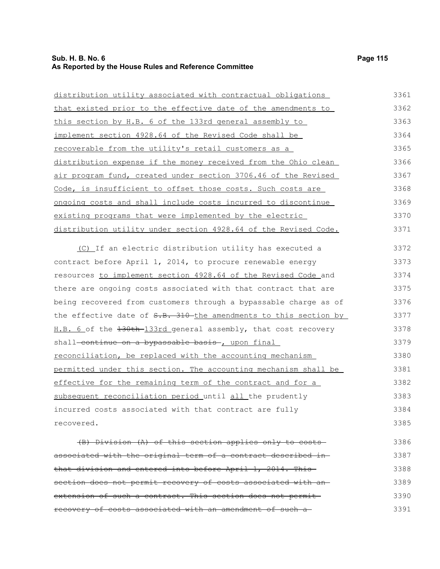### **Sub. H. B. No. 6 Page 115 As Reported by the House Rules and Reference Committee**

distribution utility associated with contractual obligations that existed prior to the effective date of the amendments to this section by H.B. 6 of the 133rd general assembly to implement section 4928.64 of the Revised Code shall be recoverable from the utility's retail customers as a distribution expense if the money received from the Ohio clean air program fund, created under section 3706.46 of the Revised Code, is insufficient to offset those costs. Such costs are ongoing costs and shall include costs incurred to discontinue existing programs that were implemented by the electric 3361 3362 3363 3364 3365 3366 3367 3368 3369 3370

distribution utility under section 4928.64 of the Revised Code.

(C) If an electric distribution utility has executed a contract before April 1, 2014, to procure renewable energy resources to implement section 4928.64 of the Revised Code and there are ongoing costs associated with that contract that are being recovered from customers through a bypassable charge as of the effective date of S.B. 310 the amendments to this section by H.B. 6 of the  $130th-133rd$  general assembly, that cost recovery shall-continue on a bypassable basis , upon final reconciliation, be replaced with the accounting mechanism permitted under this section. The accounting mechanism shall be effective for the remaining term of the contract and for a subsequent reconciliation period until all the prudently incurred costs associated with that contract are fully recovered. 3372 3373 3374 3375 3376 3377 3378 3379 3380 3381 3382 3383 3384 3385

(B) Division (A) of this section applies only to costs associated with the original term of a contract described in that division and entered into before April 1, 2014. This section does not permit recovery of costs associated with an extension of such a contract. This section does not permit recovery of costs associated with an amendment of such a 3386 3387 3388 3389 3390 3391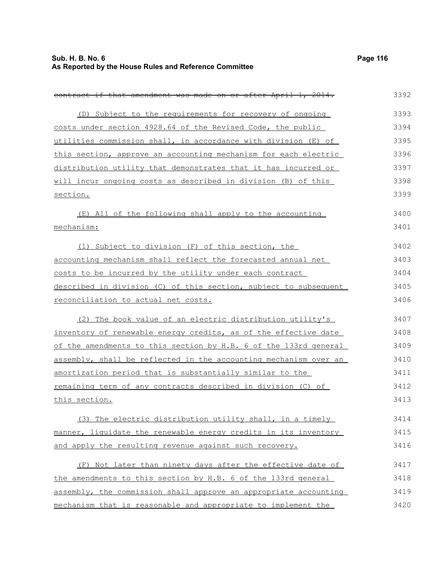| contract if that amendment was made on or after April 1, 2014.      | 3392 |
|---------------------------------------------------------------------|------|
| (D) Subject to the requirements for recovery of ongoing             | 3393 |
| costs under section 4928.64 of the Revised Code, the public         | 3394 |
| utilities commission shall, in accordance with division (E) of      | 3395 |
| this section, approve an accounting mechanism for each electric     | 3396 |
| distribution utility that demonstrates that it has incurred or      | 3397 |
| will incur ongoing costs as described in division (B) of this       | 3398 |
| section.                                                            | 3399 |
| (E) All of the following shall apply to the accounting              | 3400 |
| mechanism:                                                          | 3401 |
| (1) Subject to division (F) of this section, the                    | 3402 |
| accounting mechanism shall reflect the forecasted annual net        | 3403 |
| costs to be incurred by the utility under each contract             | 3404 |
| described in division (C) of this section, subject to subsequent    | 3405 |
| reconciliation to actual net costs.                                 | 3406 |
| (2) The book value of an electric distribution utility's            | 3407 |
| inventory of renewable energy credits, as of the effective date     | 3408 |
| of the amendments to this section by H.B. 6 of the 133rd general    | 3409 |
| assembly, shall be reflected in the accounting mechanism over an    | 3410 |
| amortization period that is substantially similar to the            | 3411 |
| <u>remaining term of any contracts described in division (C) of</u> | 3412 |
| this section.                                                       | 3413 |
| (3) The electric distribution utility shall, in a timely            | 3414 |
| manner, liquidate the renewable energy credits in its inventory     | 3415 |
| and apply the resulting revenue against such recovery.              | 3416 |
| (F) Not later than ninety days after the effective date of          | 3417 |
| the amendments to this section by H.B. 6 of the 133rd general       | 3418 |
| assembly, the commission shall approve an appropriate accounting    | 3419 |
| mechanism that is reasonable and appropriate to implement the       | 3420 |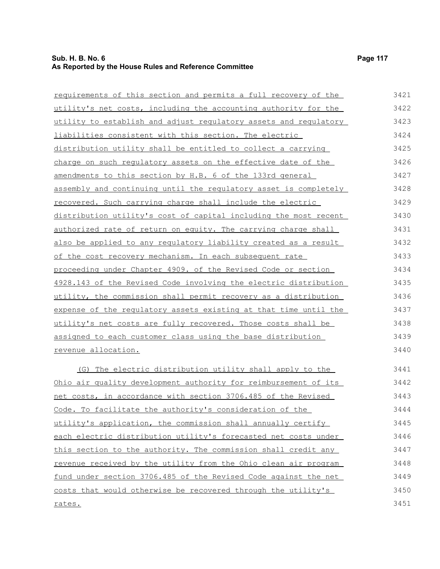rates.

| requirements of this section and permits a full recovery of the  | 3421 |
|------------------------------------------------------------------|------|
| utility's net costs, including the accounting authority for the  | 3422 |
| utility to establish and adjust regulatory assets and regulatory | 3423 |
| liabilities consistent with this section. The electric           | 3424 |
| distribution utility shall be entitled to collect a carrying     | 3425 |
| charge on such regulatory assets on the effective date of the    | 3426 |
| amendments to this section by H.B. 6 of the 133rd general        | 3427 |
| assembly and continuing until the regulatory asset is completely | 3428 |
| recovered. Such carrying charge shall include the electric       | 3429 |
| distribution utility's cost of capital including the most recent | 3430 |
| authorized rate of return on equity. The carrying charge shall   | 3431 |
| also be applied to any regulatory liability created as a result  | 3432 |
| of the cost recovery mechanism. In each subsequent rate          | 3433 |
| proceeding under Chapter 4909. of the Revised Code or section    | 3434 |
| 4928.143 of the Revised Code involving the electric distribution | 3435 |
| utility, the commission shall permit recovery as a distribution  | 3436 |
| expense of the regulatory assets existing at that time until the | 3437 |
| utility's net costs are fully recovered. Those costs shall be    | 3438 |
| assigned to each customer class using the base distribution      | 3439 |
| revenue allocation.                                              | 3440 |
| (G) The electric distribution utility shall apply to the         | 3441 |
| Ohio air quality development authority for reimbursement of its  | 3442 |
| net costs, in accordance with section 3706.485 of the Revised    | 3443 |
| Code. To facilitate the authority's consideration of the         | 3444 |
| utility's application, the commission shall annually certify     | 3445 |
| each electric distribution utility's forecasted net costs under  | 3446 |
| this section to the authority. The commission shall credit any   | 3447 |
| revenue received by the utility from the Ohio clean air program  | 3448 |
| fund under section 3706.485 of the Revised Code against the net  | 3449 |
| costs that would otherwise be recovered through the utility's    | 3450 |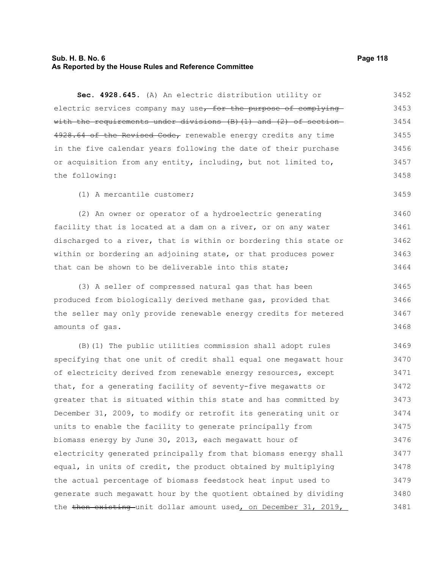### **Sub. H. B. No. 6 Page 118 As Reported by the House Rules and Reference Committee**

**Sec. 4928.645.** (A) An electric distribution utility or electric services company may use, for the purpose of complying with the requirements under divisions (B)(1) and (2) of section-4928.64 of the Revised Code, renewable energy credits any time in the five calendar years following the date of their purchase or acquisition from any entity, including, but not limited to, the following: 3452 3453 3454 3455 3456 3457 3458

(1) A mercantile customer;

(2) An owner or operator of a hydroelectric generating facility that is located at a dam on a river, or on any water discharged to a river, that is within or bordering this state or within or bordering an adjoining state, or that produces power that can be shown to be deliverable into this state; 3460 3461 3462 3463 3464

(3) A seller of compressed natural gas that has been produced from biologically derived methane gas, provided that the seller may only provide renewable energy credits for metered amounts of gas. 3465 3466 3467 3468

(B)(1) The public utilities commission shall adopt rules specifying that one unit of credit shall equal one megawatt hour of electricity derived from renewable energy resources, except that, for a generating facility of seventy-five megawatts or greater that is situated within this state and has committed by December 31, 2009, to modify or retrofit its generating unit or units to enable the facility to generate principally from biomass energy by June 30, 2013, each megawatt hour of electricity generated principally from that biomass energy shall equal, in units of credit, the product obtained by multiplying the actual percentage of biomass feedstock heat input used to generate such megawatt hour by the quotient obtained by dividing the then existing unit dollar amount used, on December 31, 2019, 3469 3470 3471 3472 3473 3474 3475 3476 3477 3478 3479 3480 3481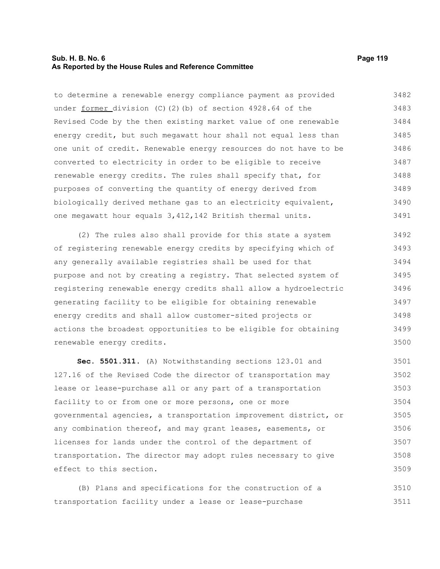#### **Sub. H. B. No. 6 Page 119 As Reported by the House Rules and Reference Committee**

to determine a renewable energy compliance payment as provided under former division (C)(2)(b) of section 4928.64 of the

Revised Code by the then existing market value of one renewable energy credit, but such megawatt hour shall not equal less than one unit of credit. Renewable energy resources do not have to be converted to electricity in order to be eligible to receive renewable energy credits. The rules shall specify that, for purposes of converting the quantity of energy derived from biologically derived methane gas to an electricity equivalent, one megawatt hour equals 3,412,142 British thermal units. 3484 3485 3486 3487 3488 3489 3490 3491

(2) The rules also shall provide for this state a system of registering renewable energy credits by specifying which of any generally available registries shall be used for that purpose and not by creating a registry. That selected system of registering renewable energy credits shall allow a hydroelectric generating facility to be eligible for obtaining renewable energy credits and shall allow customer-sited projects or actions the broadest opportunities to be eligible for obtaining renewable energy credits. 3492 3493 3494 3495 3496 3497 3498 3499 3500

**Sec. 5501.311.** (A) Notwithstanding sections 123.01 and 127.16 of the Revised Code the director of transportation may lease or lease-purchase all or any part of a transportation facility to or from one or more persons, one or more governmental agencies, a transportation improvement district, or any combination thereof, and may grant leases, easements, or licenses for lands under the control of the department of transportation. The director may adopt rules necessary to give effect to this section. 3501 3502 3503 3504 3505 3506 3507 3508 3509

(B) Plans and specifications for the construction of a transportation facility under a lease or lease-purchase 3510 3511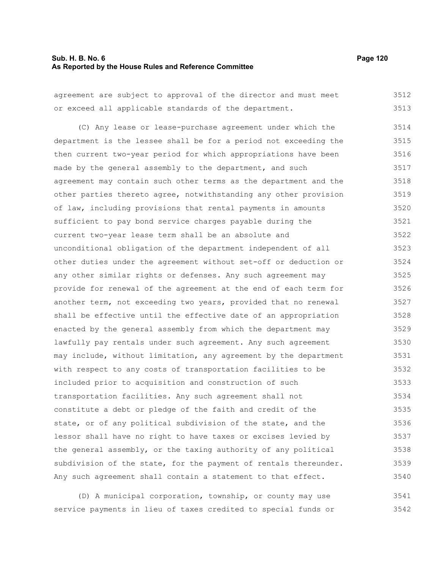#### **Sub. H. B. No. 6 Page 120 As Reported by the House Rules and Reference Committee**

agreement are subject to approval of the director and must meet or exceed all applicable standards of the department. (C) Any lease or lease-purchase agreement under which the department is the lessee shall be for a period not exceeding the then current two-year period for which appropriations have been made by the general assembly to the department, and such agreement may contain such other terms as the department and the other parties thereto agree, notwithstanding any other provision of law, including provisions that rental payments in amounts sufficient to pay bond service charges payable during the current two-year lease term shall be an absolute and unconditional obligation of the department independent of all other duties under the agreement without set-off or deduction or any other similar rights or defenses. Any such agreement may provide for renewal of the agreement at the end of each term for another term, not exceeding two years, provided that no renewal shall be effective until the effective date of an appropriation enacted by the general assembly from which the department may lawfully pay rentals under such agreement. Any such agreement may include, without limitation, any agreement by the department with respect to any costs of transportation facilities to be included prior to acquisition and construction of such transportation facilities. Any such agreement shall not constitute a debt or pledge of the faith and credit of the state, or of any political subdivision of the state, and the lessor shall have no right to have taxes or excises levied by the general assembly, or the taxing authority of any political subdivision of the state, for the payment of rentals thereunder. Any such agreement shall contain a statement to that effect. 3512 3513 3514 3515 3516 3517 3518 3519 3520 3521 3522 3523 3524 3525 3526 3527 3528 3529 3530 3531 3532 3533 3534 3535 3536 3537 3538 3539 3540

(D) A municipal corporation, township, or county may use service payments in lieu of taxes credited to special funds or 3541 3542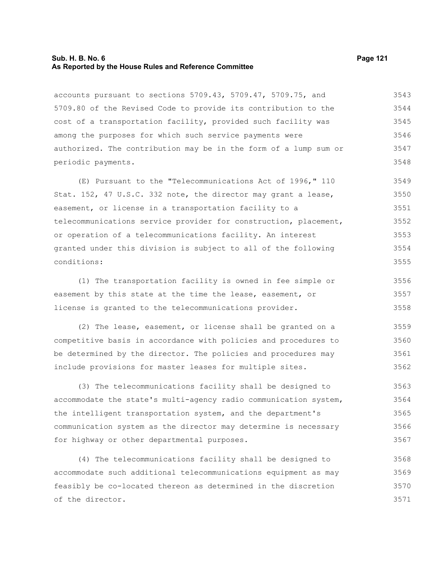#### **Sub. H. B. No. 6 Page 121 As Reported by the House Rules and Reference Committee**

accounts pursuant to sections 5709.43, 5709.47, 5709.75, and 5709.80 of the Revised Code to provide its contribution to the cost of a transportation facility, provided such facility was among the purposes for which such service payments were authorized. The contribution may be in the form of a lump sum or periodic payments. 3543 3544 3545 3546 3547 3548

(E) Pursuant to the "Telecommunications Act of 1996," 110 Stat. 152, 47 U.S.C. 332 note, the director may grant a lease, easement, or license in a transportation facility to a telecommunications service provider for construction, placement, or operation of a telecommunications facility. An interest granted under this division is subject to all of the following conditions: 3549 3550 3551 3552 3553 3554 3555

(1) The transportation facility is owned in fee simple or easement by this state at the time the lease, easement, or license is granted to the telecommunications provider. 3556 3557 3558

(2) The lease, easement, or license shall be granted on a competitive basis in accordance with policies and procedures to be determined by the director. The policies and procedures may include provisions for master leases for multiple sites. 3559 3560 3561 3562

(3) The telecommunications facility shall be designed to accommodate the state's multi-agency radio communication system, the intelligent transportation system, and the department's communication system as the director may determine is necessary for highway or other departmental purposes. 3563 3564 3565 3566 3567

(4) The telecommunications facility shall be designed to accommodate such additional telecommunications equipment as may feasibly be co-located thereon as determined in the discretion of the director. 3568 3569 3570 3571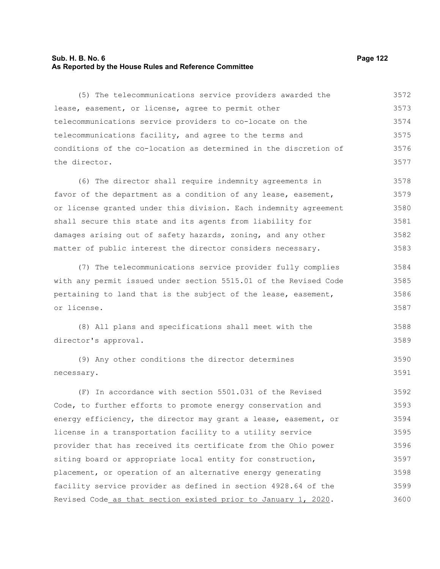# **Sub. H. B. No. 6 Page 122 As Reported by the House Rules and Reference Committee**

| (5) The telecommunications service providers awarded the         | 3572 |
|------------------------------------------------------------------|------|
| lease, easement, or license, agree to permit other               | 3573 |
| telecommunications service providers to co-locate on the         | 3574 |
| telecommunications facility, and agree to the terms and          | 3575 |
| conditions of the co-location as determined in the discretion of | 3576 |
| the director.                                                    | 3577 |
| (6) The director shall require indemnity agreements in           | 3578 |
| favor of the department as a condition of any lease, easement,   | 3579 |
| or license granted under this division. Each indemnity agreement | 3580 |
| shall secure this state and its agents from liability for        | 3581 |
| damages arising out of safety hazards, zoning, and any other     | 3582 |
| matter of public interest the director considers necessary.      | 3583 |
| (7) The telecommunications service provider fully complies       | 3584 |
| with any permit issued under section 5515.01 of the Revised Code | 3585 |
| pertaining to land that is the subject of the lease, easement,   | 3586 |
| or license.                                                      | 3587 |
| (8) All plans and specifications shall meet with the             | 3588 |
| director's approval.                                             | 3589 |
| (9) Any other conditions the director determines                 | 3590 |
| necessary.                                                       | 3591 |
| (F) In accordance with section 5501.031 of the Revised           | 3592 |
| Code, to further efforts to promote energy conservation and      | 3593 |
| energy efficiency, the director may grant a lease, easement, or  | 3594 |
| license in a transportation facility to a utility service        | 3595 |
| provider that has received its certificate from the Ohio power   | 3596 |
| siting board or appropriate local entity for construction,       | 3597 |
| placement, or operation of an alternative energy generating      | 3598 |
| facility service provider as defined in section 4928.64 of the   | 3599 |
| Revised Code_as_that_section_existed_prior_to_January_1, 2020.   | 3600 |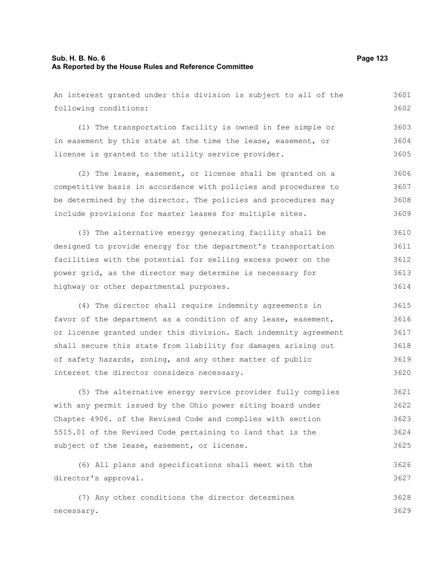# **Sub. H. B. No. 6 Page 123 As Reported by the House Rules and Reference Committee**

| An interest granted under this division is subject to all of the | 3601 |
|------------------------------------------------------------------|------|
| following conditions:                                            | 3602 |
| (1) The transportation facility is owned in fee simple or        | 3603 |
| in easement by this state at the time the lease, easement, or    | 3604 |
| license is granted to the utility service provider.              | 3605 |
| (2) The lease, easement, or license shall be granted on a        | 3606 |
| competitive basis in accordance with policies and procedures to  | 3607 |
| be determined by the director. The policies and procedures may   | 3608 |
| include provisions for master leases for multiple sites.         | 3609 |
| (3) The alternative energy generating facility shall be          | 3610 |
| designed to provide energy for the department's transportation   | 3611 |
| facilities with the potential for selling excess power on the    | 3612 |
| power grid, as the director may determine is necessary for       | 3613 |
| highway or other departmental purposes.                          | 3614 |
| (4) The director shall require indemnity agreements in           | 3615 |
| favor of the department as a condition of any lease, easement,   | 3616 |
| or license granted under this division. Each indemnity agreement | 3617 |
| shall secure this state from liability for damages arising out   | 3618 |
| of safety hazards, zoning, and any other matter of public        | 3619 |
| interest the director considers necessary.                       | 3620 |
| (5) The alternative energy service provider fully complies       | 3621 |
| with any permit issued by the Ohio power siting board under      | 3622 |
| Chapter 4906. of the Revised Code and complies with section      | 3623 |
| 5515.01 of the Revised Code pertaining to land that is the       | 3624 |
| subject of the lease, easement, or license.                      | 3625 |
| (6) All plans and specifications shall meet with the             | 3626 |
| director's approval.                                             | 3627 |
| (7) Any other conditions the director determines                 | 3628 |
| necessary.                                                       | 3629 |
|                                                                  |      |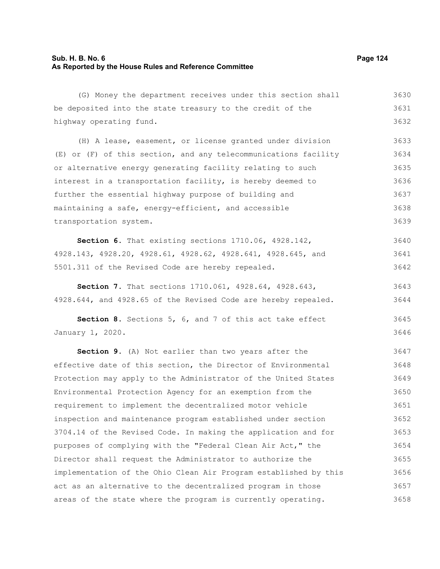### **Sub. H. B. No. 6 Page 124 As Reported by the House Rules and Reference Committee**

(G) Money the department receives under this section shall be deposited into the state treasury to the credit of the highway operating fund. (H) A lease, easement, or license granted under division (E) or (F) of this section, and any telecommunications facility or alternative energy generating facility relating to such interest in a transportation facility, is hereby deemed to further the essential highway purpose of building and maintaining a safe, energy-efficient, and accessible transportation system. **Section 6.** That existing sections 1710.06, 4928.142, 4928.143, 4928.20, 4928.61, 4928.62, 4928.641, 4928.645, and 5501.311 of the Revised Code are hereby repealed. **Section 7.** That sections 1710.061, 4928.64, 4928.643, 4928.644, and 4928.65 of the Revised Code are hereby repealed. **Section 8.** Sections 5, 6, and 7 of this act take effect January 1, 2020. **Section 9.** (A) Not earlier than two years after the effective date of this section, the Director of Environmental Protection may apply to the Administrator of the United States Environmental Protection Agency for an exemption from the requirement to implement the decentralized motor vehicle inspection and maintenance program established under section 3704.14 of the Revised Code. In making the application and for purposes of complying with the "Federal Clean Air Act," the Director shall request the Administrator to authorize the implementation of the Ohio Clean Air Program established by this act as an alternative to the decentralized program in those areas of the state where the program is currently operating. 3630 3631 3632 3633 3634 3635 3636 3637 3638 3639 3640 3641 3642 3643 3644 3645 3646 3647 3648 3649 3650 3651 3652 3653 3654 3655 3656 3657 3658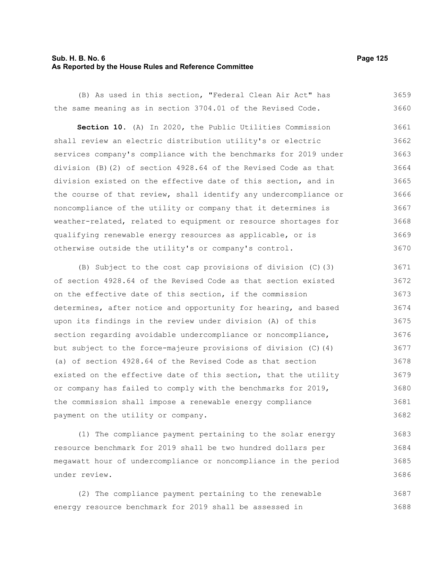#### **Sub. H. B. No. 6 Page 125 As Reported by the House Rules and Reference Committee**

(B) As used in this section, "Federal Clean Air Act" has the same meaning as in section 3704.01 of the Revised Code. **Section 10.** (A) In 2020, the Public Utilities Commission shall review an electric distribution utility's or electric services company's compliance with the benchmarks for 2019 under division (B)(2) of section 4928.64 of the Revised Code as that division existed on the effective date of this section, and in the course of that review, shall identify any undercompliance or noncompliance of the utility or company that it determines is weather-related, related to equipment or resource shortages for qualifying renewable energy resources as applicable, or is otherwise outside the utility's or company's control. 3659 3660 3661 3662 3663 3664 3665 3666 3667 3668 3669 3670

(B) Subject to the cost cap provisions of division (C)(3) of section 4928.64 of the Revised Code as that section existed on the effective date of this section, if the commission determines, after notice and opportunity for hearing, and based upon its findings in the review under division (A) of this section regarding avoidable undercompliance or noncompliance, but subject to the force-majeure provisions of division (C)(4) (a) of section 4928.64 of the Revised Code as that section existed on the effective date of this section, that the utility or company has failed to comply with the benchmarks for 2019, the commission shall impose a renewable energy compliance payment on the utility or company. 3671 3672 3673 3674 3675 3676 3677 3678 3679 3680 3681 3682

(1) The compliance payment pertaining to the solar energy resource benchmark for 2019 shall be two hundred dollars per megawatt hour of undercompliance or noncompliance in the period under review. 3683 3684 3685 3686

(2) The compliance payment pertaining to the renewable energy resource benchmark for 2019 shall be assessed in 3687 3688